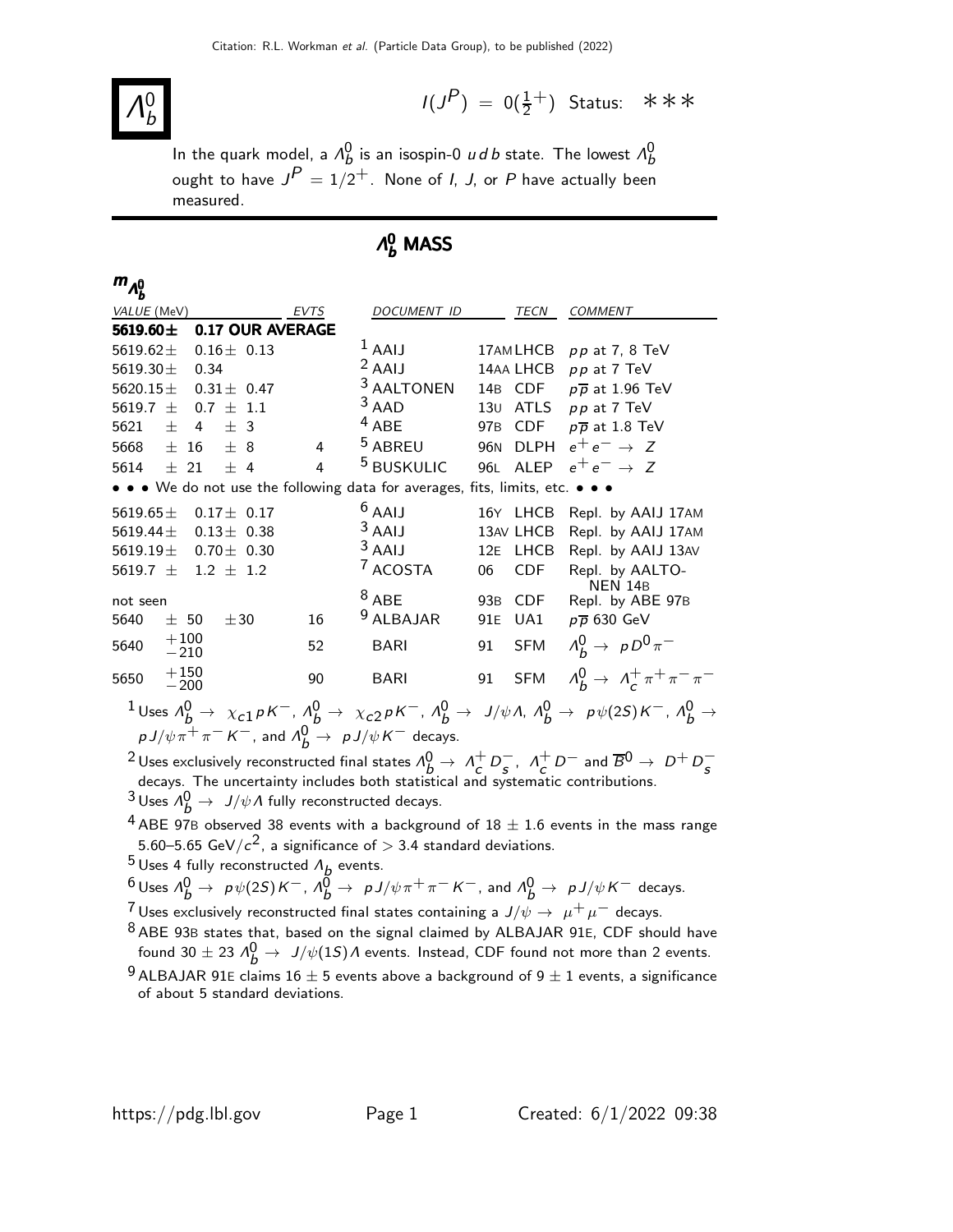#### Λ 0 b

 $I(J^P) = 0(\frac{1}{2}^+)$  Status: \*\*\*

In the quark model, a  $\Lambda_b^0$  is an isospin-0  $u$  d b state. The lowest  $\Lambda_b^0$ ought to have  $J^{\textstyle P}=1/2^+$ . None of *I, J,* or  $P$  have actually been measured.

# $Λ_b^0$  MASS

| $m_{\Lambda_b^0}$                                                                                                                                                                     |             |                       |                          |                                                         |
|---------------------------------------------------------------------------------------------------------------------------------------------------------------------------------------|-------------|-----------------------|--------------------------|---------------------------------------------------------|
| VALUE (MeV)                                                                                                                                                                           | <b>EVTS</b> | <b>DOCUMENT ID</b>    | TECN                     | <b>COMMENT</b>                                          |
| 5619.60±<br>0.17 OUR AVERAGE                                                                                                                                                          |             |                       |                          |                                                         |
| 5619.62 $\pm$<br>$0.16 \pm 0.13$                                                                                                                                                      |             | $^1$ AAIJ             | 17AM LHCB                | $pp$ at 7, 8 TeV                                        |
| 5619.30 $\pm$<br>0.34                                                                                                                                                                 |             | $2$ AAIJ              | 14AA LHCB                | pp at 7 TeV                                             |
| 5620.15 $\pm$<br>$0.31\pm$ 0.47                                                                                                                                                       |             | <sup>3</sup> AALTONEN | 14B CDF                  | $p\overline{p}$ at 1.96 TeV                             |
| 5619.7 $\pm$<br>$0.7 + 1.1$                                                                                                                                                           |             | $3$ AAD               | 130 <sub>1</sub>         | ATLS $pp$ at 7 TeV                                      |
| 5621<br>$\pm$<br>4<br>± 3                                                                                                                                                             |             | $4$ ABE               | 97B CDF                  | $p\overline{p}$ at 1.8 TeV                              |
| 5668<br>$+8$<br>$\pm$ 16                                                                                                                                                              | 4           | <sup>5</sup> ABREU    | 96N DLPH                 | $e^+e^- \rightarrow Z$                                  |
| $+4$<br>5614 $\pm$ 21                                                                                                                                                                 | 4           | <sup>5</sup> BUSKULIC | 96L ALEP                 | $e^+e^- \rightarrow Z$                                  |
| • • • We do not use the following data for averages,                                                                                                                                  |             |                       | fits, limits, etc. • • • |                                                         |
| 5619.65 $\pm$<br>$0.17 \pm 0.17$                                                                                                                                                      |             | $6$ AAIJ              | 16Y LHCB                 | Repl. by AAIJ 17AM                                      |
| 5619.44 $\pm$<br>$0.13 \pm 0.38$                                                                                                                                                      |             | $3$ AAIJ              | 13AV LHCB                | Repl. by AAIJ 17AM                                      |
| $5619.19 \pm 0.70 \pm 0.30$                                                                                                                                                           |             | $3$ AAIJ              | 12E LHCB                 | Repl. by AAIJ 13AV                                      |
| 5619.7 $\pm$<br>$1.2 \pm 1.2$                                                                                                                                                         |             | <sup>7</sup> ACOSTA   | CDF<br>06                | Repl. by AALTO-<br><b>NEN 14B</b>                       |
| not seen                                                                                                                                                                              |             | $8$ ABE               | 93B CDF                  | Repl. by ABE 97B                                        |
| 5640<br>± 50<br>$\pm 30$                                                                                                                                                              | 16          | <sup>9</sup> ALBAJAR  | 91E<br>UA1               | $p\overline{p}$ 630 GeV                                 |
| $^{+100}_{-210}$<br>5640                                                                                                                                                              | 52          | <b>BARI</b>           | <b>SFM</b><br>91         | $\Lambda_b^0 \rightarrow \rho D^0 \pi^-$                |
| $+150$<br>5650<br>$-200$                                                                                                                                                              | 90          | <b>BARI</b>           | 91 SFM                   | $\Lambda_b^0 \rightarrow \Lambda_c^+ \pi^+ \pi^- \pi^-$ |
| 1 Uses $\Lambda_b^0 \to \chi_{c1} p K^-$ , $\Lambda_b^0 \to \chi_{c2} p K^-$ , $\Lambda_b^0 \to J/\psi \Lambda$ , $\Lambda_b^0 \to p \psi(2S) K^-$ , $\Lambda_b^0 \to p \psi(2S) K^-$ |             |                       |                          |                                                         |
| $p J/\psi \pi^+ \pi^- K^-$ , and $\Lambda_h^0 \to p J/\psi K^-$ decays.                                                                                                               |             |                       |                          |                                                         |
|                                                                                                                                                                                       |             |                       |                          |                                                         |

<sup>2</sup> Uses exclusively reconstructed final states  $\Lambda_b^0 \rightarrow \Lambda_c^+$  $\frac{1}{c}D_s^ \frac{1}{s}$ ,  $\Lambda_c^+$  $\frac{1}{c}D^{-}$  and  $\overline{B}^{0} \rightarrow D^{+}D_{s}^{-}$ decays. The uncertainty includes both statistical and systematic contributions.  $\frac{3}{b}$ Uses  $\Lambda_b^0 \to J/\psi \Lambda$  fully reconstructed decays.

- $4$  ABE 97B observed 38 events with a background of  $18 \pm 1.6$  events in the mass range 5.60–5.65 GeV/ $c^2$ , a significance of  $>$  3.4 standard deviations.
- <sup>5</sup> Uses 4 fully reconstructed  $\Lambda_{\underline{b}}$  events.

$$
6 \text{ uses } \Lambda_b^0 \to p\psi(2S)K^-
$$
,  $\Lambda_b^0 \to pJ/\psi\pi^+\pi^-K^-$ , and  $\Lambda_b^0 \to pJ/\psi K^-$  decays.

Uses exclusively reconstructed final states containing a  $J/\psi \rightarrow \mu^+ \mu^-$  decays.

- $8$  ABE 93B states that, based on the signal claimed by ALBAJAR 91E, CDF should have found 30  $\pm$  23  $\Lambda_b^0 \rightarrow \;$   $J/\psi(1S) \Lambda$  events. Instead, CDF found not more than 2 events.
- <sup>9</sup> ALBAJAR 91E claims 16  $\pm$  5 events above a background of 9  $\pm$  1 events, a significance of about 5 standard deviations.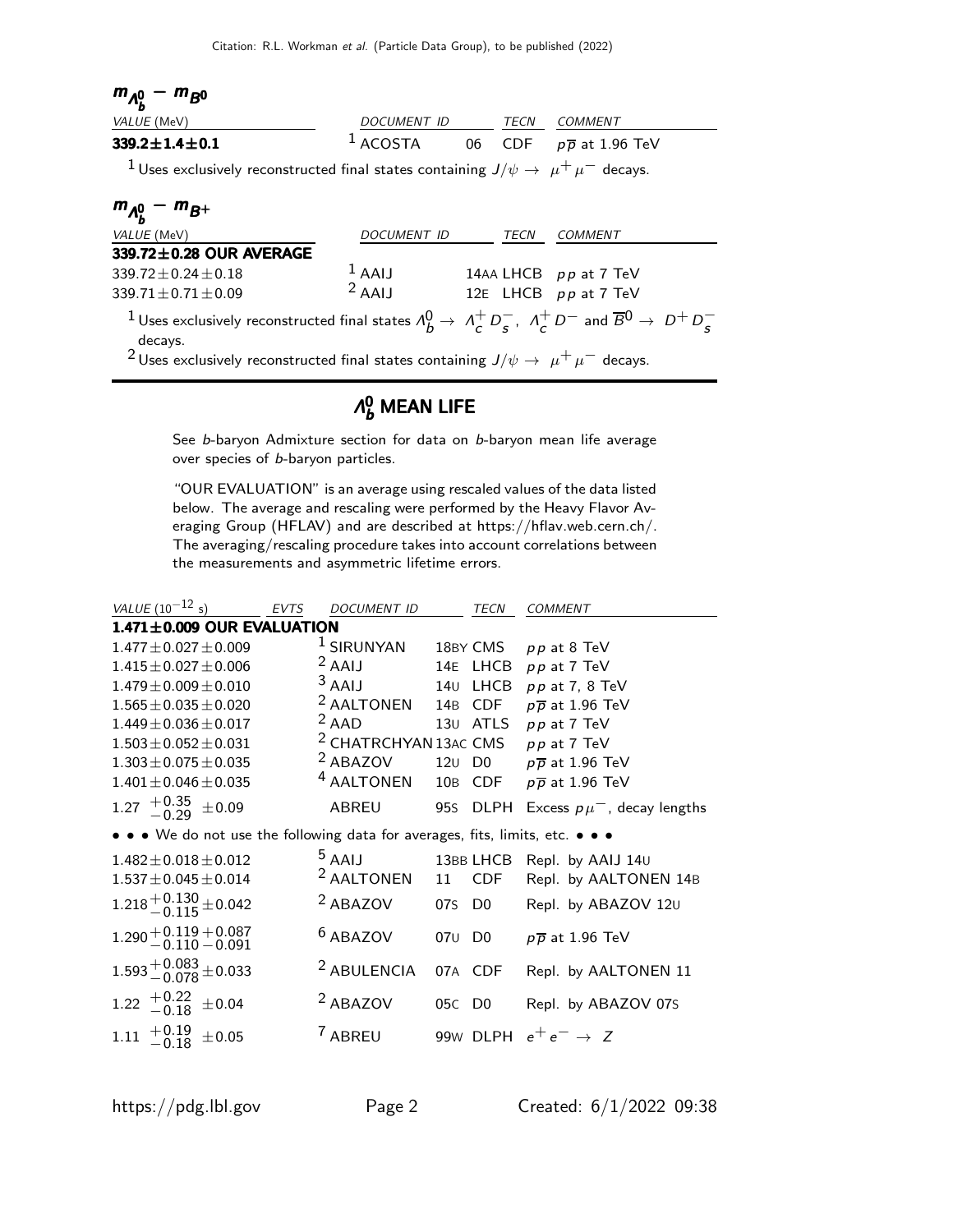| $m_{A_h^0} - m_{B^0}$                                                                                                                                      |                          |  |                                                        |
|------------------------------------------------------------------------------------------------------------------------------------------------------------|--------------------------|--|--------------------------------------------------------|
| <i>VALUE</i> (MeV)                                                                                                                                         | DOCUMENT ID TECN COMMENT |  |                                                        |
| $339.2 \pm 1.4 \pm 0.1$                                                                                                                                    |                          |  | <sup>1</sup> ACOSTA 06 CDF $p\overline{p}$ at 1.96 TeV |
| <sup>1</sup> Uses exclusively reconstructed final states containing $J/\psi \rightarrow \mu^+ \mu^-$ decays.                                               |                          |  |                                                        |
| $m_{A_h^0} - m_{B^+}$                                                                                                                                      |                          |  |                                                        |
| VALUE (MeV)                                                                                                                                                | DOCUMENT ID TECN         |  | <b>COMMENT</b>                                         |
| 339.72±0.28 OUR AVERAGE                                                                                                                                    |                          |  |                                                        |
| $339.72 + 0.24 + 0.18$                                                                                                                                     | $1$ AAIJ                 |  | 14AA LHCB $pp$ at 7 TeV                                |
| $339.71 \pm 0.71 \pm 0.09$                                                                                                                                 | $2$ AAIJ                 |  | 12E LHCB pp at 7 TeV                                   |
| <sup>1</sup> Uses exclusively reconstructed final states $\Lambda_b^0 \to \Lambda_c^+ D^-$ , $\Lambda_c^+ D^-$ and $\overline{B}^0 \to D^+ D^-$<br>decays. |                          |  |                                                        |
| <sup>2</sup> Uses exclusively reconstructed final states containing $J/\psi \rightarrow \mu^+ \mu^-$ decays.                                               |                          |  |                                                        |

## $\Lambda_b^0$  MEAN LIFE

See b-baryon Admixture section for data on b-baryon mean life average over species of b-baryon particles.

"OUR EVALUATION" is an average using rescaled values of the data listed below. The average and rescaling were performed by the Heavy Flavor Averaging Group (HFLAV) and are described at https://hflav.web.cern.ch/. The averaging/rescaling procedure takes into account correlations between the measurements and asymmetric lifetime errors.

| <i>VALUE</i> (10 <sup>-12</sup> s)                                                                                                   | EVTS | DOCUMENT ID                      |        | TECN      | <b>COMMENT</b>                             |
|--------------------------------------------------------------------------------------------------------------------------------------|------|----------------------------------|--------|-----------|--------------------------------------------|
| $1.471 \pm 0.009$ OUR EVALUATION                                                                                                     |      |                                  |        |           |                                            |
| $1.477 \pm 0.027 \pm 0.009$                                                                                                          |      | $1$ SIRUNYAN                     |        | 18BY CMS  | $pp$ at $8$ TeV                            |
| $1.415 \pm 0.027 \pm 0.006$                                                                                                          |      | $2$ AAIJ                         |        | 14E LHCB  | pp at 7 TeV                                |
| $1.479 \pm 0.009 \pm 0.010$                                                                                                          |      | $3$ AAIJ                         | 14U    | LHCB      | $pp$ at 7, 8 TeV                           |
| $1.565 \pm 0.035 \pm 0.020$                                                                                                          |      | <sup>2</sup> AALTONEN            |        | 14B CDF   | $p\overline{p}$ at 1.96 TeV                |
| $1.449 \pm 0.036 \pm 0.017$                                                                                                          |      | $2$ AAD                          |        | 130 ATLS  | $pp$ at $7$ TeV                            |
| $1.503 \pm 0.052 \pm 0.031$                                                                                                          |      | <sup>2</sup> CHATRCHYAN 13AC CMS |        |           | $pp$ at $7$ TeV                            |
| $1.303 \pm 0.075 \pm 0.035$                                                                                                          |      | <sup>2</sup> ABAZOV              |        |           | 120 D0 $p\overline{p}$ at 1.96 TeV         |
| $1.401 \pm 0.046 \pm 0.035$                                                                                                          |      | <sup>4</sup> AALTONEN            |        | 10B CDF   | $p\overline{p}$ at 1.96 TeV                |
| 1.27 $^{+0.35}_{-0.29}$ ±0.09                                                                                                        |      | <b>ABREU</b>                     |        |           | 95S DLPH Excess $p\mu^{-}$ , decay lengths |
| $\bullet\,\bullet\,\bullet\,$ We do not use the following data for averages, fits, limits, etc. $\bullet\,\bullet\,\bullet\,\bullet$ |      |                                  |        |           |                                            |
| $1.482 \pm 0.018 \pm 0.012$                                                                                                          |      | <sup>5</sup> AAIJ                |        | 13BB LHCB | Repl. by AAIJ 140                          |
| $1.537 \pm 0.045 \pm 0.014$                                                                                                          |      | $2$ AALTONEN 11                  |        | CDF       | Repl. by AALTONEN 14B                      |
| $1.218 + 0.130 + 0.042$                                                                                                              |      | <sup>2</sup> ABAZOV              |        | 07s D0    | Repl. by ABAZOV 120                        |
| $1.290 + 0.119 + 0.087$<br>$- 0.110 - 0.091$                                                                                         |      | $6$ ABAZOV                       |        | 070 D0    | $p\overline{p}$ at 1.96 TeV                |
| $1.593 + 0.083 + 0.033$                                                                                                              |      | <sup>2</sup> ABULENCIA           |        | 07A CDF   | Repl. by AALTONEN 11                       |
| 1.22 $^{+0.22}_{-0.18}$ ±0.04                                                                                                        |      | <sup>2</sup> ABAZOV              | 05C DO |           | Repl. by ABAZOV 07S                        |
| $^{+0.19}_{-0.18}$<br>$\pm 0.05$<br>1.11                                                                                             |      | <sup>7</sup> ABREU               |        |           | 99W DLPH $e^+e^- \rightarrow Z$            |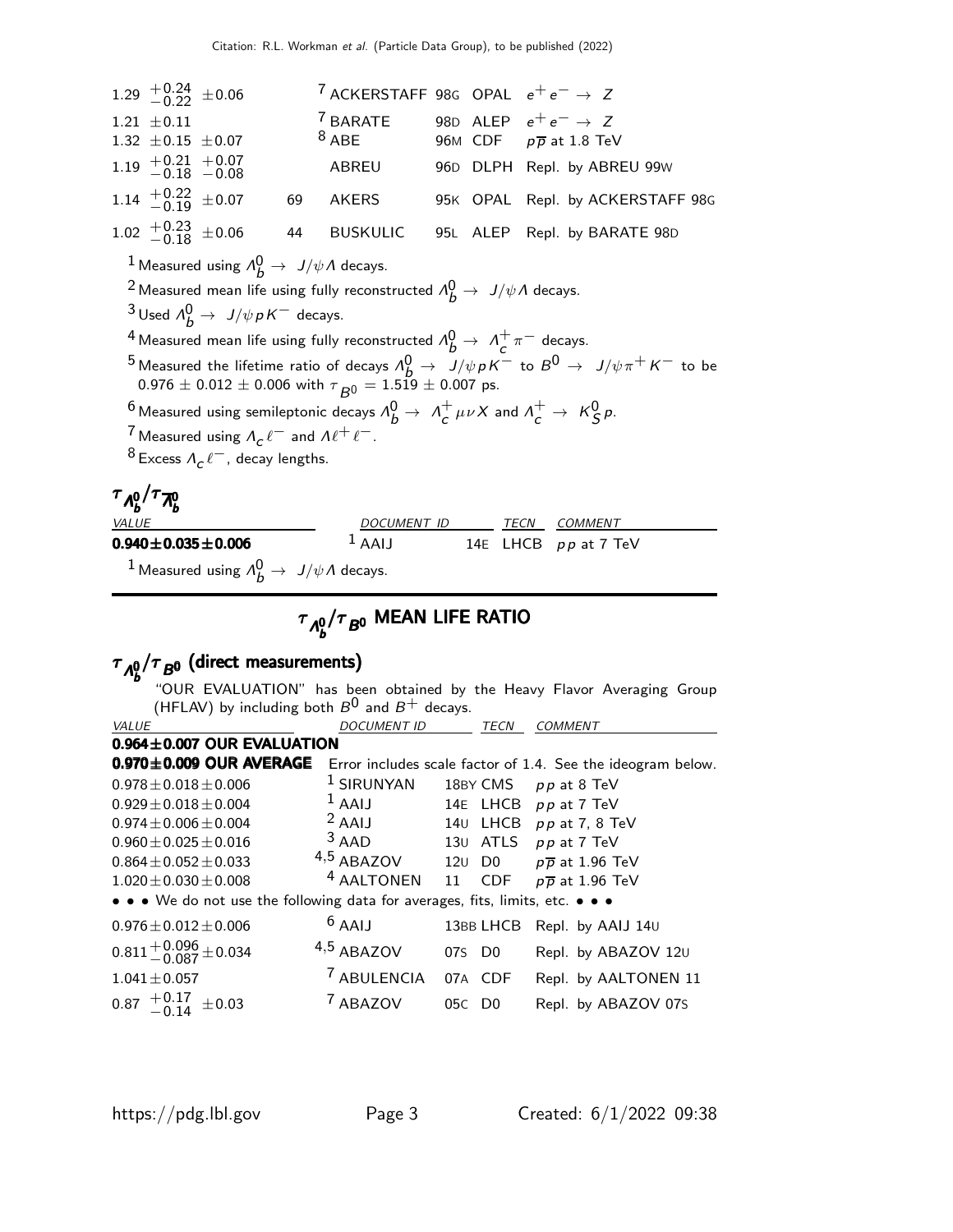|                                                    | 1.29 $^{+0.24}_{-0.22}$ ±0.06                                                                                              | <sup>7</sup> ACKERSTAFF 98G OPAL $e^+e^- \rightarrow Z$ |  |                                                                                                                       |
|----------------------------------------------------|----------------------------------------------------------------------------------------------------------------------------|---------------------------------------------------------|--|-----------------------------------------------------------------------------------------------------------------------|
|                                                    | $1.21 \pm 0.11$                                                                                                            | <sup>7</sup> BARATE                                     |  | 98D ALEP $e^+e^- \rightarrow Z$                                                                                       |
|                                                    | 1.32 $\pm$ 0.15 $\pm$ 0.07                                                                                                 | $8$ ABE                                                 |  | 96M CDF $p\overline{p}$ at 1.8 TeV                                                                                    |
|                                                    | $1.19$ $+0.21$ $+0.07$<br>$-0.18$ $-0.08$                                                                                  | ABREU                                                   |  | 96D DLPH Repl. by ABREU 99W                                                                                           |
|                                                    | 1.14 $^{+0.22}_{-0.19}$ ±0.07                                                                                              | 69 AKERS                                                |  | 95K OPAL Repl. by ACKERSTAFF 98G                                                                                      |
|                                                    | 1.02 $^{+0.23}_{-0.18}$ ±0.06                                                                                              |                                                         |  | 44 BUSKULIC 95L ALEP Repl. by BARATE 98D                                                                              |
|                                                    | <sup>1</sup> Measured using $\Lambda_h^0 \rightarrow J/\psi \Lambda$ decays.                                               |                                                         |  |                                                                                                                       |
|                                                    | <sup>2</sup> Measured mean life using fully reconstructed $\Lambda_b^0 \rightarrow J/\psi \Lambda$ decays.                 |                                                         |  |                                                                                                                       |
|                                                    | <sup>3</sup> Used $\Lambda_h^0 \rightarrow J/\psi p K^-$ decays.                                                           |                                                         |  |                                                                                                                       |
|                                                    | <sup>4</sup> Measured mean life using fully reconstructed $\Lambda_b^0 \rightarrow \Lambda_c^+ \pi^-$ decays.              |                                                         |  |                                                                                                                       |
|                                                    |                                                                                                                            |                                                         |  | <sup>5</sup> Measured the lifetime ratio of decays $\Lambda_b^0 \to J/\psi p K^-$ to $B^0 \to J/\psi \pi^+ K^-$ to be |
|                                                    | $0.976 \pm 0.012 \pm 0.006$ with $\tau_{B0} = 1.519 \pm 0.007$ ps.                                                         |                                                         |  |                                                                                                                       |
|                                                    | <sup>6</sup> Measured using semileptonic decays $\Lambda_b^0 \to \Lambda_c^+ \mu \nu X$ and $\Lambda_c^+ \to K_S^0 \rho$ . |                                                         |  |                                                                                                                       |
|                                                    | <sup>7</sup> Measured using $\Lambda_c \ell^-$ and $\Lambda \ell^+ \ell^-$ .                                               |                                                         |  |                                                                                                                       |
|                                                    | <sup>8</sup> Excess $\Lambda_c \ell^-$ , decay lengths.                                                                    |                                                         |  |                                                                                                                       |
| $\tau_{\Lambda_L^0}/\tau_{\overline{\Lambda}_L^0}$ |                                                                                                                            |                                                         |  |                                                                                                                       |
| VALUE                                              |                                                                                                                            |                                                         |  | DOCUMENT ID TECN COMMENT                                                                                              |
|                                                    | $0.940 \pm 0.035 \pm 0.006$                                                                                                |                                                         |  | $1$ AAIJ 14E LHCB $pp$ at 7 TeV                                                                                       |
|                                                    | <sup>1</sup> Measured using $\Lambda_h^0 \rightarrow J/\psi \Lambda$ decays.                                               |                                                         |  |                                                                                                                       |

# $\tau_{\sf \Lambda_b^0}/\tau_{\sf B^0}$  MEAN LIFE RATIO

### $\tau_{A_b^0}/\tau_{B^0}$  (direct measurements) "OUR EVALUATION" has been obtained by the Heavy Flavor Averaging Group (HFLAV) by including both  $B^0$  and  $B^+$  decays.<br>*DOCUMENT ID* VALUE DOCUMENT ID TECN COMMENT  $0.964\pm0.007$  OUR EVALUATION  $0.970\pm0.009$  OUR AVERAGE Error includes scale factor of 1.4. See the ideogram below.  $0.978 \pm 0.018 \pm 0.006$ <br> $0.929 \pm 0.018 \pm 0.004$ <br> $1$  AAIJ  $14$ E LHCB pp at 7 TeV  $0.929 \pm 0.018 \pm 0.004$ <br> $0.974 \pm 0.006 \pm 0.004$ <br> $0.974 \pm 0.006 \pm 0.004$ <br> $0.974 \pm 0.006 \pm 0.004$ <br> $0.974 \pm 0.006 \pm 0.004$ <br> $0.974 \pm 0.006 \pm 0.004$ <br> $0.974 \pm 0.006 \pm 0.004$ <br> $0.974 \pm 0.006 \pm 0.004$  $0.974 \pm 0.006 \pm 0.004$ <br>  $0.960 \pm 0.025 \pm 0.016$ <br>  $0.960 \pm 0.025 \pm 0.016$ <br>  $0.960 \pm 0.025 \pm 0.016$ <br>  $0.960 \pm 0.025 \pm 0.016$ <br>  $0.960 \pm 0.025 \pm 0.016$ <br>  $0.960 \pm 0.025 \pm 0.016$ <br>  $0.960 \pm 0.025 \pm 0.016$ <br>  $0.960 \pm 0.025 \pm 0.01$  $0.960 \pm 0.025 \pm 0.016$  3 AAD 13U ATLS pp at 7 TeV<br> $0.864 \pm 0.052 \pm 0.033$   $4.5$  ABAZOV 12U D0 pp at 1.96 T  $0.864 \pm 0.052 \pm 0.033$   $4.5$  ABAZOV 12U D0  $p\overline{p}$  at 1.96 TeV<br>1.020 $\pm$ 0.030 $\pm$ 0.008  $4$  AALTONEN 11 CDF  $p\overline{p}$  at 1.96 TeV  $1.020 \pm 0.030 \pm 0.008$  4 AALTONEN 11 CDF  $p\overline{p}$  at 1.96 TeV • • • We do not use the following data for averages, fits, limits, etc. • • •  $0.976 \pm 0.012 \pm 0.006$  6 AAIJ 13BB LHCB Repl. by AAIJ 14U  $0.811^{+0.096}_{-0.087}$ ±0.034  $4,5$  ABAZOV 07s D0 Repl. by ABAZOV 12 $\text{U}$  $1.041\pm0.057$   $7$  ABULENCIA 07A CDF Repl. by AALTONEN 11  $0.87$   $+0.17$   $\pm 0.03$ <sup>7</sup> ABAZOV 05C D0 Repl. by ABAZOV 07S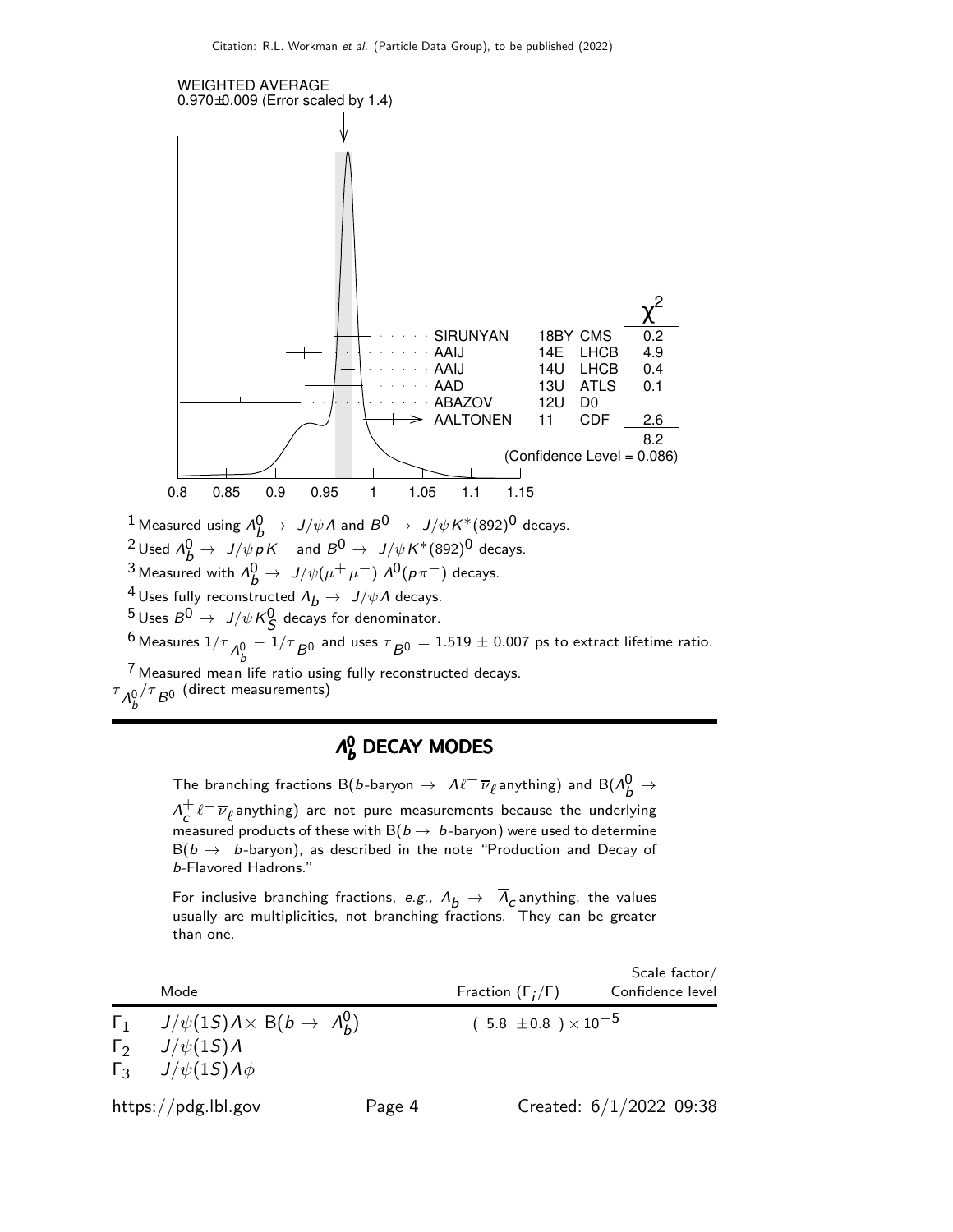

<sup>4</sup> Uses fully reconstructed  $\Lambda_b \to J/\psi \Lambda$  decays.

 $\frac{5 \text{ Uses } B^0 \rightarrow \text{ J}/\psi \text{ K}^0_S$  decays for denominator.

 $^6$  Measures  $1/\tau_{\substack{\small \Lambda^0_b}}$  $1/\tau$   $_{\rm B}$ 0 and uses  $\tau$   $_{\rm B}$ 0  $= 1.519 \pm$  0.007 ps to extract lifetime ratio.

7 Measured mean life ratio using fully reconstructed decays.

 $\tau_{\Lambda_b^0}$  $/\tau_{\not B^0}$  (direct measurements)

## $\Lambda_b^0$  DECAY MODES

The branching fractions B(b-baryon  $\to$   $\mathcal{M}^-\overline{\nu}_\ell$ anything) and B( $\mathcal{M}^0_b$   $\to$  $\Lambda^+$  $\frac{+}{c} \ell^{-} \overline{\nu}_{\ell}$ anything) are not pure measurements because the underlying measured products of these with  $B(b \to b$ -baryon) were used to determine  $B(b \rightarrow b$ -baryon), as described in the note "Production and Decay of b-Flavored Hadrons."

For inclusive branching fractions, e.g.,  $\Lambda_b$   $\rightarrow$   $\overline{\Lambda}_c$  anything, the values usually are multiplicities, not branching fractions. They can be greater than one.

Scale factor/ Mode Fraction ( $\Gamma_j/\Gamma$ ) Confidence level  $\mathsf{\Gamma}_1$  J/ $\psi(1S)$   $\lambda \times$  B(b  $\rightarrow$   $\Lambda_b^0$ b  $(5.8 \pm 0.8) \times 10^{-5}$ Γ<sub>2</sub>  $J/\psi(1S)$ Λ  $\Gamma_3$  J/ψ(1S)Λφ https://pdg.lbl.gov Page 4 Created: 6/1/2022 09:38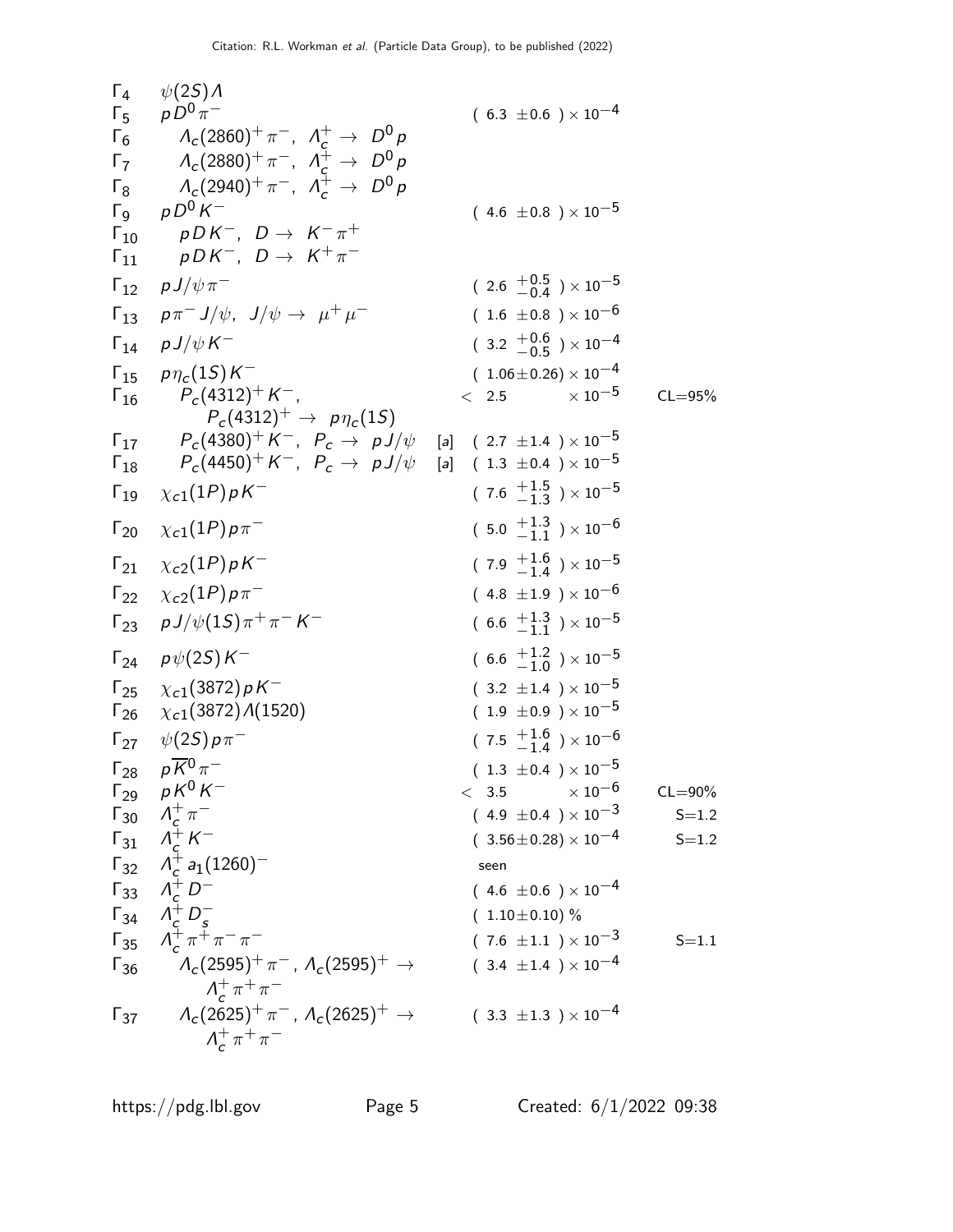| $\Gamma_4$    | $\psi(2S)$ Λ                                                                                                     |                                           |             |
|---------------|------------------------------------------------------------------------------------------------------------------|-------------------------------------------|-------------|
|               | $\Gamma_5$ $pD^0 \pi^-$                                                                                          | $(6.3 \pm 0.6) \times 10^{-4}$            |             |
| $\Gamma_6$    | $\Lambda_c(2860)^+\pi^-$ , $\Lambda_c^+\to D^0p$                                                                 |                                           |             |
| $\Gamma_7$    | $\Lambda_c(2880)^+\pi^-$ , $\Lambda_c^+ \to D^0 p$                                                               |                                           |             |
| $\Gamma_8$    | $\Lambda_c(2940)^+\pi^-$ , $\Lambda_c^+\to D^0p$                                                                 |                                           |             |
|               | $\Gamma_9$ $pD^0K^-$                                                                                             | $(4.6 \pm 0.8) \times 10^{-5}$            |             |
| $\Gamma_{10}$ | $pDK^-$ , $D \rightarrow K^-\pi^+$<br>$pDK^-$ , $D \rightarrow K^+\pi^-$                                         |                                           |             |
| $\Gamma_{11}$ |                                                                                                                  |                                           |             |
| $\Gamma_{12}$ | $p\,J/\psi\,\pi^-$                                                                                               | $(2.6 \frac{+0.5}{-0.4}) \times 10^{-5}$  |             |
|               | $\Gamma_{13}$ $p\pi^- J/\psi$ , $J/\psi \rightarrow \mu^+ \mu^-$                                                 | $(1.6 \pm 0.8) \times 10^{-6}$            |             |
|               | $\Gamma_{14}$ $p J/\psi K^-$                                                                                     | $(3.2 \frac{+0.6}{-0.5}) \times 10^{-4}$  |             |
|               | $\Gamma_{15}$ $p\eta_c(15)K^-$                                                                                   | $(1.06\pm0.26)\times10^{-4}$              |             |
| $\Gamma_{16}$ | $P_c(4312)^+ K^-$<br>$P_c(4312)^+ \rightarrow p\eta_c(15)$                                                       | $\times$ 10 $^{-5}$<br>$\langle$ 2.5      | $CL = 95%$  |
|               | $\Gamma_{17}$ $P_c(4380)^+ K^-$ , $P_c \rightarrow pJ/\psi$ [a] (2.7 ±1.4 ) × 10 <sup>-5</sup>                   |                                           |             |
| $\Gamma_{18}$ | $P_c(4450)^+$ $K^-$ , $P_c$ $\rightarrow$ $\,$ $p$ $\!J/\psi$ $\,$ [a] $\,$ ( 1.3 $\pm$ 0.4 ) $\times$ $10^{-5}$ |                                           |             |
| $\Gamma_{19}$ | $\chi_{c1}(1P)pK^{-}$                                                                                            | $(7.6 \tfrac{+1.5}{-1.3}) \times 10^{-5}$ |             |
|               | $\Gamma_{20}$ $\chi_{c1}(1P)\rho\pi^-$                                                                           | $(5.0 \tfrac{+1.3}{-1.1}) \times 10^{-6}$ |             |
|               | $\Gamma_{21}$ $\chi_{c2}(1P)\rho K^{-}$                                                                          | $(7.9 \tfrac{+1.6}{-1.4}) \times 10^{-5}$ |             |
|               | $\Gamma_{22}$ $\chi_{c2}(1P)\rho\pi^-$                                                                           | $(4.8 \pm 1.9) \times 10^{-6}$            |             |
|               | $\Gamma_{23}$ $p J/\psi(1S)\pi^{+}\pi^{-}K^{-}$                                                                  | $(6.6 \tfrac{+1.3}{-1.1}) \times 10^{-5}$ |             |
|               | $\Gamma_{24}$ $p\psi(2S)K^{-}$                                                                                   | $(6.6 \tfrac{+1.2}{-1.0}) \times 10^{-5}$ |             |
|               | $\Gamma_{25}$ $\chi_{c1}(3872)\rho K^-$                                                                          | $(3.2 \pm 1.4) \times 10^{-5}$            |             |
|               | $\Gamma_{26}$ $\chi_{c1}(3872)$ $\Lambda(1520)$                                                                  | $(1.9 \pm 0.9) \times 10^{-5}$            |             |
|               | $\Gamma_{27}$ $\psi(25) p \pi^-$                                                                                 | $(7.5 \tfrac{+1.6}{-1.4}) \times 10^{-6}$ |             |
|               | $\Gamma_{28}$ $p\overline{K}^0 \pi^-$                                                                            | $(1.3 \pm 0.4) \times 10^{-5}$            |             |
| $\Gamma_{29}$ | $p\,K^0\,K^-$                                                                                                    | $\times$ 10 $^{-6}$<br>< 3.5              | $CL = 90\%$ |
|               | $\Gamma_{30}$ $\Lambda_c^+\pi^-$                                                                                 | $(4.9 \pm 0.4) \times 10^{-3}$            | $S = 1.2$   |
| $\Gamma_{31}$ | $\Lambda_c^+ K^-$                                                                                                | $(3.56\pm0.28)\times10^{-4}$              | $S = 1.2$   |
|               | $\Gamma_{32}$ $\Lambda_c^+ a_1 (1260)^-$                                                                         | seen                                      |             |
|               | $\Gamma_{33}$ $\Lambda_c^+ D^-$                                                                                  | $(4.6 \pm 0.6) \times 10^{-4}$            |             |
| $\Gamma_{34}$ | $\Lambda_c^+ D_s^-$                                                                                              | $(1.10 \pm 0.10)$ %                       |             |
| $\Gamma_{35}$ | $\Lambda_c^+ \pi^+ \pi^- \pi^-$                                                                                  | $(7.6 \pm 1.1) \times 10^{-3}$            | $S = 1.1$   |
| $\Gamma_{36}$ | $\Lambda_c(2595)^+\pi^-$ , $\Lambda_c(2595)^+\to$<br>$\Lambda_c^+\pi^+\pi^-$                                     | $(3.4 \pm 1.4) \times 10^{-4}$            |             |
| $\Gamma_{37}$ | $\Lambda_c(2625)^+\pi^-$ , $\Lambda_c(2625)^+\to$                                                                | $(3.3 \pm 1.3) \times 10^{-4}$            |             |
|               | $\Lambda_c^+\pi^+\pi^-$                                                                                          |                                           |             |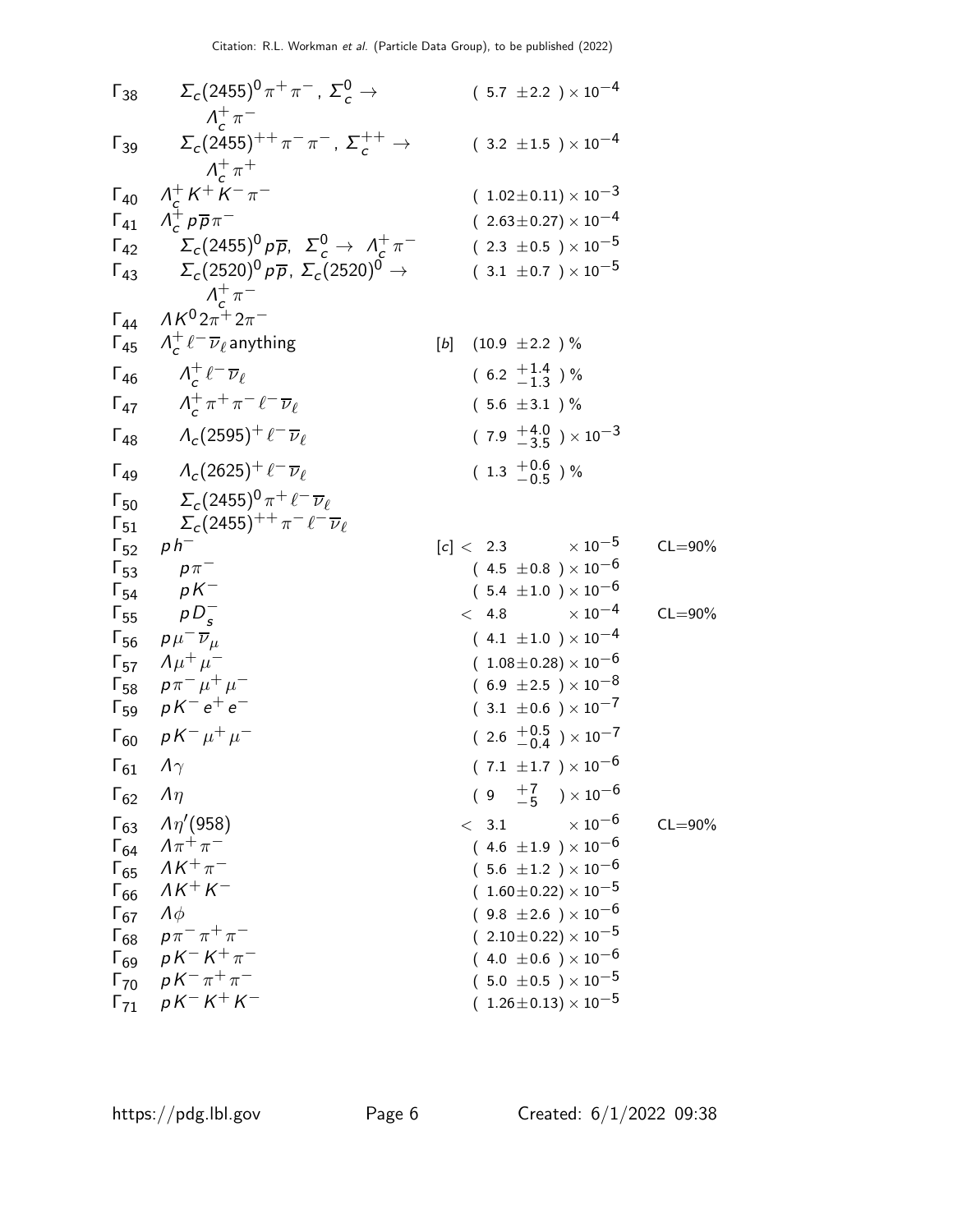| Γ <sub>38</sub> | \n $\Sigma_c(2455)^0 \pi^+ \pi^-$ ,\n $\Sigma_c^0 \rightarrow$ \n            | \n $(5.7 \pm 2.2) \times 10^{-4}$ \n   |
|-----------------|------------------------------------------------------------------------------|----------------------------------------|
| Γ <sub>39</sub> | \n $\Sigma_c(2455)^{++} \pi^- \pi^-$ ,\n $\Sigma_c^+ \rightarrow$ \n         | \n $(1.02 \pm 0.11) \times 10^{-3}$ \n |
| Γ <sub>41</sub> | \n $\Lambda_c^+ \mu^+ \pi^-$ \n                                              | \n $(1.02 \pm 0.11) \times 10^{-3}$ \n |
| Γ <sub>42</sub> | \n $\Sigma_c(2455)^0 \rho \overline{\rho}, \n\Sigma_c(2520)^0 \rightarrow\n$ | \n $(3.1 \pm 0.7) \times 10^{-5}$ \n   |
| Γ <sub>43</sub> | \n $\Lambda_c^+ \ell^- \overline{\nu}_\ell$ \n                               | \n $(6.2 \pm \frac{1.4}{1.3}) \%$ \n   |
| Γ <sub>44</sub> | \n $\Lambda_c^+ \ell^- \overline{\nu}_\ell$ \n                               | \n $(6.2 \pm \frac{1.4}{1.3}) \%$ \n   |
| Γ <sub>45</sub> | \n $\Lambda_c^+ \ell^- \overline{\nu}_\ell$ \n                               | \n $(5.6 \pm 3.1) \%$ \n               |
| Γ <sub>49</sub> | \n $\Lambda_c(2625)^+ \ell^- \overline{\nu}_\ell$ \n                         | \n $(1.3 \pm \frac{0.6}{0.5}) \%$ \n   |
| Γ <sub>49</sub> | \n $\Lambda_c(2625)^+ \ell^- \overline{\nu}_\ell$ \n                         | \n $(1.3 \$                            |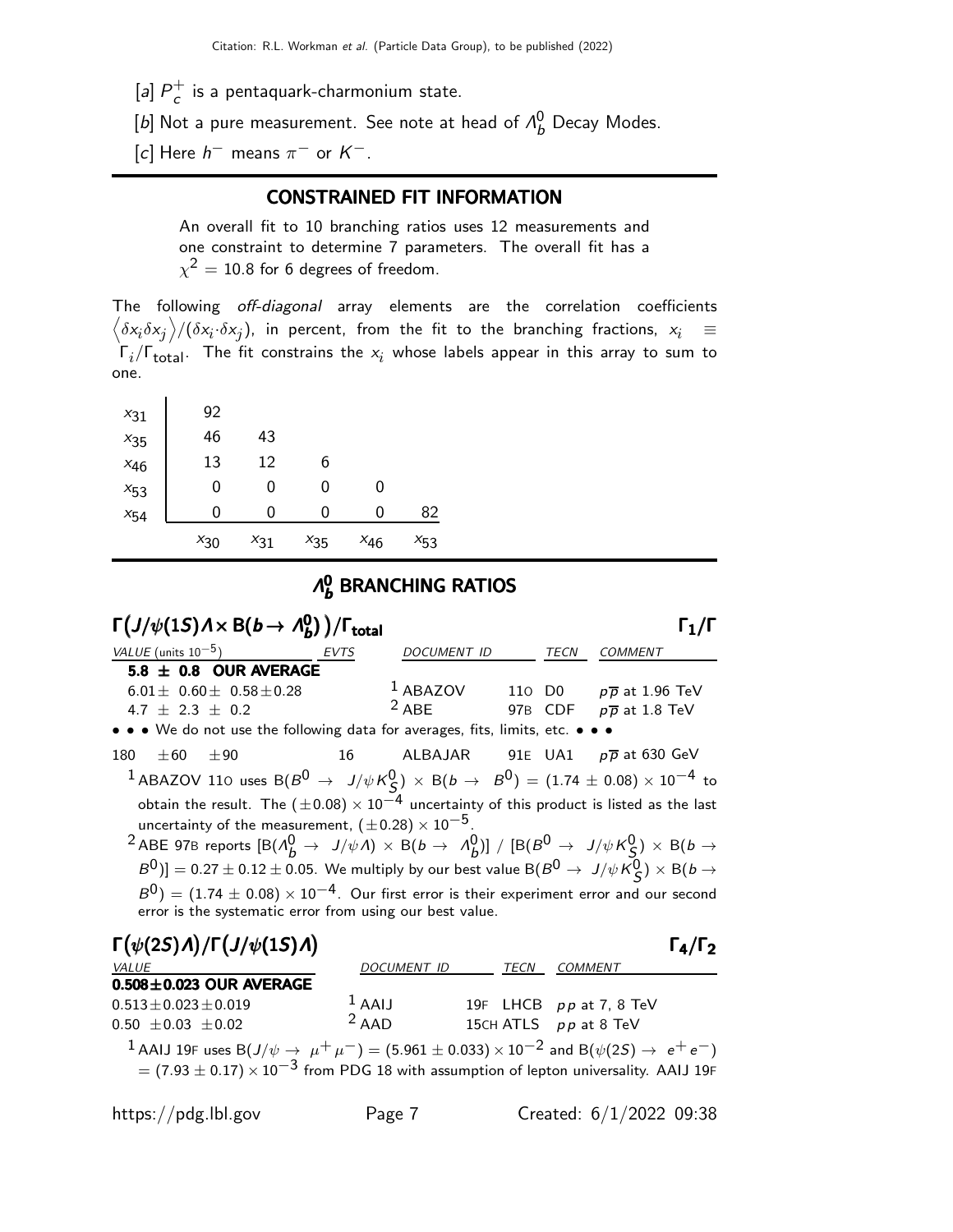- $[a]$   $P_c^+$  $_{c}^{+}$  is a pentaquark-charmonium state.
- [b] Not a pure measurement. See note at head of  $\Lambda_b^0$  Decay Modes.
- [c] Here  $h^-$  means  $\pi^-$  or  $K^-$ .

### CONSTRAINED FIT INFORMATION

An overall fit to 10 branching ratios uses 12 measurements and one constraint to determine 7 parameters. The overall fit has a  $\chi^2=10.8$  for 6 degrees of freedom.

The following off-diagonal array elements are the correlation coefficients  $\left<\delta x_i\delta x_j\right>$ / $(\delta x_i\cdot\delta x_j)$ , in percent, from the fit to the branching fractions,  $x_i$   $\;\equiv$  $\mathsf{\Gamma}_i/\mathsf{\Gamma}_{\mathsf{total}}$ . The fit constrains the  $\mathsf{x}_i$  whose labels appear in this array to sum to one.

| $x_{31}$ | 92       |          |          |          |          |
|----------|----------|----------|----------|----------|----------|
| $x_{35}$ | 46       | 43       |          |          |          |
| $x_{46}$ | 13       | 12       | 6        |          |          |
| $x_{53}$ | 0        | 0        | 0        | 0        |          |
| $x_{54}$ | 0        | 0        | 0        | 0        | 82       |
|          | $x_{30}$ | $x_{31}$ | $x_{35}$ | $x_{46}$ | $x_{53}$ |

#### Λ 0  $_b^{\sf o}$  BRANCHING RATIOS

| $\Gamma(J/\psi(1S)\Lambda\times B(b\to\Lambda_b^0))/\Gamma_{\rm total}$                                                                                                                                                                                                                                                                                                                                                                                                                                                                                                                                                                                                                                                                                                                                              |                     |                                                                   |      |                       |                                    | $\mathsf{\Gamma}_1/\mathsf{\Gamma}$ |  |
|----------------------------------------------------------------------------------------------------------------------------------------------------------------------------------------------------------------------------------------------------------------------------------------------------------------------------------------------------------------------------------------------------------------------------------------------------------------------------------------------------------------------------------------------------------------------------------------------------------------------------------------------------------------------------------------------------------------------------------------------------------------------------------------------------------------------|---------------------|-------------------------------------------------------------------|------|-----------------------|------------------------------------|-------------------------------------|--|
| <i>VALUE</i> (units $10^{-5}$ )                                                                                                                                                                                                                                                                                                                                                                                                                                                                                                                                                                                                                                                                                                                                                                                      | <b>EVTS</b>         | DOCUMENT ID                                                       |      | TECN                  | <b>COMMENT</b>                     |                                     |  |
| 5.8 $\pm$ 0.8 OUR AVERAGE<br>$6.01 \pm 0.60 \pm 0.58 \pm 0.28$<br>4.7 $\pm$ 2.3 $\pm$ 0.2<br>• • • We do not use the following data for averages, fits, limits, etc. • • •                                                                                                                                                                                                                                                                                                                                                                                                                                                                                                                                                                                                                                           |                     | <sup>1</sup> ABAZOV 110 D0 $p\overline{p}$ at 1.96 TeV<br>$2$ ABE |      |                       | 97B CDF $p\overline{p}$ at 1.8 TeV |                                     |  |
| $\pm 60$<br>±90<br>180                                                                                                                                                                                                                                                                                                                                                                                                                                                                                                                                                                                                                                                                                                                                                                                               |                     | 16 ALBAJAR 91E UA1 $p\overline{p}$ at 630 GeV                     |      |                       |                                    |                                     |  |
| <sup>1</sup> ABAZOV 110 uses B $(B^0 \rightarrow J/\psi K^0_S) \times B(b \rightarrow B^0) = (1.74 \pm 0.08) \times 10^{-4}$ to<br>obtain the result. The $(\pm 0.08) \times 10^{-4}$ uncertainty of this product is listed as the last<br>uncertainty of the measurement, $(\pm 0.28) \times 10^{-5}$ .<br><sup>2</sup> ABE 97B reports $\left[ B(\Lambda_b^0 \to J/\psi \Lambda) \times B(b \to \Lambda_b^0) \right] / \left[ B(B^0 \to J/\psi K_S^0) \times B(b \to J/\psi \Lambda_b^0) \right]$<br>$B^0$ )] = 0.27 $\pm$ 0.12 $\pm$ 0.05. We multiply by our best value B( $B^0 \rightarrow J/\psi K_S^0$ ) $\times$ B( $b \rightarrow$<br>$B^0$ ) = (1.74 $\pm$ 0.08) × 10 <sup>-4</sup> . Our first error is their experiment error and our second<br>error is the systematic error from using our best value. |                     |                                                                   |      |                       |                                    |                                     |  |
| $\Gamma(\psi(2S)\Lambda)/\Gamma(J/\psi(1S)\Lambda)$                                                                                                                                                                                                                                                                                                                                                                                                                                                                                                                                                                                                                                                                                                                                                                  |                     |                                                                   |      |                       |                                    | $\Gamma_4/\Gamma_2$                 |  |
| <b>VALUE</b><br>$0.508 \pm 0.023$ OUR AVERAGE                                                                                                                                                                                                                                                                                                                                                                                                                                                                                                                                                                                                                                                                                                                                                                        |                     | DOCUMENT ID                                                       | TECN | COMMENT               |                                    |                                     |  |
| $0.513 \pm 0.023 \pm 0.019$<br>$0.50 \pm 0.03 \pm 0.02$                                                                                                                                                                                                                                                                                                                                                                                                                                                                                                                                                                                                                                                                                                                                                              | $1$ AAIJ<br>$2$ AAD |                                                                   |      | 15CH ATLS pp at 8 TeV | 19F LHCB pp at 7, 8 TeV            |                                     |  |

 $^1$  AAIJ 19F uses B $(J/\psi\rightarrow\ \mu^+\ \mu^-)=(5.961\pm0.033)\times 10^{-2}$  and B $(\psi(2S)\rightarrow\ e^+\ e^-)$  $= (7.93 \pm 0.17) \times 10^{-3}$  from PDG 18 with assumption of lepton universality. AAIJ 19F

https://pdg.lbl.gov Page 7 Created: 6/1/2022 09:38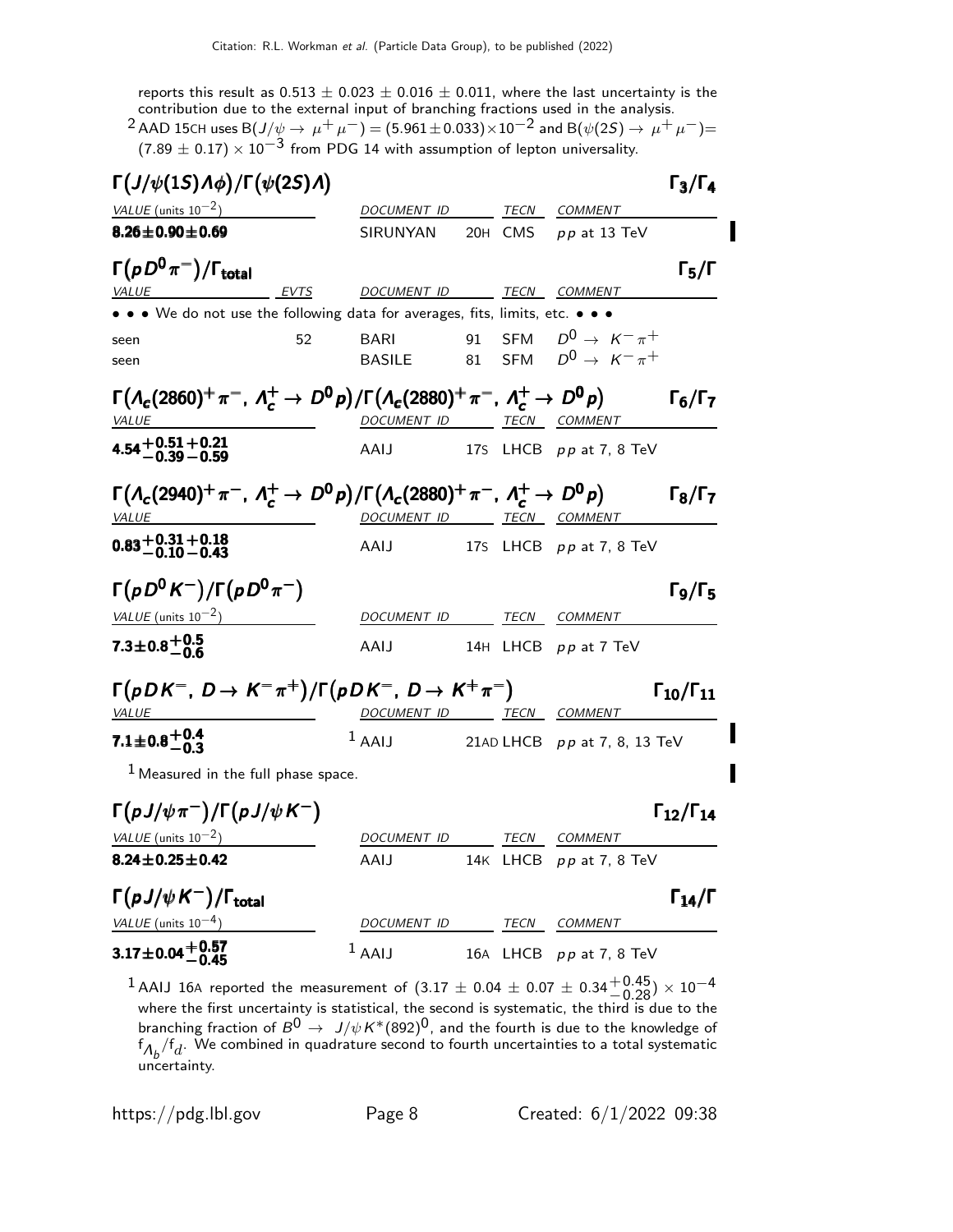reports this result as  $0.513 \pm 0.023 \pm 0.016 \pm 0.011$ , where the last uncertainty is the

contribution due to the external input of branching fractions used in the analysis.<br><sup>2</sup> AAD 15CH uses B(J/ $\psi \rightarrow \mu^+ \mu^-$ ) = (5.961±0.033)×10<sup>-2</sup> and B( $\psi$ (2*S*)  $\rightarrow \mu^+ \mu^-$ )=  $(7.89 \pm 0.17) \times 10^{-3}$  from PDG 14 with assumption of lepton universality.

| $\Gamma(J/\psi(1S)\Lambda\phi)/\Gamma(\psi(2S)\Lambda)$                                                             |                              |          |         |                                                                    | $\Gamma_3/\Gamma_4$                           |
|---------------------------------------------------------------------------------------------------------------------|------------------------------|----------|---------|--------------------------------------------------------------------|-----------------------------------------------|
| VALUE (units $10^{-2}$ )                                                                                            | DOCUMENT ID                  |          | TECN    | <b>COMMENT</b>                                                     |                                               |
| $8.26 \pm 0.90 \pm 0.69$                                                                                            | SIRUNYAN                     |          | 20H CMS | $pp$ at 13 TeV                                                     |                                               |
| $\Gamma(pD^0\pi^-)/\Gamma_{\rm total}$<br><b>EVTS</b><br><b>VALUE</b>                                               | <b>DOCUMENT ID</b>           |          |         | TECN COMMENT                                                       | $\Gamma_5/\Gamma$                             |
| • • • We do not use the following data for averages, fits, limits, etc. •                                           |                              |          |         |                                                                    |                                               |
| 52<br>seen<br>seen                                                                                                  | <b>BARI</b><br><b>BASILE</b> | 91<br>81 |         | SFM $D^0 \rightarrow K^- \pi^+$<br>SFM $D^0 \rightarrow K^- \pi^+$ |                                               |
| $\Gamma(A_c(2860)^+\pi^-$ , $\Lambda_c^+\to D^0p)/\Gamma(A_c(2880)^+\pi^-$ , $\Lambda_c^+\to D^0p)$<br><b>VALUE</b> | DOCUMENT ID TECN COMMENT     |          |         |                                                                    | $\Gamma_6/\Gamma_7$                           |
| 4.54 + 0.51 + 0.21<br>4.54 - 0.39 - 0.59                                                                            | AAIJ                         |          |         | 17S LHCB pp at 7, 8 TeV                                            |                                               |
| $\Gamma(A_c(2940)^+\pi^-$ , $\Lambda_c^+\to D^0p)/\Gamma(A_c(2880)^+\pi^-$ , $\Lambda_c^+\to D^0p)$<br><b>VALUE</b> | DOCUMENT ID TECN COMMENT     |          |         |                                                                    | $\Gamma_8/\Gamma_7$                           |
| $0.83 + 0.31 + 0.18$<br>-0.10 - 0.43                                                                                | AAIJ                         |          |         | 175 LHCB $pp$ at 7, 8 TeV                                          |                                               |
| $\Gamma(pD^0 K^-)/\Gamma(pD^0 \pi^-)$                                                                               |                              |          |         |                                                                    | $\Gamma$ <sub>9</sub> / $\Gamma$ <sub>5</sub> |
| $VALUE$ (units $10^{-2}$ )                                                                                          | <i>DOCUMENT ID</i>           |          | TECN    | <b>COMMENT</b>                                                     |                                               |
| $7.3 \pm 0.8 \pm 0.5$                                                                                               | AAIJ                         |          |         | 14H LHCB pp at 7 TeV                                               |                                               |
| $\Gamma(pDK^{-}, D \rightarrow K^{-}\pi^{+})/\Gamma(pDK^{-}, D \rightarrow K^{+}\pi^{-})$<br><u>VALUE</u>           | DOCUMENT ID TECN COMMENT     |          |         |                                                                    | $\Gamma_{10}/\Gamma_{11}$                     |
| $7.1 \pm 0.8 + 0.4$                                                                                                 | $1$ AAIJ                     |          |         | 21AD LHCB $pp$ at 7, 8, 13 TeV                                     |                                               |
| $1$ Measured in the full phase space.                                                                               |                              |          |         |                                                                    |                                               |
| $\Gamma(pJ/\psi\pi^{-})/\Gamma(pJ/\psi K^{-})$                                                                      |                              |          |         |                                                                    | $\Gamma_{12}/\Gamma_{14}$                     |
| VALUE (units $10^{-2}$ )                                                                                            | DOCUMENT ID                  |          | TECN    | <b>COMMENT</b>                                                     |                                               |
| 8.24 $\pm$ 0.25 $\pm$ 0.42                                                                                          | AAIJ                         |          |         | 14K LHCB pp at 7, 8 TeV                                            |                                               |
| $\Gamma(pJ/\psi K^{-})/\Gamma_{\rm total}$                                                                          |                              |          |         |                                                                    | $\Gamma_{14}/\Gamma$                          |
| VALUE (units $10^{-4}$ )                                                                                            | DOCUMENT ID                  |          | TECN    | COMMENT                                                            |                                               |
| $3.17 \pm 0.04 + 0.57$<br>-0.45                                                                                     | $1$ AAIJ                     |          |         | 16A LHCB pp at 7, 8 TeV                                            |                                               |

 $^1$  AAIJ 16A reported the measurement of  $(3.17 \pm 0.04 \pm 0.07 \pm 0.34 \pm 0.45) \times 10^{-4}$ where the first uncertainty is statistical, the second is systematic, the third is due to the branching fraction of  $B^0 \to J/\psi K^*(892)^0$ , and the fourth is due to the knowledge of  $\delta \varphi_f/\delta d_\perp$  . We combined in quadrature second to fourth uncertainties to a total systematic uncertainty.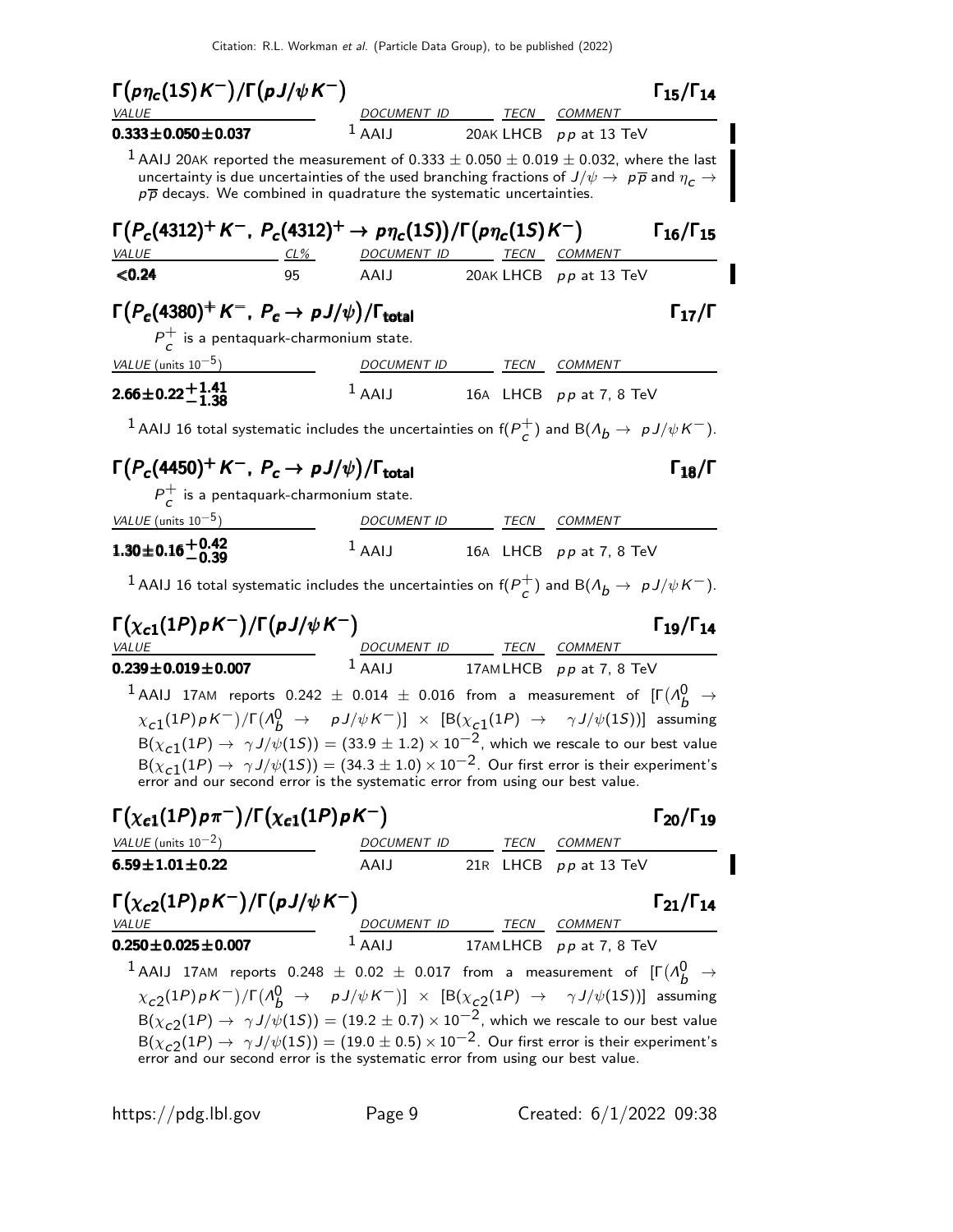Citation: R.L. Workman et al. (Particle Data Group), to be published (2022)

 $\Gamma(p\eta_c(1S)K^-)/\Gamma(pJ/\psi K^-)$  Γ<sub>15</sub>/Γ<sub>14</sub>  $\Gamma_{15}/\Gamma_{14}$ **COMMENT**  $0.333 \pm 0.050 \pm 0.037$  1 AAIJ 20AK LHCB pp at 13 TeV  $1$  AAIJ 20AK reported the measurement of 0.333  $\pm$  0.050  $\pm$  0.019  $\pm$  0.032, where the last uncertainty is due uncertainties of the used branching fractions of  $J/\psi\to~p\overline{p}$  and  $\eta_c\to$  $p\overline{p}$  decays. We combined in quadrature the systematic uncertainties.  $Γ(P_c(4312)^+ K^-, P_c(4312)^+ → pη_c(1S))/Γ(pη_c(1S)K^-)$  Γ<sub>16</sub>/Γ<sub>15</sub> VALUE CL% DOCUMENT ID TECN COMMENT  $\langle 0.24$  95 AAIJ 20AK LHCB pp at 13 TeV  $\Gamma(P_c(4380)^+ K^-, P_c \to p J/\psi)/\Gamma_{\text{total}}$ Γ  $P_{c}^{+}$  $\tau$  is a pentaquark-charmonium state. VALUE (units 10<sup>-5</sup>) DOCUMENT ID TECN COMMENT  $2.66\!\pm\!0.22\frac{+1.41}{-1.38}$  $1$  AAIJ 16A LHCB pp at 7, 8 TeV <sup>1</sup> AAIJ 16 total systematic includes the uncertainties on  $f(P_{\epsilon}^{+})$  $\frac{1}{c}$ ) and B( $\Lambda_b \to p J/\psi K^-$ ).  $\Gamma(P_c(4450)^+ K^-, P_c \to p J/\psi)/\Gamma_{\text{total}}$  $P_{c}^{+}$  $\overline{c}$  is a pentaquark-charmonium state. VALUE (units  $10^{-5}$ ) DOCUMENT ID TECN COMMENT <sup>1</sup>.30±0.16+0.<sup>42</sup> <sup>−</sup>0.<sup>39</sup> <sup>1</sup>.30±0.16+0.42−0.<sup>39</sup> <sup>1</sup>.30±0−1.30±0<sup>−</sup>  $1$  AAIJ 16A LHCB pp at 7, 8 TeV <sup>1</sup> AAIJ 16 total systematic includes the uncertainties on  $f(P_{\epsilon}^{+})$  $\frac{1}{c}$ ) and B( $\Lambda_b \to p J/\psi K^-$ ). Γ(χ<sub>c1</sub>(1P)ρK<sup>--</sup>)/Γ(ρJ/ψK<sup>--</sup>) Γ<sub>19</sub>/Γ<sub>14</sub> Γ19/Γ VALUE  $V = V$  DOCUMENT ID TECN COMMENT  $0.239 \pm 0.019 \pm 0.007$  17AMLHCB pp at 7, 8 TeV  $^1$  AAIJ 17AM reports  $0.242~\pm~0.014~\pm~0.016$  from a measurement of  $[\Gamma(\Lambda_b^0~\rightarrow~\Lambda_c^0(1)$  $\chi_{\bf c1}(1P)\,\rho\,K^-)/\Gamma\bigl({\it A}^0_{\bf b}\,\,\rightarrow\,\,\,\,\,\rho\,J/\psi\,K^-)\bigr]\;\times\;\left[\mathsf{B}(\chi_{\bf c1}(1P)\,\,\rightarrow\,\,\,\,\,\gamma\,J/\psi(1S))\right]\; \text{assuming}$  $B(\chi_{c1}(1P) \to \gamma J/\psi(1S)) = (33.9 \pm 1.2) \times 10^{-2}$ , which we rescale to our best value  $B(\chi_{c1}(1P) \to \gamma J/\psi(1S)) = (34.3 \pm 1.0) \times 10^{-2}$ . Our first error is their experiment's error and our second error is the systematic error from using our best value.  $\Gamma(\chi_{c1}(1P) p\pi^{-})/\Gamma(\chi_{c1}(1P) pK^{-})$  Γ<sub>20</sub>/Γ<sub>19</sub> VALUE (units  $10^{-2}$ ) DOCUMENT ID TECN COMMENT  $6.59 \pm 1.01 \pm 0.22$  AAIJ 21R LHCB pp at 13 TeV  $\Gamma(\chi_{c2}(1P)\rho K^-)/\Gamma(\rho J/\psi K^-)$  Γ<sub>21</sub>/Γ<sub>14</sub>  $^{-})$  Γ<sub>21</sub>/Γ<sub>14</sub> VALUE **DOCUMENT ID TECN COMMENT**  $\textbf{0.250} \pm \textbf{0.025} \pm \textbf{0.007}$   $1 \text{ AAIJ}$   $17 \text{AMLHCB}$   $p \text{p at 7, 8 TeV}$  $^1$  AAIJ 17AM reports  $0.248~\pm~0.02~\pm~0.017$  from a measurement of  $[\Gamma(\Lambda_b^0~\rightarrow~\Lambda_c^0(1)$  $\chi_{c2}(1P)\,\rho\,K^-)/\Gamma\bigl({\cal A}^0_{\bar{D}}\;\to\;\;\;\rho\,J/\psi\,K^-)\bigr]\;\times\;\left[\mathsf{B}(\chi_{c2}(1P)\;\to\;\;\;\gamma\,J/\psi(1S))\right]\; \text{assuming}$  $B(\chi_{c2}(1P) \to \gamma J/\psi(1S)) = (19.2 \pm 0.7) \times 10^{-2}$ , which we rescale to our best value  $B(\chi_{c2}(1P) \to \gamma J/\psi(1S)) = (19.0 \pm 0.5) \times 10^{-2}$ . Our first error is their experiment's error and our second error is the systematic error from using our best value.

https://pdg.lbl.gov Page 9 Created: 6/1/2022 09:38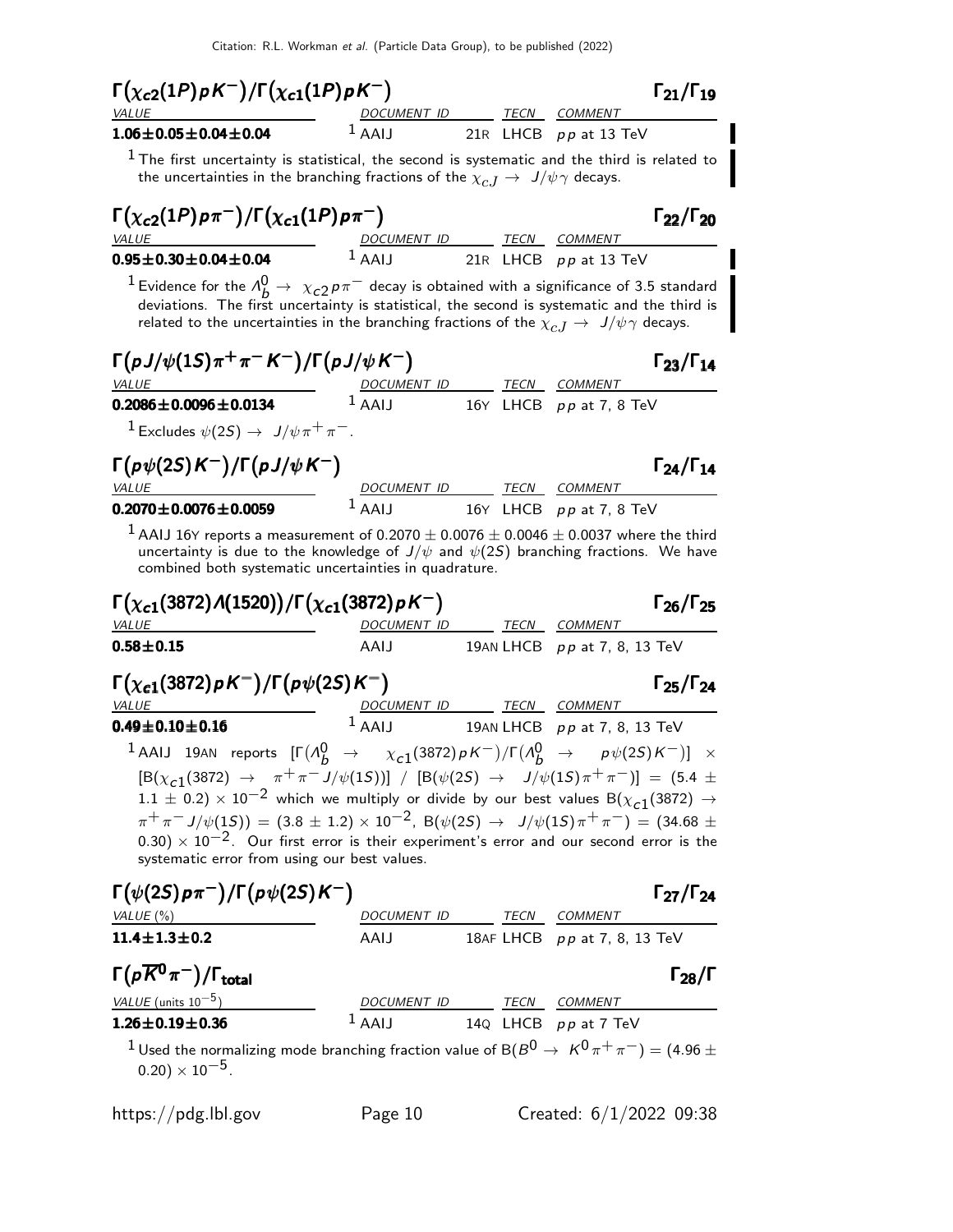Citation: R.L. Workman et al. (Particle Data Group), to be published (2022)

Γ(χ<sub>c2</sub>(1P)ρK<sup>--</sup>)/Γ(χ<sub>c1</sub>(1P)ρK<sup>--</sup>) Γ<sub>21</sub>/Γ<sub>19</sub>  $\Gamma_{21}/\Gamma_{19}$ COMMENT **1.06** $\pm$ **0.05** $\pm$ **0.04** $\pm$ **0.04** 1 AAIJ 21R LHCB pp at 13 TeV  $<sup>1</sup>$  The first uncertainty is statistical, the second is systematic and the third is related to</sup> the uncertainties in the branching fractions of the  $\chi_{cJ} \rightarrow J/\psi \gamma$  decays.  $\Gamma(\chi_{c2}(1P) p\pi^{-})/\Gamma(\chi_{c1}(1P) p\pi^{-})$  Γ<sub>22</sub>/Γ<sub>20</sub>  $\Gamma_{22}/\Gamma_{20}$ VALUE MERINDE DOCUMENT ID TECN COMMENT  $0.95 \pm 0.30 \pm 0.04 \pm 0.04$   $1$  AAIJ 21R LHCB pp at 13 TeV <sup>1</sup> Evidence for the  $\Lambda_b^0 \to \chi_{c2}^0 p \pi^-$  decay is obtained with a significance of 3.5 standard deviations. The first uncertainty is statistical, the second is systematic and the third is related to the uncertainties in the branching fractions of the  $\chi_{c,J} \to J/\psi \gamma$  decays.  $\Gamma(pJ/\psi(1S)\pi^+\pi^- K^-)/\Gamma(pJ/\psi K^-)$  Γ<sub>23</sub>/Γ<sub>14</sub> VALUE **DOCUMENT ID** TECN COMMENT **0.2086** $\pm$ **0.0096** $\pm$ **0.0134** <sup>1</sup> AAIJ 16Y LHCB pp at 7, 8 TeV  $1$  Excludes  $\psi(2S) \rightarrow J/\psi \pi^+ \pi^-$ .  $\Gamma(p\psi(2S)K^{-})/\Gamma(pJ/\psi K^{-})$   $\Gamma_{24}/\Gamma_{14}$ ⟩ )  $\Gamma_{24}/\Gamma_{14}$ VALUE **DOCUMENT ID** TECN COMMENT **0.2070** $\pm$ **0.0076** $\pm$ **0.0059** <sup>1</sup> AAIJ 16Y LHCB pp at 7, 8 TeV  $^1$  AAIJ 16Y reports a measurement of 0.2070  $\pm$  0.0076  $\pm$  0.0046  $\pm$  0.0037 where the third uncertainty is due to the knowledge of  $J/\psi$  and  $\psi(2S)$  branching fractions. We have combined both systematic uncertainties in quadrature. Γ( $\chi_{c1}(3872)$ Λ(1520))/Γ( $\chi_{c1}(3872)$ ρΚ $^-$ ) Γ26/Γ25 Γ<sub>26</sub>/Γ<sub>25</sub> VALUE DOCUMENT ID TECN COMMENT **0.58** $\pm$ **0.15 AAIJ** 19AN LHCB pp at 7, 8, 13 TeV Γ( $\chi_{c1}(3872)\rho K^-$ )/Γ( $\rho\psi(2S)K^-$ ) Γ25/Γ24  $\Gamma_{25}/\Gamma_{24}$ VALUE **DOCUMENT ID TECN COMMENT**  $0.49 \pm 0.10 \pm 0.16$  1 AAIJ 19AN LHCB pp at 7, 8, 13 TeV <sup>1</sup> AAIJ 19AN reports  $[Γ(Λ_ b^0 → X_{c1}(3872)ρK^-)/Γ(Λ_ b^0 → ρ(2S)K^-)] ×$  $\left[ B(\chi_{c1}(3872) \rightarrow \pi^+\pi^- J/\psi(15)) \right] / \left[ B(\psi(25) \rightarrow J/\psi(15)\pi^+\pi^-) \right] = (5.4 \pm 1.0)$ 1.1  $\pm$  0.2)  $\times$  10<sup>-2</sup> which we multiply or divide by our best values B( $\chi$ <sub>C1</sub>(3872)  $\rightarrow$  $\pi^{+}\pi^{-}J/\psi(15)) = (3.8 \pm 1.2) \times 10^{-2}$ , B( $\psi(25) \rightarrow J/\psi(15)\pi^{+}\pi^{-}) = (34.68 \pm 1.2)$  $(0.30) \times 10^{-2}$ . Our first error is their experiment's error and our second error is the systematic error from using our best values.  $\Gamma(\psi(2S) p \pi^{-})/\Gamma(p \psi(2S) K^{-})$  Γ27/Γ24  $\Gamma_{27}/\Gamma_{24}$ VALUE (%)  $DOCUMENT$  ID TECN COMMENT **11.4** $\pm$ **1.3** $\pm$ **0.2 AAIJ** 18AF LHCB p p at 7, 8, 13 TeV  $\Gamma(p\overline{K}^0\pi^-)/\Gamma_{\rm total}$ )/Γ<sub>total</sub>Γ28/Γ VALUE (units  $10^{-5}$ ) ) DOCUMENT ID TECN COMMENT **1.26** $\pm$ **0.19** $\pm$ **0.36** <sup>1</sup> AAIJ 14Q LHCB pp at 7 TeV <sup>1</sup> Used the normalizing mode branching fraction value of B( $B^{0}$  →  $K^{0}\pi^{+}\pi^{-}$ ) = (4.96  $\pm$  $(0.20) \times 10^{-5}$ .

https://pdg.lbl.gov Page 10 Created: 6/1/2022 09:38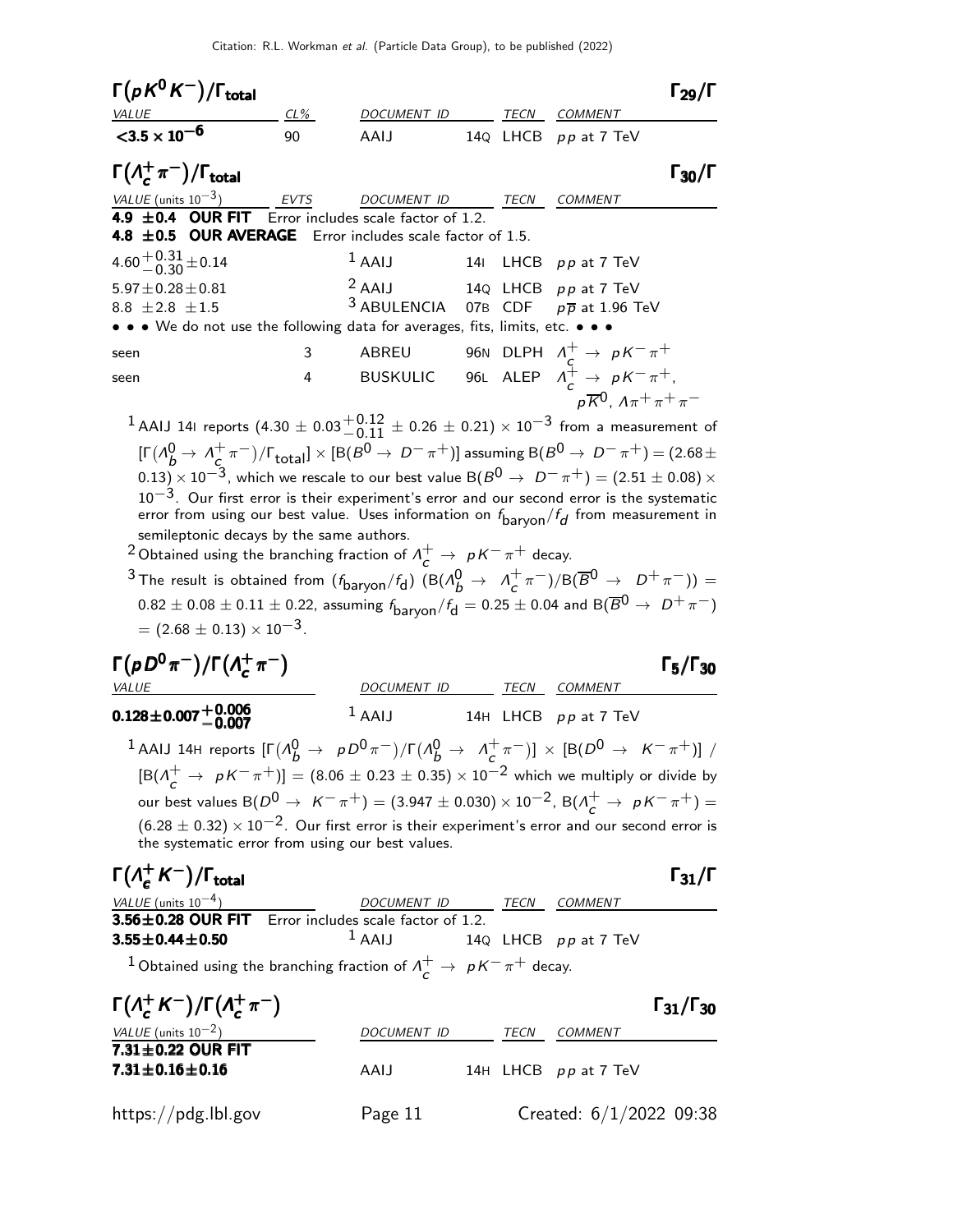| $\Gamma(pK^0K^-)/\Gamma_{\rm total}$                                           |        |                                 |  |                                                                                                          |             |
|--------------------------------------------------------------------------------|--------|---------------------------------|--|----------------------------------------------------------------------------------------------------------|-------------|
| VALUE                                                                          | $CL\%$ | DOCUMENT ID TECN                |  | <b>COMMENT</b>                                                                                           |             |
| $<$ 3.5 $\times$ 10 <sup>-6</sup>                                              | 90     | AAIJ                            |  | 14Q LHCB pp at 7 TeV                                                                                     |             |
| $\Gamma(\Lambda_c^+\pi^-)/\Gamma_{\rm total}$                                  |        |                                 |  |                                                                                                          | <b>130/</b> |
| VALUE (units $10^{-3}$ ) EVTS DOCUMENT ID TECN                                 |        |                                 |  | <b>COMMENT</b>                                                                                           |             |
| <b>4.9 <math>\pm</math>0.4 OUR FIT</b> Error includes scale factor of 1.2.     |        |                                 |  |                                                                                                          |             |
| <b>4.8 <math>\pm</math>0.5 OUR AVERAGE</b> Error includes scale factor of 1.5. |        |                                 |  |                                                                                                          |             |
| 4.60 $^{+0.31}_{-0.30}$ ± 0.14                                                 |        | $1$ AAIJ 141 LHCB $pp$ at 7 TeV |  |                                                                                                          |             |
| $5.97 \pm 0.28 \pm 0.81$                                                       |        |                                 |  |                                                                                                          |             |
| 8.8 $\pm 2.8 \pm 1.5$                                                          |        |                                 |  | <sup>2</sup> AAIJ 14Q LHCB $p p$ at 7 TeV<br><sup>3</sup> ABULENCIA 07B CDF $p \overline{p}$ at 1.96 TeV |             |
| • • • We do not use the following data for averages, fits, limits, etc. • • •  |        |                                 |  |                                                                                                          |             |
| seen                                                                           | 3      |                                 |  | ABREU 96N DLPH $\Lambda_c^+ \to pK^-\pi^+$<br>BUSKULIC 96L ALEP $\Lambda_c^+ \to pK^-\pi^+$ ,            |             |
| seen                                                                           | 4      |                                 |  |                                                                                                          |             |
|                                                                                |        |                                 |  | $p\overline{K}^0$ , $\Lambda\pi^+\pi^+\pi^-$                                                             |             |

 $^{\text{1}}$  AAIJ 141 reports  $(4.30 \pm 0.03 {+0.12 \atop -0.11} \pm 0.26 \pm 0.21)\times 10^{-3}$  from a measurement of  $[\Gamma(\Lambda_b^0 \rightarrow \Lambda_c^+)]$  $(\frac{1}{c}\pi^{-})/\Gamma_{\text{total}}] \times [B(B^0 \to D^- \pi^+)]$  assuming  $B(B^0 \to D^- \pi^+)$  = (2.68  $\pm$  $(0.13)\times 10^{-3}$ , which we rescale to our best value B $(B^0\to D^-\pi^+)=(2.51\pm 0.08)\times 10^{-3}$ 10<sup>-3</sup>. Our first error is their experiment's error and our second error is the systematic error from using our best value. Uses information on  $f_{\sf baryon}/f_{\bm d}$  from measurement in semileptonic decays by the same authors.

<sup>2</sup> Obtained using the branching fraction of  $\Lambda_c^+ \to pK^-\pi^+$  decay.

 $^3$  The result is obtained from  $(f_{\text{baryon}}/f_{\text{d}})$   $(\text{B}(A_b^0 \rightarrow A_c^+)$  $(\frac{1}{c} \pi^{-})/B(\overline{B}^{0} \rightarrow D^{+} \pi^{-})) =$  $0.82 \pm 0.08 \pm 0.11 \pm 0.22$ , assuming  $f_{\text{baryon}}/f_{\text{d}} = 0.25 \pm 0.04$  and  $B(\overline{B}^0 \to D^+\pi^-)$  $= (2.68 \pm 0.13) \times 10^{-3}$ .

 $\Gamma_5/\Gamma_{30}$ 

 $K^- \pi^+$ )] /

$$
\begin{array}{ll}\n\Gamma(pD^0\pi^-)/\Gamma(\Lambda_c^+\pi^-) & \text{EECN} & \text{COMMENT} \\
\hline\n0.128 \pm 0.007 \pm 0.006 & 1 \text{ AAIJ} & 14H \text{ LHCB } pp \text{ at } 7 \text{ TeV} \\
1 \text{ AAIJ} & 14H \text{ HCB } pp \text{ at } 7 \text{ TeV} \\
1 \text{ AAIJ} & 14H \text{ LHCB } pp \text{ at } 7 \text{ TeV} \\
1 \text{ AAIJ} & 14H \text{ LHCB } pp \text{ at } 7 \text{ TeV} \\
1 \text{ AAIJ} & 14H \text{ LHCB } pp \text{ at } 7 \text{ TeV} \\
1 \text{ AAIJ} & 14H \text{ LHCB } pp \text{ at } 7 \text{ TeV} \\
1 \text{ AAIJ} & 14H \text{ LHCB } pp \text{ at } 7 \text{ TeV} \\
1 \text{ AAIJ} & 14H \text{ LHCB } pp \text{ at } 7 \text{ TeV} \\
1 \text{ AAIJ} & 14H \text{ LHCB } pp \text{ at } 7 \text{ TeV} \\
1 \text{ AAIJ} & 14H \text{ LHCB } pp \text{ at } 7 \text{ TeV} \\
1 \text{ AAIJ} & 14H \text{ LHCB } pp \text{ at } 7 \text{ TeV} \\
1 \text{ AAIJ} & 14H \text{ LHCB } pp \text{ at } 7 \text{ TeV} \\
1 \text{ AAIJ} & 14H \text{ LHCB } pp \text{ at } 7 \text{ TeV} \\
1 \text{ AAIJ} & 14H \text{ LHCB } pp \text{ at } 7 \text{ TeV} \\
1 \text{ BIAJ} & 14H \text{ LHCB } pp \text{ at } 7 \text{ TeV} \\
1 \text{ BIAJ} & 14H \text{ LHCB } pp \text{ at } 7 \text{ TeV} \\
1 \text{ BIAJ} & 14H \text{ LHCB } pp \text{ at } 7 \text{ TeV} \\
1 \text{ AAIJ} & 14H \text{ LHCB } pp \text{ at } 7 \text{ TeV} \\
1 \text{ AAIJ} & 14H \text{ LHCB } pp \text{ at } 7 \text{ TeV} \\
1 \text{ AAIJ} & 14H \text{ LHCB } pp \text{ at
$$

| VALUE (units $10^{-4}$ ) | DOCUMENT ID                                                              | <i>TFCN</i> | COMMENT              |
|--------------------------|--------------------------------------------------------------------------|-------------|----------------------|
|                          | $3.56 \pm 0.28$ OUR FIT Error includes scale factor of 1.2.              |             |                      |
| $3.55 \pm 0.44 \pm 0.50$ | $\frac{1}{2}$ AAIJ                                                       |             | 14Q LHCB pp at 7 TeV |
|                          | 1. Obtained using the homeling function of $A^+$ , $B^+$ , $B^-$ + decay |             |                      |

 $^1$ Obtained using the branching fraction of  $\Lambda^+_c\rightarrow~pK^-\pi^+$  decay.

| $\Gamma(\Lambda_c^+ K^-)/\Gamma(\Lambda_c^+ \pi^-)$ |                    |             |                         | $\Gamma_{31}/\Gamma_{30}$ |
|-----------------------------------------------------|--------------------|-------------|-------------------------|---------------------------|
| VALUE (units $10^{-2}$ )                            | <b>DOCUMENT ID</b> | <i>TECN</i> | COMMENT                 |                           |
| $7.31\pm0.22$ OUR FIT<br>$7.31 \pm 0.16 \pm 0.16$   | AAIJ               |             | 14H LHCB pp at 7 TeV    |                           |
| https://pdg.lbl.gov                                 | Page 11            |             | Created: 6/1/2022 09:38 |                           |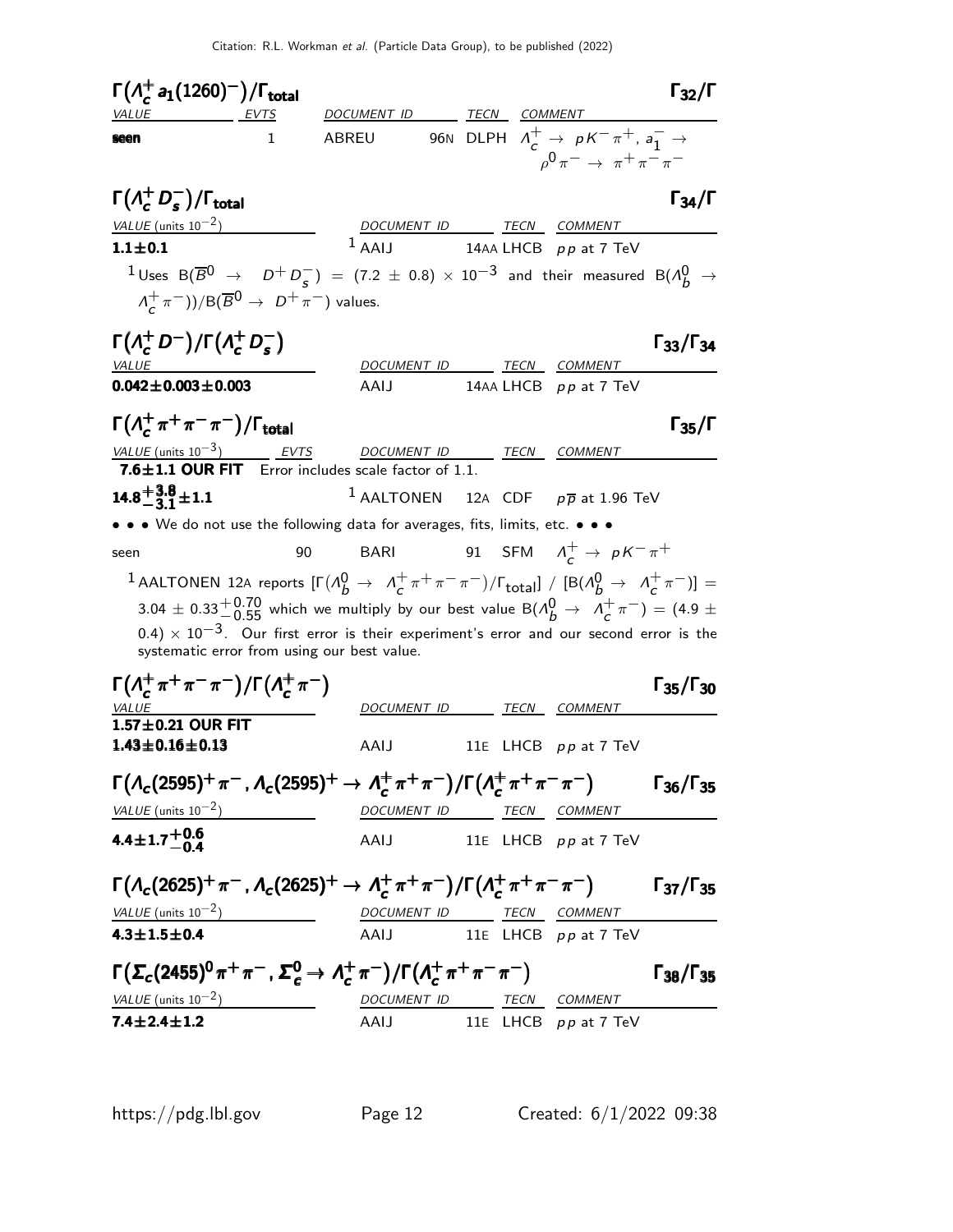| $\Gamma(A_c^+ a_1(1260)^-) / \Gamma_{\text{total}}$                                                                                                                                                              |                     |                                                                                                                                                                                                                                                                                      |  |                                                                                                                                 | $\Gamma_{32}/\Gamma$      |
|------------------------------------------------------------------------------------------------------------------------------------------------------------------------------------------------------------------|---------------------|--------------------------------------------------------------------------------------------------------------------------------------------------------------------------------------------------------------------------------------------------------------------------------------|--|---------------------------------------------------------------------------------------------------------------------------------|---------------------------|
| VALUE                                                                                                                                                                                                            | <u>EVTS</u>         | DOCUMENT ID TECN COMMENT                                                                                                                                                                                                                                                             |  |                                                                                                                                 |                           |
| seen                                                                                                                                                                                                             | 1.                  | ABREU                                                                                                                                                                                                                                                                                |  | 96N DLPH $\Lambda_c^+ \rightarrow pK^-\pi^+$ , $a_1^- \rightarrow$<br>$_{0}\mathbf{0}\pi^{-} \rightarrow \pi^{+}\pi^{-}\pi^{-}$ |                           |
| $\Gamma(\Lambda_c^+ D_s^-)/\Gamma_{\rm total}$                                                                                                                                                                   |                     |                                                                                                                                                                                                                                                                                      |  |                                                                                                                                 | $\Gamma_{34}/\Gamma$      |
| VALUE (units $10^{-2}$ )                                                                                                                                                                                         |                     |                                                                                                                                                                                                                                                                                      |  | DOCUMENT ID TECN COMMENT                                                                                                        |                           |
| $1.1 \pm 0.1$                                                                                                                                                                                                    |                     | $1$ AAII                                                                                                                                                                                                                                                                             |  | 14AA LHCB $pp$ at 7 TeV                                                                                                         |                           |
| $1 \text{ Uses } B(\overline{B}^0 \rightarrow D^+ D^-_{\varsigma}) = (7.2 \pm 0.8) \times 10^{-3}$ and their measured $B(\Lambda_b^0 \rightarrow$<br>$(\Lambda_c^+\pi^-))/B(\overline{B}^0\to D^+\pi^-)$ values. |                     |                                                                                                                                                                                                                                                                                      |  |                                                                                                                                 |                           |
| $\Gamma(A_c^+ D^-)/\Gamma(A_c^+ D_s^-)$                                                                                                                                                                          |                     |                                                                                                                                                                                                                                                                                      |  |                                                                                                                                 | $\Gamma_{33}/\Gamma_{34}$ |
| <b>VALUE</b>                                                                                                                                                                                                     |                     |                                                                                                                                                                                                                                                                                      |  | DOCUMENT ID TECN COMMENT                                                                                                        |                           |
| $0.042 \pm 0.003 \pm 0.003$                                                                                                                                                                                      |                     | AAIJ                                                                                                                                                                                                                                                                                 |  | 14AA LHCB $pp$ at 7 TeV                                                                                                         |                           |
| $\Gamma(\Lambda_c^+\pi^+\pi^-\pi^-)/\Gamma_{\rm total}$                                                                                                                                                          |                     |                                                                                                                                                                                                                                                                                      |  |                                                                                                                                 | $\Gamma_{35}/\Gamma$      |
| VALUE (units $10^{-3}$ )                                                                                                                                                                                         | $\frac{EVTS}{EVTS}$ | DOCUMENT ID TECN COMMENT                                                                                                                                                                                                                                                             |  |                                                                                                                                 |                           |
| 7.6±1.1 OUR FIT Error includes scale factor of 1.1.                                                                                                                                                              |                     |                                                                                                                                                                                                                                                                                      |  |                                                                                                                                 |                           |
| $14.8^{+3.8}_{-3.1}$ ± 1.1                                                                                                                                                                                       |                     |                                                                                                                                                                                                                                                                                      |  | <sup>1</sup> AALTONEN 12A CDF $p\overline{p}$ at 1.96 TeV                                                                       |                           |
| • • • We do not use the following data for averages, fits, limits, etc. • • •                                                                                                                                    |                     |                                                                                                                                                                                                                                                                                      |  |                                                                                                                                 |                           |
| seen                                                                                                                                                                                                             | 90                  | BARI 91 SFM $\Lambda_c^+ \rightarrow pK^-\pi^+$                                                                                                                                                                                                                                      |  |                                                                                                                                 |                           |
| 1 AALTONEN 12A reports $[\Gamma(\Lambda_b^0 \to \Lambda_c^+\pi^+\pi^-\pi^-)/\Gamma_{\rm total}]$ / $[\text{B}(\Lambda_b^0 \to \Lambda_c^+\pi^-)]$ =                                                              |                     | $3.04 \pm 0.33^{+0.70}_{-0.55}$ which we multiply by our best value B( $\Lambda_b^0 \rightarrow \Lambda_c^+ \pi^-$ ) = (4.9 $\pm$<br>$(0.4) \times 10^{-3}$ . Our first error is their experiment's error and our second error is the<br>systematic error from using our best value. |  |                                                                                                                                 |                           |
| $\Gamma(\Lambda_c^+\pi^+\pi^-\pi^-)/\Gamma(\Lambda_c^+\pi^-)$                                                                                                                                                    |                     |                                                                                                                                                                                                                                                                                      |  |                                                                                                                                 | $\Gamma_{35}/\Gamma_{30}$ |
| $1.57 \pm 0.21$ OUR FIT                                                                                                                                                                                          |                     |                                                                                                                                                                                                                                                                                      |  | DOCUMENT ID TECN COMMENT                                                                                                        |                           |
| $1.43 \pm 0.16 \pm 0.13$                                                                                                                                                                                         |                     | AAIJ                                                                                                                                                                                                                                                                                 |  | 11E LHCB pp at 7 TeV                                                                                                            |                           |
| $\Gamma(A_c(2595)^+\pi^-$ , $\Lambda_c(2595)^+\to \Lambda_c^+\pi^+\pi^-)/\Gamma(A_c^+\pi^+\pi^-\pi^-)$                                                                                                           |                     |                                                                                                                                                                                                                                                                                      |  |                                                                                                                                 | $\Gamma_{36}/\Gamma_{35}$ |
| VALUE (units $10^{-2}$ )                                                                                                                                                                                         |                     | <u>DOCUMENT ID TECN COMMENT</u>                                                                                                                                                                                                                                                      |  |                                                                                                                                 |                           |
| $4.4 \pm 1.7 + 0.6$<br>-0.4                                                                                                                                                                                      |                     |                                                                                                                                                                                                                                                                                      |  | AAIJ 11E LHCB pp at 7 TeV                                                                                                       |                           |
| $\Gamma(A_c(2625)^+\pi^-$ , $A_c(2625)^+\to A_c^+\pi^+\pi^-)/\Gamma(A_c^+\pi^+\pi^-\pi^-)$                                                                                                                       |                     |                                                                                                                                                                                                                                                                                      |  |                                                                                                                                 | $\Gamma_{37}/\Gamma_{35}$ |
| $\frac{VALUE \text{ (units 10}^{-2})}{A.3 \pm 1.5 \pm 0.4}$ $\frac{DOCUMENT \text{ } ID}{AAIJ}$ $\frac{TECN}{11E}$ $\frac{COMMENT}{LHCB}$ $\frac{COMMENT}{p \text{ } p \text{ at } 7 \text{ } TeV}$              |                     |                                                                                                                                                                                                                                                                                      |  |                                                                                                                                 |                           |
|                                                                                                                                                                                                                  |                     |                                                                                                                                                                                                                                                                                      |  |                                                                                                                                 |                           |
| $\Gamma(\Sigma_c(2455)^0 \pi^+ \pi^-$ , $\Sigma_c^0 \to \Lambda_c^+ \pi^-)/\Gamma(\Lambda_c^+ \pi^+ \pi^- \pi^-)$                                                                                                |                     |                                                                                                                                                                                                                                                                                      |  |                                                                                                                                 | $\Gamma_{38}/\Gamma_{35}$ |
| VALUE (units $10^{-2}$ )                                                                                                                                                                                         |                     |                                                                                                                                                                                                                                                                                      |  | DOCUMENT ID TECN COMMENT                                                                                                        |                           |
| $7.4 \pm 2.4 \pm 1.2$                                                                                                                                                                                            |                     | AAIJ                                                                                                                                                                                                                                                                                 |  | 11E LHCB pp at 7 TeV                                                                                                            |                           |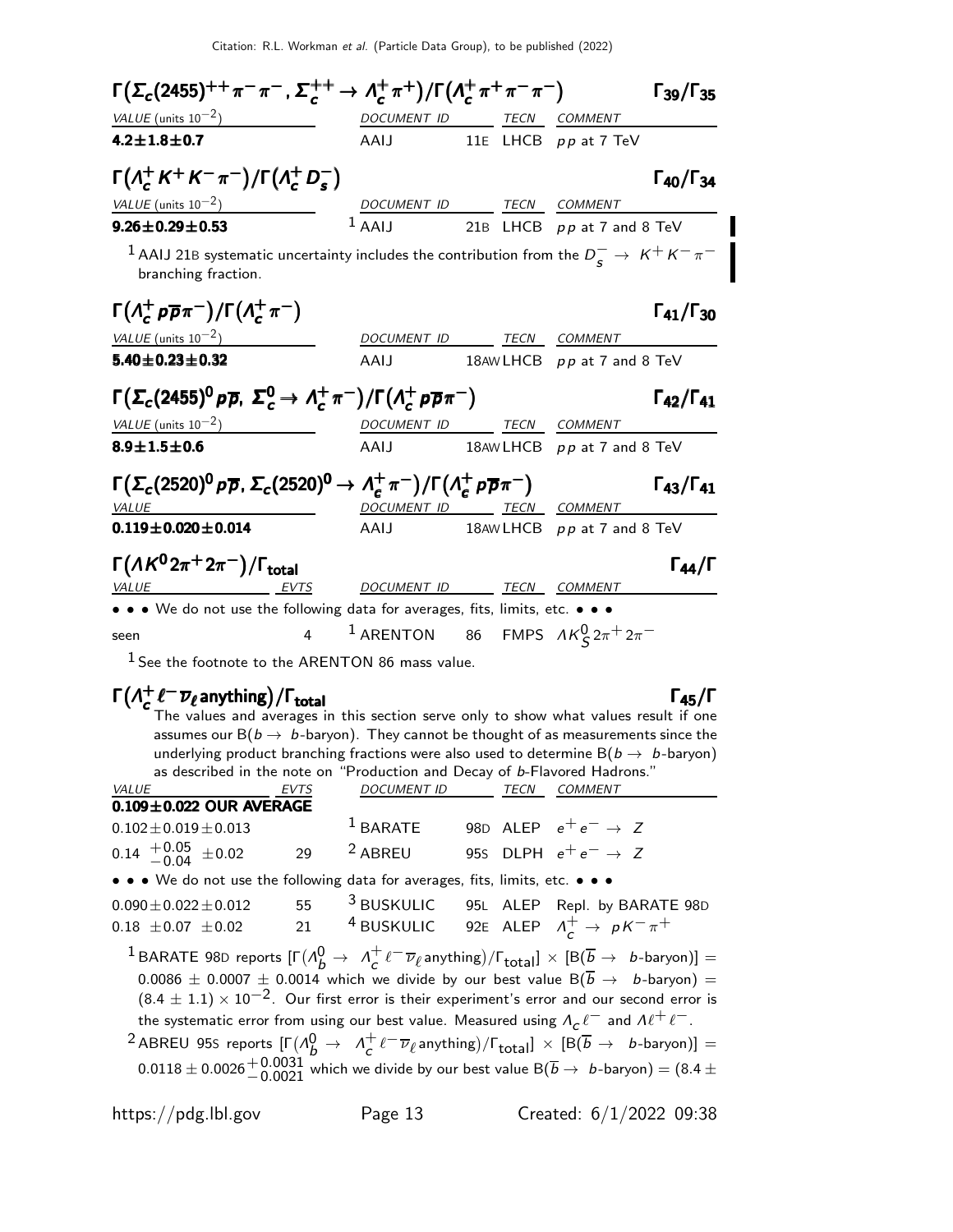| $\Gamma(\Sigma_c(2455)^{++}\pi^-\pi^-$ , $\Sigma_c^{++}\to \Lambda_c^+\pi^+)/\Gamma(\Lambda_c^+\pi^+\pi^-\pi^-)$                                           |                |                                                            |      | $\Gamma_{39}/\Gamma_{35}$                                                                         |
|------------------------------------------------------------------------------------------------------------------------------------------------------------|----------------|------------------------------------------------------------|------|---------------------------------------------------------------------------------------------------|
| $VALUE$ (units $10^{-2}$ )                                                                                                                                 |                | DOCUMENT ID TECN                                           |      | <i>COMMENT</i>                                                                                    |
| $4.2 \pm 1.8 \pm 0.7$                                                                                                                                      |                | AAIJ                                                       |      | 11E LHCB pp at 7 TeV                                                                              |
| $\Gamma(\Lambda_c^+ K^+ K^- \pi^-)/\Gamma(\Lambda_c^+ D_s^-)$                                                                                              |                |                                                            |      | $\Gamma_{40}/\Gamma_{34}$                                                                         |
| VALUE (units $10^{-2}$ )                                                                                                                                   |                | DOCUMENT ID TECN COMMENT                                   |      |                                                                                                   |
| $9.26 \pm 0.29 \pm 0.53$                                                                                                                                   |                | $1$ AAIJ                                                   |      | 21B LHCB pp at 7 and 8 TeV                                                                        |
| branching fraction.                                                                                                                                        |                |                                                            |      | $^{-1}$ AAIJ 21B systematic uncertainty includes the contribution from the $D_s^-\to~K^+K^-\pi^-$ |
| $\Gamma(\Lambda_c^+ \rho \overline{\rho} \pi^-)/\Gamma(\Lambda_c^+ \pi^-)$                                                                                 |                |                                                            |      | $\Gamma_{41}/\Gamma_{30}$                                                                         |
| VALUE (units $10^{-2}$ )                                                                                                                                   |                | DOCUMENT ID                                                | TECN | <i>COMMENT</i>                                                                                    |
| $5.40 \pm 0.23 \pm 0.32$                                                                                                                                   |                | AAIJ                                                       |      | 18AW LHCB pp at 7 and 8 TeV                                                                       |
| $\Gamma(\Sigma_c(2455)^0 \, \rho \overline{\rho}, \, \Sigma_c^0 \to \Lambda_c^+ \, \pi^-)/\Gamma(\Lambda_c^+ \, \rho \overline{\rho} \pi^-)$               |                |                                                            |      | $\Gamma_{42}/\Gamma_{41}$                                                                         |
| VALUE (units $10^{-2}$ )                                                                                                                                   |                | DOCUMENT ID                                                |      | TECN COMMENT                                                                                      |
| $8.9 \pm 1.5 \pm 0.6$                                                                                                                                      |                | AAIJ                                                       |      | 18AW LHCB $pp$ at 7 and 8 TeV                                                                     |
| $\Gamma(\Sigma_c(2520)^0 \, \rho \overline{\rho}, \, \Sigma_c(2520)^0 \rightarrow \Lambda_c^+ \, \pi^-)/\Gamma(\Lambda_c^+ \, \rho \overline{\rho} \pi^-)$ |                |                                                            |      | $\Gamma_{43}/\Gamma_{41}$                                                                         |
| <b>VALUE</b><br>$0.119 \pm 0.020 \pm 0.014$                                                                                                                |                | DOCUMENT ID TECN<br>AAIJ                                   |      | COMMENT<br>18AW LHCB pp at 7 and 8 TeV                                                            |
|                                                                                                                                                            |                |                                                            |      |                                                                                                   |
| $\Gamma(AK^02\pi^+2\pi^-)/\Gamma_{\rm total}$                                                                                                              |                |                                                            |      | $\Gamma_{44}/\Gamma$                                                                              |
| VALUE<br>EVTS                                                                                                                                              |                | DOCUMENT ID TECN COMMENT                                   |      |                                                                                                   |
| • • • We do not use the following data for averages, fits, limits, etc. • • •                                                                              |                |                                                            |      |                                                                                                   |
| seen                                                                                                                                                       | $\overline{4}$ | <sup>1</sup> ARENTON 86 FMPS $\Lambda K_S^0 2\pi^+ 2\pi^-$ |      |                                                                                                   |

1 See the footnote to the ARENTON 86 mass value.

#### $\Gamma(\Lambda^+_\mathsf{c}$  $\Gamma(\Lambda_c^+e^-\overline{\nu}_\ell$ anything)/ $\Gamma_{\rm total}$  [45/Γ

Г

The values and averages in this section serve only to show what values result if one assumes our  $B(b \to b$ -baryon). They cannot be thought of as measurements since the underlying product branching fractions were also used to determine  $B(b \rightarrow b$ -baryon) as described in the note on "Production and Decay of b-Flavored Hadrons."

| VALUE                                                                         | EVTS | <b>DOCUMENT ID</b> | TECN | <b>COMMENT</b>                                                                                                                                                                                                                                                                                                                                                                                                                                                                                                                                                                                                                                                                                                                                                                                                                                                 |
|-------------------------------------------------------------------------------|------|--------------------|------|----------------------------------------------------------------------------------------------------------------------------------------------------------------------------------------------------------------------------------------------------------------------------------------------------------------------------------------------------------------------------------------------------------------------------------------------------------------------------------------------------------------------------------------------------------------------------------------------------------------------------------------------------------------------------------------------------------------------------------------------------------------------------------------------------------------------------------------------------------------|
| $0.109 \pm 0.022$ OUR AVERAGE                                                 |      |                    |      |                                                                                                                                                                                                                                                                                                                                                                                                                                                                                                                                                                                                                                                                                                                                                                                                                                                                |
| $0.102 \pm 0.019 \pm 0.013$                                                   |      | $1$ BARATE         |      | 98D ALEP $e^+e^- \rightarrow Z$                                                                                                                                                                                                                                                                                                                                                                                                                                                                                                                                                                                                                                                                                                                                                                                                                                |
| $0.14$ $^{+0.05}_{-0.04}$ $\pm 0.02$                                          | 29   | $2$ ABREU          |      | 95s DLPH $e^+e^- \rightarrow Z$                                                                                                                                                                                                                                                                                                                                                                                                                                                                                                                                                                                                                                                                                                                                                                                                                                |
| • • • We do not use the following data for averages, fits, limits, etc. • • • |      |                    |      |                                                                                                                                                                                                                                                                                                                                                                                                                                                                                                                                                                                                                                                                                                                                                                                                                                                                |
| $0.090 \pm 0.022 \pm 0.012$                                                   | 55   |                    |      | <sup>3</sup> BUSKULIC 95L ALEP Repl. by BARATE 98D                                                                                                                                                                                                                                                                                                                                                                                                                                                                                                                                                                                                                                                                                                                                                                                                             |
| $0.18 \pm 0.07 \pm 0.02$                                                      | 21   |                    |      | <sup>4</sup> BUSKULIC 92E ALEP $\Lambda_c^+ \rightarrow pK^-\pi^+$                                                                                                                                                                                                                                                                                                                                                                                                                                                                                                                                                                                                                                                                                                                                                                                             |
|                                                                               |      |                    |      | <sup>1</sup> BARATE 98D reports $[\Gamma(\Lambda_b^0 \to \Lambda_c^+ \ell^- \overline{\nu}_\ell \text{anything})/\Gamma_{\text{total}}] \times [B(\overline{b} \to \ b\text{-baryon})] =$<br>$0.0086 \pm 0.0007 \pm 0.0014$ which we divide by our best value B( $\overline{b} \rightarrow b$ -baryon) =<br>$(8.4 \pm 1.1) \times 10^{-2}$ . Our first error is their experiment's error and our second error is<br>the systematic error from using our best value. Measured using $A_c \ell^-$ and $A \ell^+ \ell^-$ .<br><sup>2</sup> ABREU 95S reports $[\Gamma(A_b^0 \rightarrow A_c^+ \ell^- \overline{\nu}_{\ell} \text{anything})/\Gamma_{\text{total}}] \times [B(\overline{b} \rightarrow b\text{-baryon})] =$<br>$0.0118 \pm 0.0026 \frac{+0.0031}{-0.0021}$ which we divide by our best value B( $\overline{b} \rightarrow b$ -baryon) = (8.4 $\pm$ |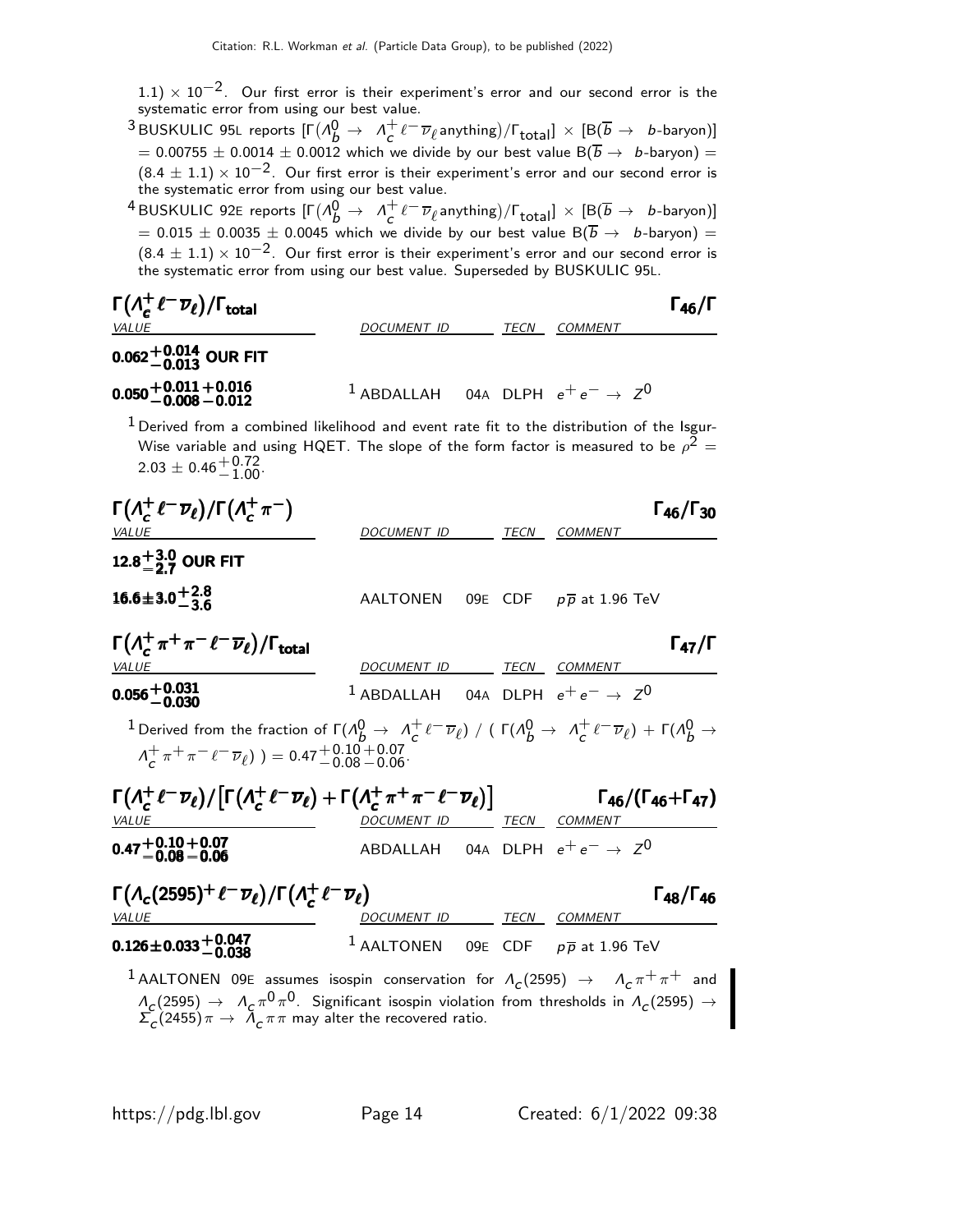$1.1) \times 10^{-2}$ . Our first error is their experiment's error and our second error is the systematic error from using our best value.

 $^3$ BUSKULIC 95L reports  $[\Gamma(\Lambda_b^0\to~\Lambda_c^+]$  $\frac{1}{c} \ell^- \overline{\nu}_\ell$ anything)/ $\Gamma_{\text{total}}$ ]  $\times$  [B $\overline{\text{B}}$   $\rightarrow$   $\;$  b-baryon)]  $=$  0.00755  $\pm$  0.0014  $\pm$  0.0012 which we divide by our best value B( $\overline{b} \rightarrow \;$  b-baryon)  $=$  $(8.4 \pm 1.1) \times 10^{-2}$ . Our first error is their experiment's error and our second error is the systematic error from using our best value.

 $^4$ BUSKULIC 92E reports  $[\Gamma(\Lambda_b^0 \rightarrow \ \Lambda_c^+)]$  $\frac{1}{c} \ell^- \overline{\nu}_\ell$ anything)/ $\Gamma_{\text{total}}$ ]  $\times$  [B $(\overline{b} \rightarrow b$ -baryon)]  $=$  0.015  $\pm$  0.0035  $\pm$  0.0045 which we divide by our best value B( $\overline{b}$   $\rightarrow$   $\,$  b-baryon)  $=$  $(8.4 \pm 1.1) \times 10^{-2}$ . Our first error is their experiment's error and our second error is the systematic error from using our best value. Superseded by BUSKULIC 95L.

| $\Gamma(\Lambda_c^+ \ell^- \overline{\nu}_\ell)/\Gamma_{\rm total}$<br><b>VALUE</b>                                                                                                                                       | DOCUMENT ID                                             | TECN | <b>COMMENT</b>                      |                           |
|---------------------------------------------------------------------------------------------------------------------------------------------------------------------------------------------------------------------------|---------------------------------------------------------|------|-------------------------------------|---------------------------|
| $0.062^{+0.014}_{-0.013}$ OUR FIT                                                                                                                                                                                         |                                                         |      |                                     |                           |
| $0.050 + 0.011 + 0.016$<br>-0.008 -0.012                                                                                                                                                                                  | <sup>1</sup> ABDALLAH 04A DLPH $e^+e^- \rightarrow Z^0$ |      |                                     |                           |
| $1$ Derived from a combined likelihood and event rate fit to the distribution of the Isgur-<br>Wise variable and using HQET. The slope of the form factor is measured to be $\rho^2 =$<br>$2.03 \pm 0.46_{-1.00}^{+0.72}$ |                                                         |      |                                     |                           |
| $\Gamma(\Lambda_c^+ \ell^- \overline{\nu}_{\ell})/\Gamma(\Lambda_c^+ \pi^-)$<br><b>VALUE</b>                                                                                                                              | DOCUMENT ID                                             | TECN | <b>COMMENT</b>                      | $\Gamma_{46}/\Gamma_{30}$ |
| 12.8 <sup><math>+</math>3.0</sup> OUR FIT                                                                                                                                                                                 |                                                         |      |                                     |                           |
| $16.6 \pm 3.0 + 2.8$                                                                                                                                                                                                      | AALTONEN                                                |      | 09E CDF $p\overline{p}$ at 1.96 TeV |                           |
| $\Gamma\left(\Lambda_c^+\pi^+\pi^-\ell^-\overline{\nu}_\ell\right)/\Gamma_{\rm total}$<br><b>VALUE</b>                                                                                                                    | DOCUMENT ID                                             | TECN | COMMENT                             | $\Gamma_{47}/\Gamma$      |

<sup>0</sup>.056+0.<sup>031</sup> <sup>−</sup>0.<sup>030</sup> <sup>0</sup>.056+0.<sup>031</sup> <sup>−</sup>0.<sup>030</sup> <sup>0</sup>.056+0.<sup>031</sup> <sup>−</sup>0.<sup>030</sup> <sup>0</sup>.056+0.<sup>031</sup> −0.030  $1$  ABDALLAH 04A DLPH  $e^+e^- \rightarrow Z^0$ <sup>1</sup> Derived from the fraction of  $\Gamma(\Lambda^0_B \to \Lambda^+_c)$  $\frac{1}{c}$   $\ell^ \overline{\nu}_\ell$ ) / ( Γ(Λ $^0_b \rightarrow \Lambda_c^+$  $c^+e^-\overline{\nu}_\ell$ ) +  $\Gamma(\Lambda_b^0 \to$  $\Lambda_c^+$  $\frac{1}{c} \pi^+ \pi^- \ell^- \overline{\nu}_{\ell}$ ) ) = 0.47 $^+$ 0.10 $^+$ 0.07<br>-0.08 – 0.06

| $\Gamma(\Lambda_c^+ \ell^- \overline{\nu}_{\ell}) / \left[ \Gamma(\Lambda_c^+ \ell^- \overline{\nu}_{\ell}) + \Gamma(\Lambda_c^+ \pi^+ \pi^- \ell^- \overline{\nu}_{\ell}) \right]$ |                                            |  |      |         | $\Gamma_{46}/(\Gamma_{46}+\Gamma_{47})$ |
|-------------------------------------------------------------------------------------------------------------------------------------------------------------------------------------|--------------------------------------------|--|------|---------|-----------------------------------------|
| <i>VALUE</i>                                                                                                                                                                        | DOCUMENT ID                                |  | TECN | COMMENT |                                         |
| $0.47 + 0.10 + 0.07 - 0.08 - 0.06$                                                                                                                                                  | ABDALLAH 04A DLPH $e^+e^- \rightarrow Z^0$ |  |      |         |                                         |

| $\Gamma(\Lambda_c(2595)^+\ell^-\overline{\nu}_\ell)/\Gamma(\Lambda_c^+\ell^-\overline{\nu}_\ell)$                  |  |                                                           |      |                | $\Gamma_{48}/\Gamma_{46}$ |
|--------------------------------------------------------------------------------------------------------------------|--|-----------------------------------------------------------|------|----------------|---------------------------|
| <i>VALUE</i>                                                                                                       |  | <i>DOCUMENT ID</i>                                        | TECN | <i>COMMENT</i> |                           |
| $0.126 \pm 0.033 \begin{array}{l} +0.047 \\ -0.038 \end{array}$                                                    |  | <sup>1</sup> AALTONEN 09E CDF $p\overline{p}$ at 1.96 TeV |      |                |                           |
| <sup>1</sup> AALTONEN 09E assumes isospin conservation for $\Lambda_c(2595) \rightarrow \Lambda_c \pi^+ \pi^+$ and |  |                                                           |      |                |                           |

 $\Lambda_{\rm C}(2595)\to~\Lambda_{\rm C}\pi^0\pi^0$ . Significant isospin violation from thresholds in  $\Lambda_{\rm C}(2595)\to0$  $\sum_{c} (2455) \pi \rightarrow \overline{\Lambda}_{c} \pi \pi$  may alter the recovered ratio.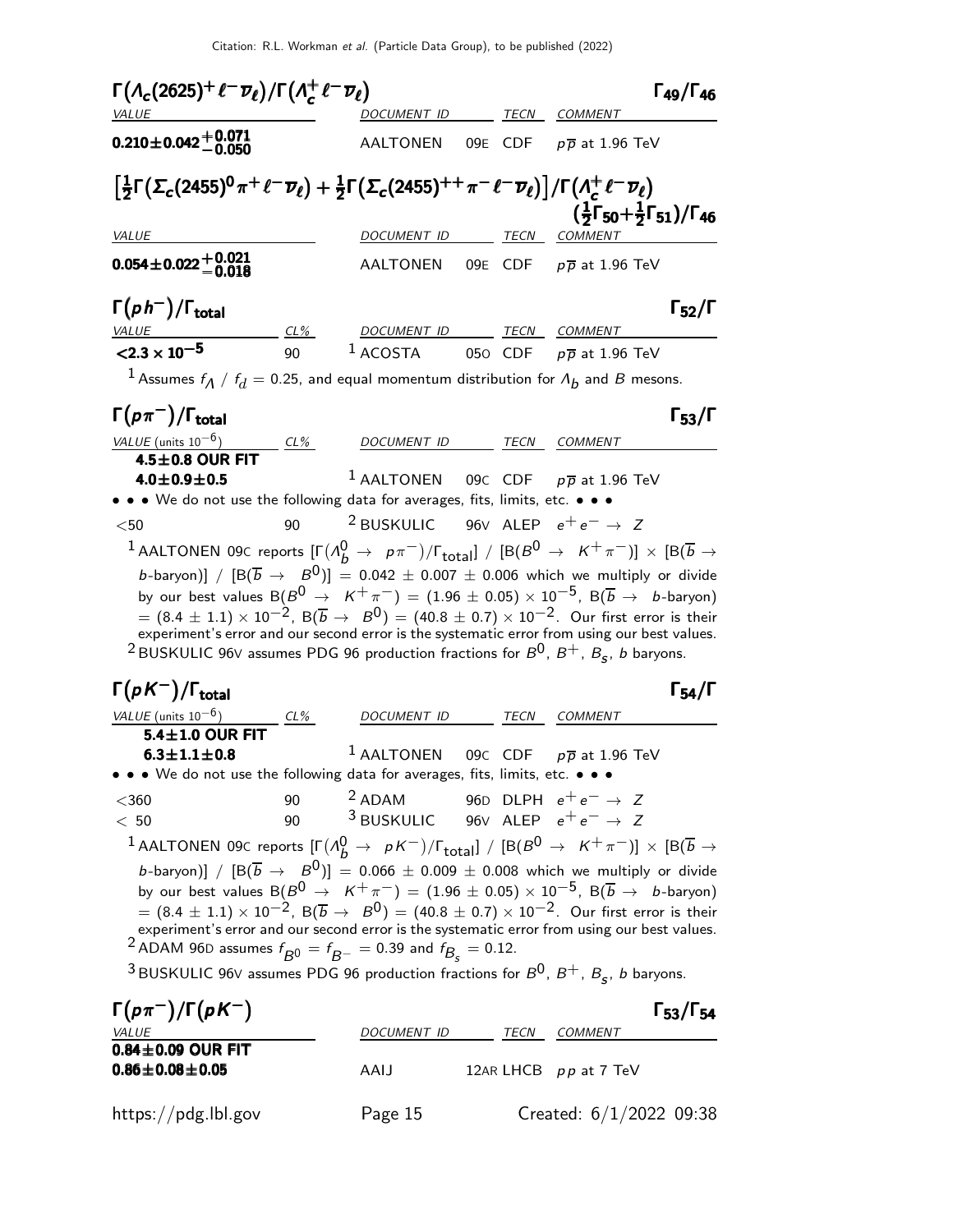|                                                                                                                                                                                                                                                                                                                                                                                                |    | $\Gamma(\Lambda_c(2625)^+\ell^-\overline{\nu}_\ell)/\Gamma(\Lambda_c^+\ell^-\overline{\nu}_\ell)$<br>DOCUMENT ID |         | $\Gamma_{49}/\Gamma_{46}$<br>TECN COMMENT                                                                                                                                                                                                                                                                                                                                                                                                                                                                                                                                                                                          |  |
|------------------------------------------------------------------------------------------------------------------------------------------------------------------------------------------------------------------------------------------------------------------------------------------------------------------------------------------------------------------------------------------------|----|------------------------------------------------------------------------------------------------------------------|---------|------------------------------------------------------------------------------------------------------------------------------------------------------------------------------------------------------------------------------------------------------------------------------------------------------------------------------------------------------------------------------------------------------------------------------------------------------------------------------------------------------------------------------------------------------------------------------------------------------------------------------------|--|
| $0.210\pm0.042\frac{+0.071}{-0.050}$                                                                                                                                                                                                                                                                                                                                                           |    | AALTONEN                                                                                                         | 09E CDF | $p\, \overline{p}$ at 1.96 TeV                                                                                                                                                                                                                                                                                                                                                                                                                                                                                                                                                                                                     |  |
| $\left[\frac{1}{2}\Gamma\big(\Sigma_c(2455)^{0}\pi^+\ell^-\overline{\nu}_{\ell}\big)+\frac{1}{2}\Gamma\big(\Sigma_c(2455)^{++}\pi^-\ell^-\overline{\nu}_{\ell}\big)\right]/\Gamma\big(A_c^+\ell^-\overline{\nu}_{\ell}\big)$                                                                                                                                                                   |    |                                                                                                                  |         | $(\frac{1}{2}\Gamma_{50}+\frac{1}{2}\Gamma_{51})/\Gamma_{46}$                                                                                                                                                                                                                                                                                                                                                                                                                                                                                                                                                                      |  |
| <b>VALUE</b>                                                                                                                                                                                                                                                                                                                                                                                   |    | DOCUMENT ID                                                                                                      | TECN    | COMMENT                                                                                                                                                                                                                                                                                                                                                                                                                                                                                                                                                                                                                            |  |
| $0.054 \pm 0.022 \begin{array}{c} +0.021 \\ -0.018 \end{array}$                                                                                                                                                                                                                                                                                                                                |    | AALTONEN                                                                                                         |         | 09E CDF $p\overline{p}$ at 1.96 TeV                                                                                                                                                                                                                                                                                                                                                                                                                                                                                                                                                                                                |  |
| $\Gamma(p h^{-})/\Gamma_{\text{total}}$<br><u>VALUE</u>                                                                                                                                                                                                                                                                                                                                        |    | <u>CL% DOCUMENT ID TECN COMMENT</u>                                                                              |         | $\Gamma_{52}/\Gamma$                                                                                                                                                                                                                                                                                                                                                                                                                                                                                                                                                                                                               |  |
| $<$ 2.3 $\times$ 10 <sup>-5</sup>                                                                                                                                                                                                                                                                                                                                                              | 90 | $1$ ACOSTA                                                                                                       |         | 050 CDF $p\overline{p}$ at 1.96 TeV                                                                                                                                                                                                                                                                                                                                                                                                                                                                                                                                                                                                |  |
| <sup>1</sup> Assumes $f_A / f_d = 0.25$ , and equal momentum distribution for $A_b$ and $B$ mesons.                                                                                                                                                                                                                                                                                            |    |                                                                                                                  |         |                                                                                                                                                                                                                                                                                                                                                                                                                                                                                                                                                                                                                                    |  |
| $\Gamma(p\pi^-)/\Gamma_{\rm total}$                                                                                                                                                                                                                                                                                                                                                            |    |                                                                                                                  |         | $\Gamma_{53}/\Gamma$                                                                                                                                                                                                                                                                                                                                                                                                                                                                                                                                                                                                               |  |
| $\frac{\text{VALUE (units 10}^{-6})}{\text{4.5} \pm \text{0.8}} \frac{\text{CL\%}}{\text{OUR FIT}}$                                                                                                                                                                                                                                                                                            |    | DOCUMENT ID TECN COMMENT                                                                                         |         |                                                                                                                                                                                                                                                                                                                                                                                                                                                                                                                                                                                                                                    |  |
| $4.0 \pm 0.9 \pm 0.5$                                                                                                                                                                                                                                                                                                                                                                          |    | <sup>1</sup> AALTONEN 09C CDF $p\overline{p}$ at 1.96 TeV                                                        |         |                                                                                                                                                                                                                                                                                                                                                                                                                                                                                                                                                                                                                                    |  |
| • • • We do not use the following data for averages, fits, limits, etc. • • •                                                                                                                                                                                                                                                                                                                  |    |                                                                                                                  |         |                                                                                                                                                                                                                                                                                                                                                                                                                                                                                                                                                                                                                                    |  |
| $<$ 50 $\,$                                                                                                                                                                                                                                                                                                                                                                                    | 90 | <sup>2</sup> BUSKULIC                                                                                            |         |                                                                                                                                                                                                                                                                                                                                                                                                                                                                                                                                                                                                                                    |  |
|                                                                                                                                                                                                                                                                                                                                                                                                |    |                                                                                                                  |         | 96V ALEP $e^+e^- \rightarrow Z$<br>$^{-1}$ AALTONEN 09C reports $[\Gamma(\Lambda_b^0\to~p\pi^-)/\Gamma_{\rm total}]$ / $[{\rm B}(B^0\to~K^+\pi^-)]\,\times\,[{\rm B}(\overline{b}\to0)$<br>b-baryon)] / $[ B(\overline{b} \rightarrow B^0) ] = 0.042 \pm 0.007 \pm 0.006$ which we multiply or divide<br>by our best values $B(B^0 \rightarrow K^+\pi^-) = (1.96 \pm 0.05) \times 10^{-5}$ , $B(\overline{b} \rightarrow b$ -baryon)                                                                                                                                                                                               |  |
| <sup>2</sup> BUSKULIC 96V assumes PDG 96 production fractions for $B^0$ , $B^+$ , $B_s$ , <i>b</i> baryons.                                                                                                                                                                                                                                                                                    |    |                                                                                                                  |         | $\overline{B}=(8.4\pm 1.1)\times 10^{-2},\; B(\overline{b}\to~B^0)=(40.8\pm 0.7)\times 10^{-2}.$ Our first error is their<br>experiment's error and our second error is the systematic error from using our best values.                                                                                                                                                                                                                                                                                                                                                                                                           |  |
|                                                                                                                                                                                                                                                                                                                                                                                                |    |                                                                                                                  | TECN    | $\Gamma_{54}/\Gamma$<br>COMMENT                                                                                                                                                                                                                                                                                                                                                                                                                                                                                                                                                                                                    |  |
| 5.4±1.0 OUR FIT                                                                                                                                                                                                                                                                                                                                                                                |    | DOCUMENT ID                                                                                                      |         |                                                                                                                                                                                                                                                                                                                                                                                                                                                                                                                                                                                                                                    |  |
| $6.3 \pm 1.1 \pm 0.8$                                                                                                                                                                                                                                                                                                                                                                          |    | <sup>1</sup> AALTONEN                                                                                            | 09C CDF | $p\overline{p}$ at 1.96 TeV                                                                                                                                                                                                                                                                                                                                                                                                                                                                                                                                                                                                        |  |
|                                                                                                                                                                                                                                                                                                                                                                                                | 90 |                                                                                                                  |         |                                                                                                                                                                                                                                                                                                                                                                                                                                                                                                                                                                                                                                    |  |
|                                                                                                                                                                                                                                                                                                                                                                                                | 90 | <sup>2</sup> ADAM 96D DLPH $e^+e^- \rightarrow Z$<br><sup>3</sup> BUSKULIC 96V ALEP $e^+e^- \rightarrow Z$       |         |                                                                                                                                                                                                                                                                                                                                                                                                                                                                                                                                                                                                                                    |  |
| $\Gamma(pK^{-})/\Gamma_{\rm total}$<br>VALUE (units $10^{-6}$ )<br>• • • We do not use the following data for averages, fits, limits, etc. • • •<br>$<$ 360<br>< 50<br>$^2$ ADAM 96D assumes $f_{\overline{B}^0} = f_{\overline{B}^-} = 0.39$ and $f_{\overline{B}_\text{c}} = 0.12$ .<br><sup>3</sup> BUSKULIC 96V assumes PDG 96 production fractions for $B^0$ , $B^+$ , $B_s$ , b baryons. |    |                                                                                                                  |         | $^1$ AALTONEN 09C reports $[\Gamma(\Lambda_b^0\to~pK^-)/\Gamma_{\rm total}]~/~[\rm B(B^0\to~K^+\pi^-)]\times[\rm B(\overline{b}\to\rm B)]$<br>b-baryon)] / $\left[\text{B}(\overline{b} \rightarrow B^0)\right] = 0.066 \pm 0.009 \pm 0.008$ which we multiply or divide<br>by our best values $B(B^0 \rightarrow K^+\pi^-) = (1.96 \pm 0.05) \times 10^{-5}$ , $B(\overline{b} \rightarrow b$ -baryon)<br>$= (8.4 \pm 1.1) \times 10^{-2}$ , B $(\overline{b} \to B^0) = (40.8 \pm 0.7) \times 10^{-2}$ . Our first error is their<br>experiment's error and our second error is the systematic error from using our best values. |  |

| $\Gamma(p\pi^-)/\Gamma(pK^-)$                     |                    |      |                         | $\Gamma_{53}/\Gamma_{54}$ |
|---------------------------------------------------|--------------------|------|-------------------------|---------------------------|
| <i>VALUE</i>                                      | <b>DOCUMENT ID</b> | TECN | COMMENT                 |                           |
| $0.84\pm0.09$ OUR FIT<br>$0.86 \pm 0.08 \pm 0.05$ | AAIJ               |      | 12AR LHCB pp at 7 TeV   |                           |
| https://pdg.lbl.gov                               | Page 15            |      | Created: 6/1/2022 09:38 |                           |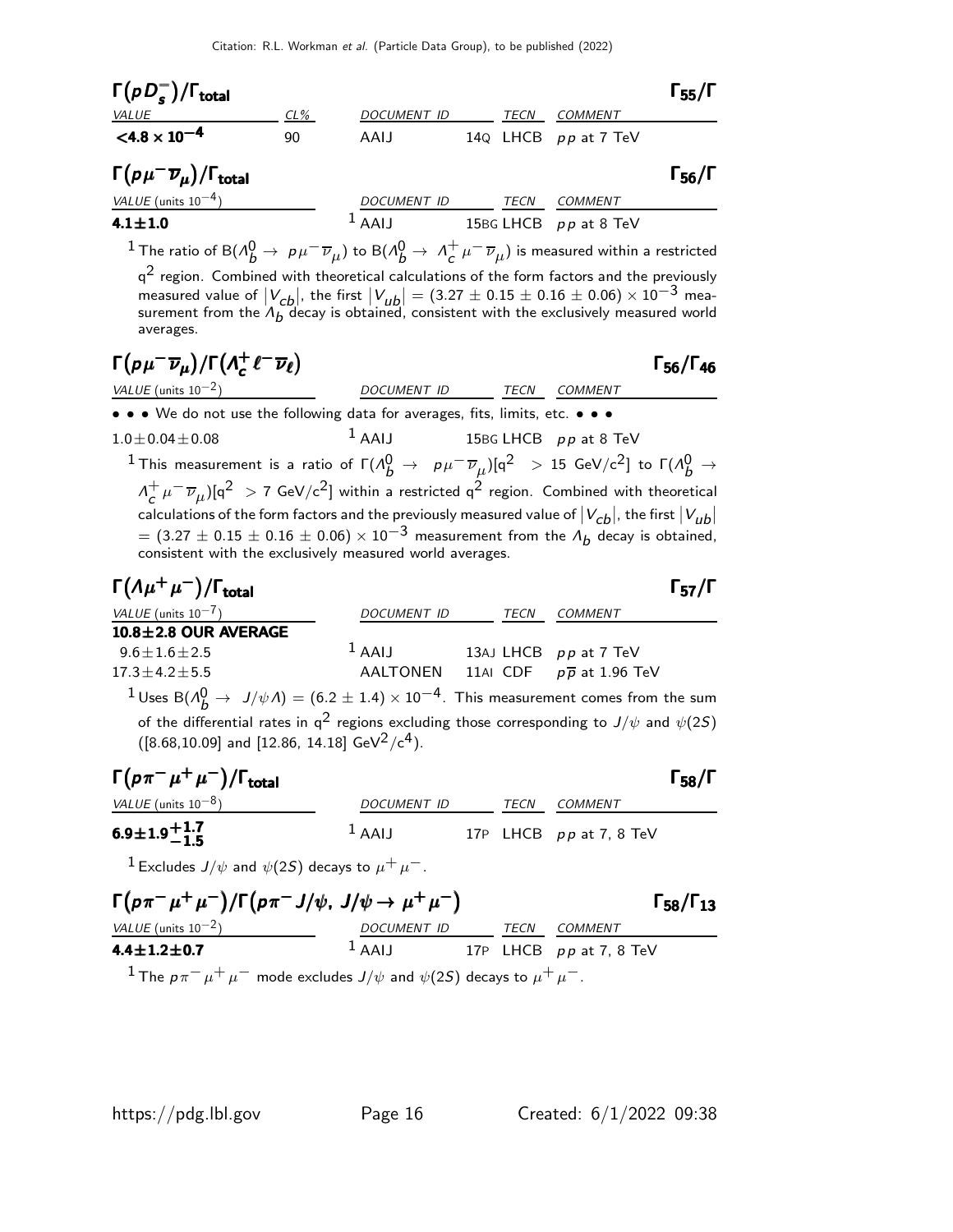| $\Gamma(pD_s^-)/\Gamma_{\rm total}$                   |        |             |      |                       | $\Gamma_{55}/\Gamma$ |
|-------------------------------------------------------|--------|-------------|------|-----------------------|----------------------|
| <i>VALUE</i>                                          | $CL\%$ | DOCUMENT ID | TECN | <b>COMMENT</b>        |                      |
| $< 4.8 \times 10^{-4}$                                | 90     | AAIJ        |      | 14Q LHCB pp at 7 TeV  |                      |
| $\Gamma(p\mu^-\overline{\nu}_\mu)/\Gamma_{\rm total}$ |        |             |      |                       | $\Gamma_{56}/\Gamma$ |
| VALUE (units $10^{-4}$ )                              |        | DOCUMENT ID | TECN | <b>COMMENT</b>        |                      |
| $4.1 \pm 1.0$                                         |        | $1$ AAIJ    |      | 15BG LHCB pp at 8 TeV |                      |
|                                                       | $\sim$ | $\sim$      |      |                       |                      |

<sup>1</sup> The ratio of B( $\Lambda_b^0 \to \rho \mu^- \overline{\nu}_\mu$ ) to B( $\Lambda_b^0 \to \Lambda_c^+$  $\frac{+}{c}\,\mu^-\,\overline{\nu}_\mu)$  is measured within a restricted  $\mathsf{q}^2$  region. Combined with theoretical calculations of the form factors and the previously measured value of  $|V_{cb}|$ , the first  $|V_{ub}| = (3.27 \pm 0.15 \pm 0.16 \pm 0.06) \times 10^{-3}$  measurement from the  $\Lambda_b$  decay is obtained, consistent with the exclusively measured world averages.

$$
\Gamma(\rho\mu^-\overline{\nu}_\mu)/\Gamma(\Lambda_c^+\ell^-\overline{\nu}_\ell)
$$
\n
$$
\text{VALUE (units 10}^{-2)} \qquad \text{DOCUMENT ID} \qquad \text{TECN} \qquad \text{COMMENT}
$$

Γ<sub>56</sub>/Γ<sub>46</sub>

• • • We do not use the following data for averages, fits, limits, etc. • • •

 $1.0 \pm 0.04 \pm 0.08$  1 AAIJ 15BG LHCB pp at 8 TeV  $^1$ This measurement is a ratio of Γ( $\Lambda_b^0$   $\to$   $~$   $~$   $~$   $~$   $~$   $~$   $\mu$  $^-\overline{\nu}_{\mu})$ [q $^2$   $~>$  15 GeV/c $^2$ ] to Γ( $\Lambda_b^0$   $\to$  $\Lambda^+$  $c^+_c \mu^-\overline{\nu}_\mu)$ [q<sup>2</sup> > 7 GeV/c<sup>2</sup>] within a restricted q<sup>2</sup> region. Combined with theoretical calculations of the form factors and the previously measured value of  $|V_{cb}|$ , the first  $|V_{ub}|$ <br>= (3.27 ± 0.15 ± 0.16 ± 0.06) × 10<sup>-3</sup> measurement from the  $\Lambda_b$  decay is obtained, consistent with the exclusively measured world averages.

| $\Gamma(\Lambda \mu^+ \mu^-)/\Gamma_{\rm total}$ |             |      |                                      | $\Gamma_{57}/\Gamma$ |
|--------------------------------------------------|-------------|------|--------------------------------------|----------------------|
| VALUE (units $10^{-7}$ )                         | DOCUMENT ID | TECN | COMMENT                              |                      |
| $10.8 \pm 2.8$ OUR AVERAGE                       |             |      |                                      |                      |
| $9.6 \pm 1.6 \pm 2.5$                            | $1$ AAIJ    |      | 13AJ LHCB pp at 7 TeV                |                      |
| $17.3 \pm 4.2 \pm 5.5$                           | AALTONEN    |      | 11AI CDF $p\overline{p}$ at 1.96 TeV |                      |
| $1_{11}$ $5(4)$ $1(14)$ $(60+14)$ $10^{-4}$ $71$ |             |      |                                      |                      |

 $^1$ Uses B $(\Lambda_b^0 \rightarrow$  J/ $\psi$ A) = (6.2  $\pm$  1.4)  $\times$  10 $^{-4}$ . This measurement comes from the sum of the differential rates in  $q^2$  regions excluding those corresponding to  $J/\psi$  and  $\psi(2S)$  $([8.68, 10.09]$  and [12.86, 14.18] GeV<sup>2</sup>/c<sup>4</sup>).

| $\Gamma(p\pi^-\mu^+\mu^-)/\Gamma_{\rm total}$ |             |      |                           | $\Gamma_{58}/\Gamma$ |
|-----------------------------------------------|-------------|------|---------------------------|----------------------|
| <i>VALUE</i> (units $10^{-8}$ )               | DOCUMENT ID | TFCN | COMMENT                   |                      |
| $6.9 \pm 1.9 + 1.7$                           | $L$ AAIJ    |      | 17P LHCB $pp$ at 7, 8 TeV |                      |

<sup>1</sup> Excludes  $J/\psi$  and  $\psi(2S)$  decays to  $\mu^+ \mu^-$ .

| $\Gamma(p\pi^-\mu^+\mu^-)/\Gamma(p\pi^-J/\psi, J/\psi \to \mu^+\mu^-)$ | $\Gamma_{58}/\Gamma_{13}$ |      |                           |  |
|------------------------------------------------------------------------|---------------------------|------|---------------------------|--|
| <i>VALUE</i> (units $10^{-2}$ )                                        | <b>DOCUMENT ID</b>        | TECN | COMMENT                   |  |
| $4.4 \pm 1.2 \pm 0.7$                                                  | $1$ AAIJ                  |      | 17P LHCB $pp$ at 7, 8 TeV |  |
|                                                                        | $1 - 2 = 1 - 1$           |      |                           |  |

<sup>1</sup> The  $p\pi^{-}\mu^{+}\mu^{-}$  mode excludes  $J/\psi$  and  $\psi(2S)$  decays to  $\mu^{+}\mu^{-}$ .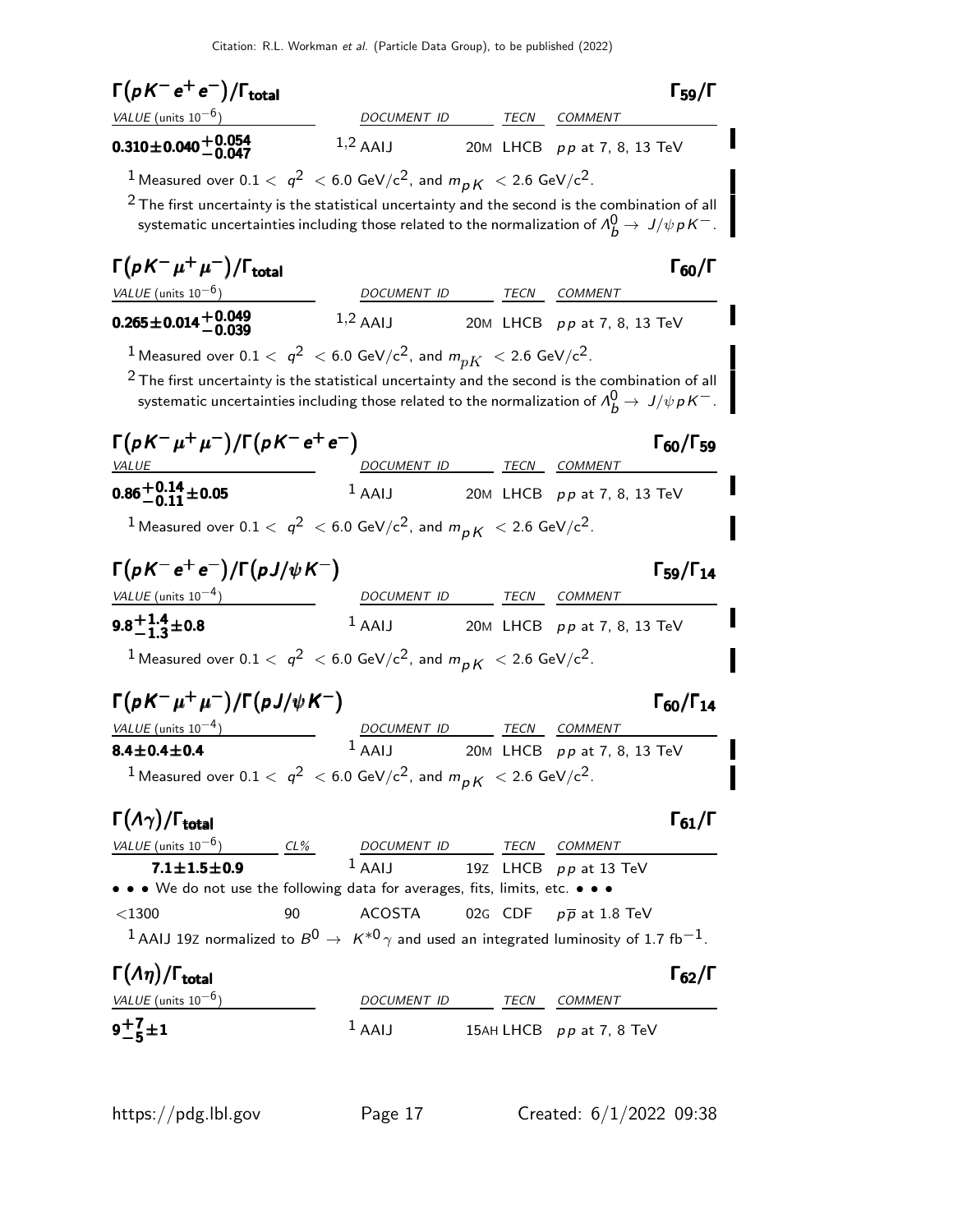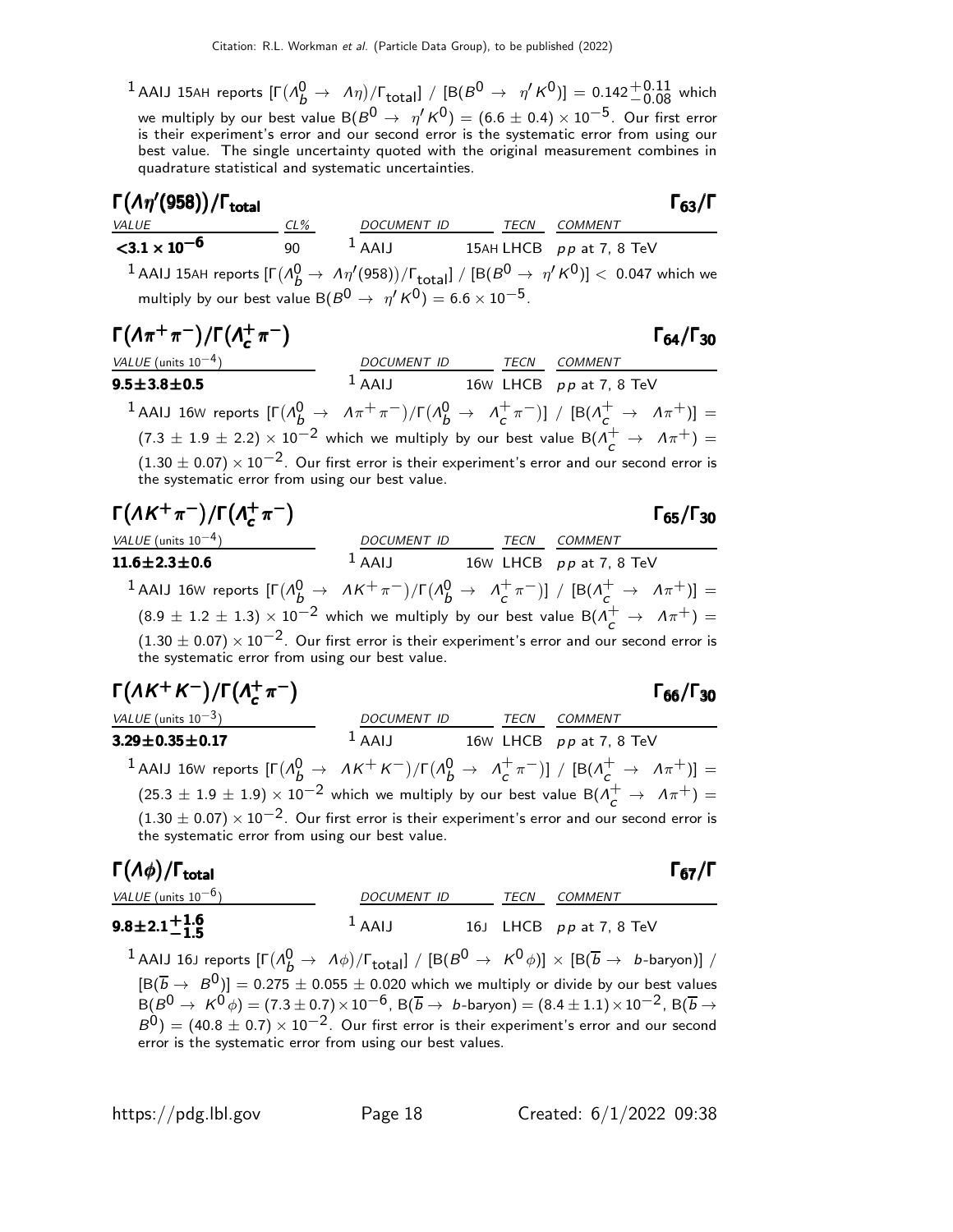$^1$  AAIJ 15AH reports  $[\Gamma(\Lambda_b^0\to\;\;\Lambda\eta)/\Gamma_{\rm total}]\; / \; [\mathrm{B}(B^0\to\;\;\eta'\,\mathsf{K}^0)]=0.142^{+0.11}_{-0.08}$  which we multiply by our best value B $(B^0 \rightarrow \eta' K^0) = (6.6 \pm 0.4) \times 10^{-5}$ . Our first error is their experiment's error and our second error is the systematic error from using our best value. The single uncertainty quoted with the original measurement combines in quadrature statistical and systematic uncertainties.

| $\Gamma(\Lambda\eta'(958))/\Gamma_{\rm total}$                                                                                                            |    |                                     |      |                | $\Gamma_{63}/\Gamma$      |
|-----------------------------------------------------------------------------------------------------------------------------------------------------------|----|-------------------------------------|------|----------------|---------------------------|
| VALUE                                                                                                                                                     |    | <u>CL% DOCUMENT ID TECN COMMENT</u> |      |                |                           |
| $<$ 3.1 $\times$ 10 <sup>-6</sup>                                                                                                                         | 90 | $1$ AAIJ 15AH LHCB pp at 7, 8 TeV   |      |                |                           |
| $^{-1}$ AAIJ 15AH reports $[\Gamma(\Lambda_b^0\to\Lambda\eta'(958))/\Gamma_{\rm total}] / [\mathsf{B}(B^0\to\eta' \mathrm{K}^0)] < 0.047$ which we        |    |                                     |      |                |                           |
| multiply by our best value B( $B^0 \rightarrow \eta' K^0$ ) = 6.6 $\times$ 10 <sup>-5</sup> .                                                             |    |                                     |      |                |                           |
| $\Gamma(\Lambda \pi^+ \pi^-)/\Gamma(\Lambda_c^+ \pi^-)$                                                                                                   |    |                                     |      |                | $\Gamma_{64}/\Gamma_{30}$ |
| VALUE (units $10^{-4}$ )                                                                                                                                  |    | DOCUMENT ID TECN COMMENT            |      |                |                           |
| $9.5 \pm 3.8 \pm 0.5$                                                                                                                                     |    | $1$ AAIJ 16w LHCB pp at 7, 8 TeV    |      |                |                           |
| 1 AAIJ 16W reports $[\Gamma(\Lambda_b^0 \to \Lambda \pi^+ \pi^-)/\Gamma(\Lambda_b^0 \to \Lambda_c^+ \pi^-)] / [B(\Lambda_c^+ \to \Lambda \pi^+)] =$       |    |                                     |      |                |                           |
| $(7.3 \pm 1.9 \pm 2.2) \times 10^{-2}$ which we multiply by our best value B( $\Lambda_c^+ \rightarrow \Lambda \pi^+$ ) =                                 |    |                                     |      |                |                           |
| $(1.30 \pm 0.07) \times 10^{-2}$ . Our first error is their experiment's error and our second error is<br>the systematic error from using our best value. |    |                                     |      |                |                           |
| $\Gamma(\Lambda K^+\pi^-)/\Gamma(\Lambda_c^+\pi^-)$                                                                                                       |    |                                     |      |                | $\Gamma_{65}/\Gamma_{30}$ |
| VALUE (units $10^{-4}$ )                                                                                                                                  |    | DOCUMENT ID                         | TECN | <i>COMMENT</i> |                           |

| VALUE (units $10^{-4}$ )                                                                                                                                  | DOCUMENTID IECN COMMENT |                           |  |
|-----------------------------------------------------------------------------------------------------------------------------------------------------------|-------------------------|---------------------------|--|
| $11.6 \pm 2.3 \pm 0.6$                                                                                                                                    | $1$ AAIJ                | 16W LHCB $pp$ at 7, 8 TeV |  |
| 1 AAIJ 16W reports $[\Gamma(\Lambda_b^0 \to \Lambda K^+\pi^-)/\Gamma(\Lambda_b^0 \to \Lambda_c^+\pi^-)] / [B(\Lambda_c^+ \to \Lambda \pi^+)] =$           |                         |                           |  |
| $(8.9 \pm 1.2 \pm 1.3) \times 10^{-2}$ which we multiply by our best value B( $\Lambda_c^+ \rightarrow \Lambda \pi^+$ ) =                                 |                         |                           |  |
| $(1.30 \pm 0.07) \times 10^{-2}$ . Our first error is their experiment's error and our second error is<br>the systematic error from using our best value. |                         |                           |  |

| $\Gamma(\Lambda K^+ K^-)/\Gamma(\Lambda_c^+ \pi^-)$                                                                                                       |                                  |      |         | $\Gamma_{66}/\Gamma_{30}$ |
|-----------------------------------------------------------------------------------------------------------------------------------------------------------|----------------------------------|------|---------|---------------------------|
| VALUE (units $10^{-3}$ )                                                                                                                                  | DOCUMENT ID                      | TECN | COMMENT |                           |
| $3.29 \pm 0.35 \pm 0.17$                                                                                                                                  | $1$ AAIJ 16w LHCB pp at 7, 8 TeV |      |         |                           |
| 1 AAIJ 16W reports $[\Gamma(\Lambda_b^0 \to \Lambda K^+ K^-)/\Gamma(\Lambda_b^0 \to \Lambda_c^+ \pi^-)] / [B(\Lambda_c^+ \to \Lambda \pi^+)] =$           |                                  |      |         |                           |
| $(25.3 \pm 1.9 \pm 1.9) \times 10^{-2}$ which we multiply by our best value B( $\Lambda_c^+ \rightarrow \Lambda \pi^+$ ) =                                |                                  |      |         |                           |
| $(1.30 \pm 0.07) \times 10^{-2}$ . Our first error is their experiment's error and our second error is<br>the systematic error from using our best value. |                                  |      |         |                           |
|                                                                                                                                                           |                                  |      |         |                           |

#### Γ $(A\phi)/\Gamma_{\text{total}}$  Γ $_{67}/\Gamma$ total and the contract of the contract of the contract of the contract of the contract of the contract of the c VALUE (units 10<sup>-6</sup>) DOCUMENT ID TECN COMMENT  $9.8\!\pm\!2.1\substack{+1.6\-1.5}$  $1$ AAIJ 16J LHCB pp at 7, 8 TeV

 $^1$  AAIJ 16J reports  $[\Gamma(\Lambda_b^0 \to \Lambda \phi)/\Gamma_{\rm total}] / [\mathsf{B}(B^0 \to \ K^0 \phi)] \times [\mathsf{B}(\overline{b} \to \ b\text{-baryon})] /$  $[\mathrm{B}(\overline{b}\rightarrow~B^0)]=0.275\pm0.055\pm0.020$  which we multiply or divide by our best values  $\overline{\text{B}(B^0\to\ K^0\phi)}=(7.3\pm0.7)\times10^{-6}$ ,  $\overline{\text{B}(B\to\ K^0\phi)}=(8.4\pm1.1)\times10^{-2}$ ,  $\overline{\text{B}(B\to\ K^0\phi)}$  $B^{0}$ ) = (40.8 ± 0.7) × 10<sup>-2</sup>. Our first error is their experiment's error and our second error is the systematic error from using our best values.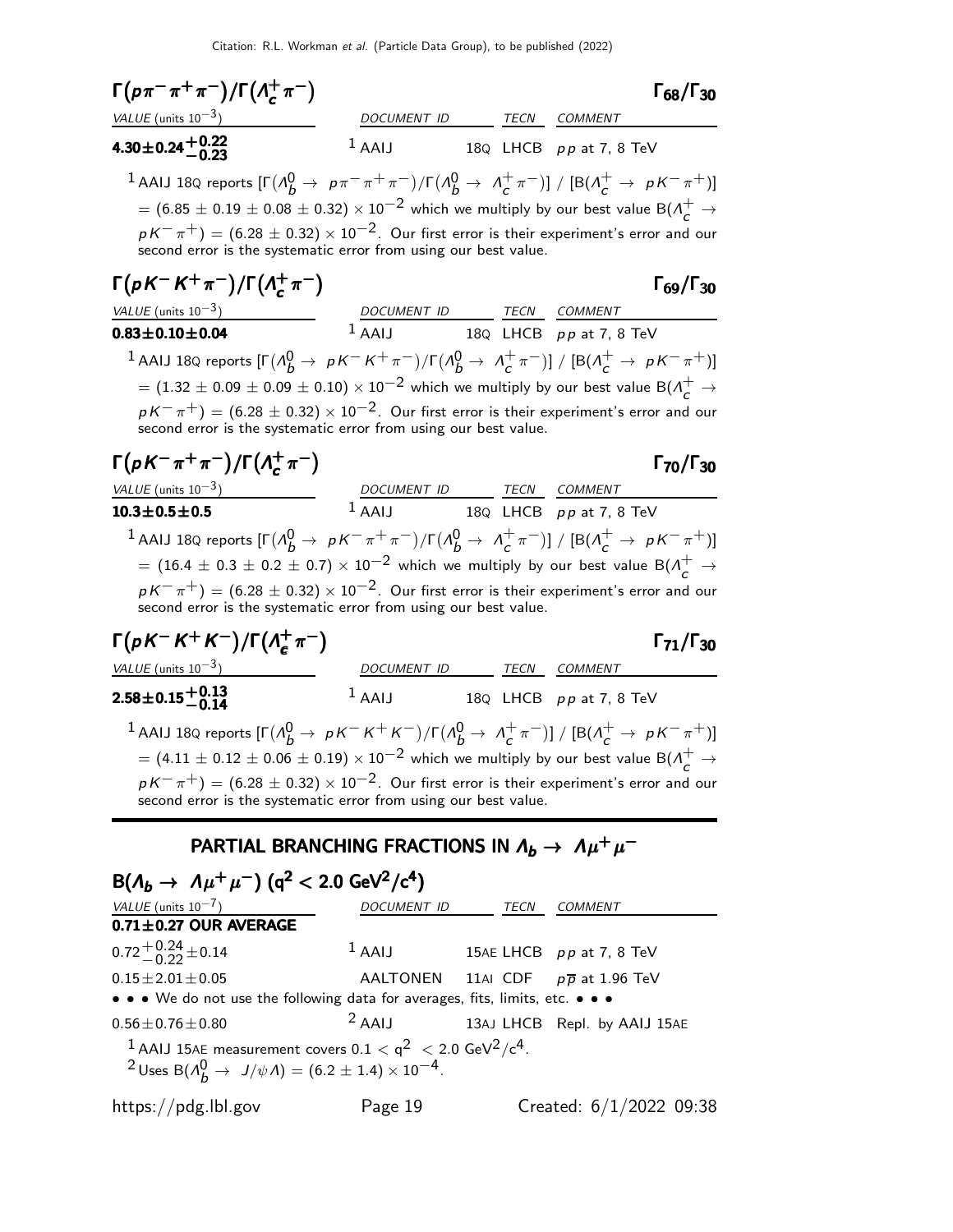| $\Gamma(p\pi^-\pi^+\pi^-)/\Gamma(\Lambda_c^+\pi^-)$                                                                                                                                                                                                                                                                                                                                                                                                    |                                                            |             | $\Gamma_{68}/\Gamma_{30}$            |
|--------------------------------------------------------------------------------------------------------------------------------------------------------------------------------------------------------------------------------------------------------------------------------------------------------------------------------------------------------------------------------------------------------------------------------------------------------|------------------------------------------------------------|-------------|--------------------------------------|
| VALUE (units $10^{-3}$ )                                                                                                                                                                                                                                                                                                                                                                                                                               | DOCUMENT ID                                                |             | TECN COMMENT                         |
| $4.30 \pm 0.24 + 0.22$<br>-0.23                                                                                                                                                                                                                                                                                                                                                                                                                        | $1$ AAIJ                                                   |             | 18Q LHCB pp at 7, 8 TeV              |
| 1 AAIJ 18Q reports $[\Gamma(\Lambda_b^0 \to p\pi^-\pi^+\pi^-)/\Gamma(\Lambda_b^0 \to \Lambda_c^+\pi^-)] / [B(\Lambda_c^+ \to pK^-\pi^+)]$<br>$\tau = (6.85 \pm 0.19 \pm 0.08 \pm 0.32) \times 10^{-2}$ which we multiply by our best value B( $\Lambda_c^+ \rightarrow \Lambda_c^+$<br>$pK^-\pi^+)=(6.28\pm0.32)\times10^{-2}.$ Our first error is their experiment's error and our<br>second error is the systematic error from using our best value. |                                                            |             |                                      |
| $\Gamma(pK^-K^+\pi^-)/\Gamma(\Lambda_c^+\pi^-)$                                                                                                                                                                                                                                                                                                                                                                                                        |                                                            |             | $\Gamma_{69}/\Gamma_{30}$            |
| VALUE (units $10^{-3}$ )                                                                                                                                                                                                                                                                                                                                                                                                                               | DOCUMENT ID TECN COMMENT                                   |             |                                      |
| $0.83 \pm 0.10 \pm 0.04$                                                                                                                                                                                                                                                                                                                                                                                                                               |                                                            |             | $1$ AAIJ 18Q LHCB $pp$ at 7, 8 TeV   |
| 1 AAIJ 18Q reports $[\Gamma(\Lambda_b^0 \to pK^-K^+\pi^-)/\Gamma(\Lambda_b^0 \to \Lambda_c^+\pi^-)] / [B(\Lambda_c^+ \to pK^-\pi^+)]$                                                                                                                                                                                                                                                                                                                  |                                                            |             |                                      |
| $\tau = (1.32 \pm 0.09 \pm 0.09 \pm 0.10) \times 10^{-2}$ which we multiply by our best value B( $\Lambda_c^+ \rightarrow \Lambda_c^+$                                                                                                                                                                                                                                                                                                                 |                                                            |             |                                      |
| $pK^{-}\pi^{+}) = (6.28 \pm 0.32) \times 10^{-2}$ . Our first error is their experiment's error and our<br>second error is the systematic error from using our best value.                                                                                                                                                                                                                                                                             |                                                            |             |                                      |
| $\Gamma(pK^{-}\pi^{+}\pi^{-})/\Gamma(\Lambda_{c}^{+}\pi^{-})$                                                                                                                                                                                                                                                                                                                                                                                          |                                                            |             | $\Gamma_{70}/\Gamma_{30}$            |
| VALUE (units $10^{-3}$ )                                                                                                                                                                                                                                                                                                                                                                                                                               | DOCUMENT ID TECN COMMENT<br>1 AAIJ 18Q LHCB pp at 7, 8 TeV |             |                                      |
| $10.3 \pm 0.5 \pm 0.5$                                                                                                                                                                                                                                                                                                                                                                                                                                 |                                                            |             |                                      |
| 1 AAIJ 18Q reports $[\Gamma(\Lambda_b^0 \to pK^-\pi^+\pi^-)/\Gamma(\Lambda_b^0 \to \Lambda_c^+\pi^-)]/[B(\Lambda_c^+ \to pK^-\pi^+)]$<br>$=$ $(16.4 \pm 0.3 \pm 0.2 \pm 0.7) \times 10^{-2}$ which we multiply by our best value B( $\Lambda_c^+$ $\rightarrow$<br>$pK^-\pi^+)=(6.28\pm0.32)\times10^{-2}.$ Our first error is their experiment's error and our<br>second error is the systematic error from using our best value.                     |                                                            |             |                                      |
| $\Gamma(pK^-K^+K^-)/\Gamma(\Lambda_c^+\pi^-)$                                                                                                                                                                                                                                                                                                                                                                                                          |                                                            |             | $\Gamma_{71}/\Gamma_{30}$            |
| VALUE (units $10^{-3}$ )                                                                                                                                                                                                                                                                                                                                                                                                                               | DOCUMENT ID TECN COMMENT                                   |             |                                      |
| $2.58 \pm 0.15 \pm 0.13$                                                                                                                                                                                                                                                                                                                                                                                                                               |                                                            |             | $1$ AAIJ 18Q LHCB $pp$ at 7, 8 TeV   |
| 1 AAIJ 18Q reports $[\Gamma(\Lambda_b^0 \to pK^-K^+K^-)/\Gamma(\Lambda_b^0 \to \Lambda_c^+\pi^-)]/[B(\Lambda_c^+ \to pK^-\pi^+)]$<br>$\tau = (4.11 \pm 0.12 \pm 0.06 \pm 0.19) \times 10^{-2}$ which we multiply by our best value B( $\Lambda_c^+ \rightarrow \Lambda_c^+$<br>$pK^-\pi^+)=(6.28\pm0.32)\times10^{-2}$ . Our first error is their experiment's error and our<br>second error is the systematic error from using our best value.        |                                                            |             |                                      |
| PARTIAL BRANCHING FRACTIONS IN $\Lambda_b \to \Lambda \mu^+ \mu^-$                                                                                                                                                                                                                                                                                                                                                                                     |                                                            |             |                                      |
| $B(\Lambda_b \to \Lambda \mu^+ \mu^-)$ (q <sup>2</sup> < 2.0 GeV <sup>2</sup> /c <sup>4</sup> )                                                                                                                                                                                                                                                                                                                                                        |                                                            |             |                                      |
| VALUE (units $10^{-7}$ )<br>$0.71 \pm 0.27$ OUR AVERAGE                                                                                                                                                                                                                                                                                                                                                                                                | DOCUMENT ID                                                | <b>TECN</b> | COMMENT                              |
| $0.72^{+0.24}_{-0.22}$ ± 0.14                                                                                                                                                                                                                                                                                                                                                                                                                          | $1$ AAIJ                                                   |             | 15AE LHCB pp at 7, 8 TeV             |
| $0.15 \pm 2.01 \pm 0.05$                                                                                                                                                                                                                                                                                                                                                                                                                               | AALTONEN                                                   |             | 11AI CDF $p\overline{p}$ at 1.96 TeV |
| • • • We do not use the following data for averages, fits, limits, etc. • • •                                                                                                                                                                                                                                                                                                                                                                          |                                                            |             |                                      |
| $0.56 \pm 0.76 \pm 0.80$                                                                                                                                                                                                                                                                                                                                                                                                                               | $2$ AAIJ                                                   |             | 13AJ LHCB Repl. by AAIJ 15AE         |
| <sup>1</sup> AAIJ 15AE measurement covers 0.1 $<$ q <sup>2</sup> $<$ 2.0 GeV <sup>2</sup> /c <sup>4</sup> .<br><sup>2</sup> Uses B( $\Lambda_b^0 \to J/\psi \Lambda$ ) = (6.2 ± 1.4) × 10 <sup>-4</sup> .                                                                                                                                                                                                                                              |                                                            |             |                                      |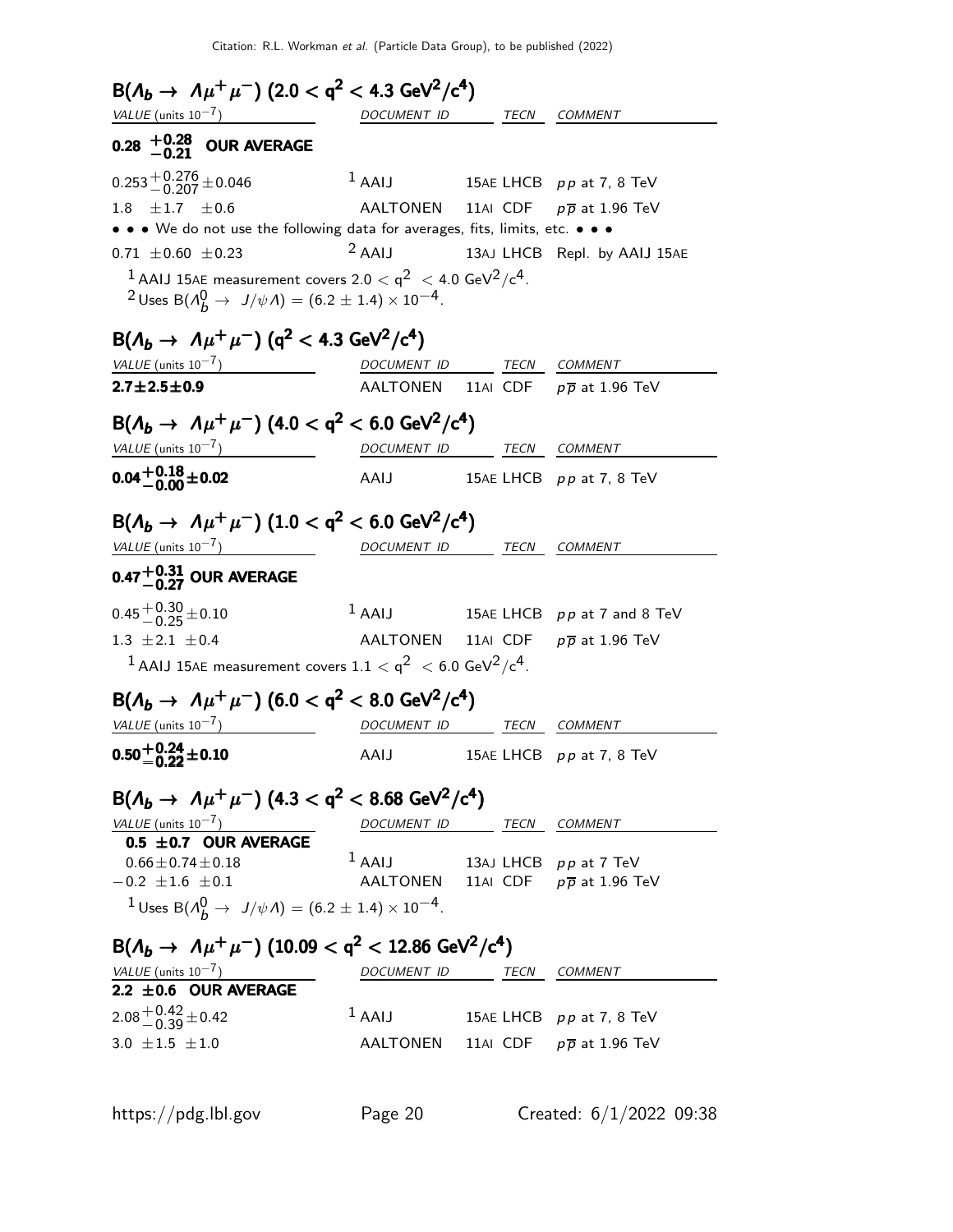| $B(\Lambda_b \to \Lambda \mu^+ \mu^-)$ (2.0 < q <sup>2</sup> < 4.3 GeV <sup>2</sup> /c <sup>4</sup> )                                                                      |                          |  |                                               |
|----------------------------------------------------------------------------------------------------------------------------------------------------------------------------|--------------------------|--|-----------------------------------------------|
| $VALUE$ (units $10^{-7}$ )<br>$\overline{\phantom{a}}$ and $\overline{\phantom{a}}$ and $\overline{\phantom{a}}$                                                           | DOCUMENT ID              |  | TECN COMMENT                                  |
| 0.28 $^{+0.28}_{-0.21}$ OUR AVERAGE                                                                                                                                        |                          |  |                                               |
| $0.253 + 0.276 + 0.046$                                                                                                                                                    | $1$ AAIJ                 |  | 15AE LHCB pp at 7, 8 TeV                      |
| 1.8 $\pm 1.7$ $\pm 0.6$                                                                                                                                                    | AALTONEN                 |  | 11AI CDF $p\overline{p}$ at 1.96 TeV          |
| $\bullet \bullet \bullet$ We do not use the following data for averages, fits, limits, etc. $\bullet \bullet \bullet$                                                      |                          |  |                                               |
| $0.71 \pm 0.60 \pm 0.23$                                                                                                                                                   | $2$ AAIJ                 |  | 13AJ LHCB Repl. by AAIJ 15AE                  |
| $^1$ AAIJ 15AE measurement covers 2.0 $<$ q $^2$ $<$ 4.0 GeV $^2$ /c $^4$ .<br><sup>2</sup> Uses B( $\Lambda_b^0 \to J/\psi \Lambda$ ) = (6.2 ± 1.4) × 10 <sup>-4</sup> .  |                          |  |                                               |
| $B(\Lambda_b \to \Lambda \mu^+ \mu^-)$ (q <sup>2</sup> < 4.3 GeV <sup>2</sup> /c <sup>4</sup> )                                                                            |                          |  |                                               |
| VALUE (units $10^{-7}$ )                                                                                                                                                   | DOCUMENT ID TECN COMMENT |  |                                               |
| $2.7 \pm 2.5 \pm 0.9$                                                                                                                                                      |                          |  | AALTONEN 11AI CDF $p\overline{p}$ at 1.96 TeV |
| $B(\Lambda_b \to \Lambda \mu^+ \mu^-)$ (4.0 < q <sup>2</sup> < 6.0 GeV <sup>2</sup> /c <sup>4</sup> )                                                                      |                          |  |                                               |
| VALUE (units $10^{-7}$ )                                                                                                                                                   | DOCUMENT ID              |  | TECN COMMENT                                  |
| $0.04 + 0.18 + 0.02$                                                                                                                                                       | AAIJ                     |  | 15AE LHCB $pp$ at 7, 8 TeV                    |
| $B(\Lambda_b \to \Lambda \mu^+ \mu^-)$ (1.0 < q <sup>2</sup> < 6.0 GeV <sup>2</sup> /c <sup>4</sup> )<br>$VALUE$ (units $10^{-7}$ )<br>0.47 $^{+0.31}_{-0.27}$ OUR AVERAGE | DOCUMENT ID TECN COMMENT |  |                                               |
| $0.45 + 0.30 + 0.10$                                                                                                                                                       | $1$ AAIJ                 |  | 15AE LHCB pp at 7 and 8 TeV                   |
| 1.3 $\pm 2.1 \pm 0.4$                                                                                                                                                      | AALTONEN                 |  | 11AI CDF $p\overline{p}$ at 1.96 TeV          |
| <sup>1</sup> AAIJ 15AE measurement covers $1.1 < q^2 < 6.0$ GeV <sup>2</sup> /c <sup>4</sup> .                                                                             |                          |  |                                               |
|                                                                                                                                                                            |                          |  |                                               |
| $B(\Lambda_b \to \Lambda \mu^+ \mu^-)$ (6.0 < q <sup>2</sup> < 8.0 GeV <sup>2</sup> /c <sup>4</sup> )                                                                      |                          |  |                                               |
| VALUE (units $10^{-7}$ )                                                                                                                                                   | DOCUMENT ID TECN COMMENT |  |                                               |
| $0.50^{+0.24}_{-0.22}$ ±0.10                                                                                                                                               | AAIJ                     |  | 15AE LHCB pp at 7, 8 TeV                      |
| $B(\Lambda_b \to \Lambda \mu^+ \mu^-)$ (4.3 < q <sup>2</sup> < 8.68 GeV <sup>2</sup> /c <sup>4</sup> )                                                                     |                          |  |                                               |
| VALUE (units $10^{-7}$ )<br>0.5 $\pm$ 0.7 OUR AVERAGE                                                                                                                      | DOCUMENT ID TECN COMMENT |  |                                               |
| $0.66 \pm 0.74 \pm 0.18$                                                                                                                                                   | $1$ AAIJ                 |  | 13AJ LHCB $pp$ at 7 TeV                       |
| $-0.2 \pm 1.6 \pm 0.1$                                                                                                                                                     |                          |  | AALTONEN 11AI CDF $p\overline{p}$ at 1.96 TeV |
| <sup>1</sup> Uses B( $\Lambda_b^0 \to J/\psi \Lambda$ ) = (6.2 ± 1.4) × 10 <sup>-4</sup> .                                                                                 |                          |  |                                               |
|                                                                                                                                                                            |                          |  |                                               |
| $B(\Lambda_b \to \Lambda \mu^+ \mu^-)$ (10.09 < q <sup>2</sup> < 12.86 GeV <sup>2</sup> /c <sup>4</sup> )                                                                  |                          |  |                                               |
| $VALUE$ (units $10^{-7}$ )<br>$2.2 \pm 0.6$ OUR AVERAGE                                                                                                                    | DOCUMENT ID TECN COMMENT |  |                                               |
| $2.08 + 0.42 + 0.42$                                                                                                                                                       | $1$ AAIJ                 |  | 15AE LHCB $pp$ at 7, 8 TeV                    |
|                                                                                                                                                                            |                          |  |                                               |
| 3.0 $\pm 1.5$ $\pm 1.0$                                                                                                                                                    |                          |  | AALTONEN 11AI CDF $p\overline{p}$ at 1.96 TeV |
|                                                                                                                                                                            |                          |  |                                               |

https://pdg.lbl.gov Page 20 Created: 6/1/2022 09:38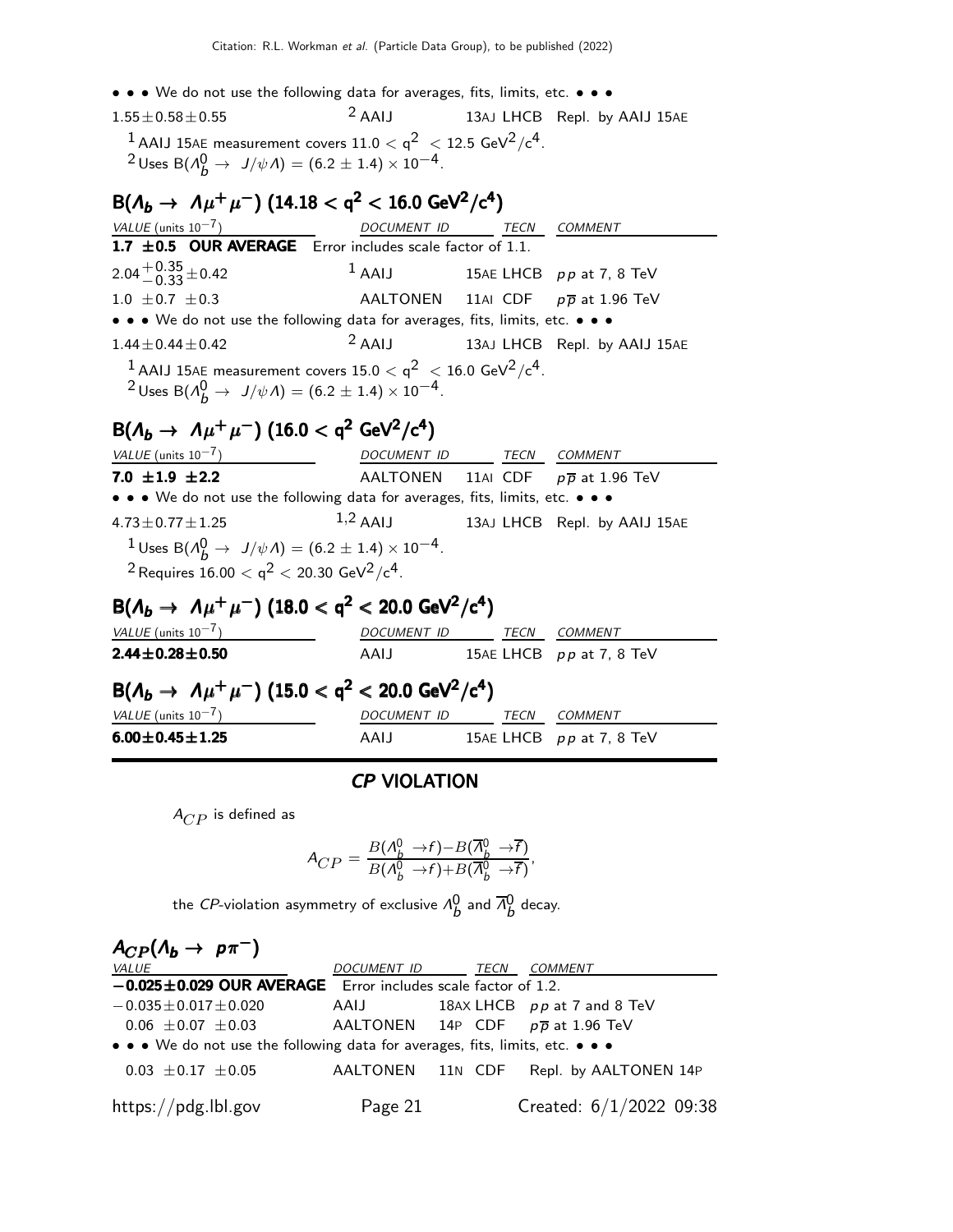• • • We do not use the following data for averages, fits, limits, etc. • • •

 $1.55\pm0.58\pm0.55$  2 AAIJ 13AJ LHCB Repl. by AAIJ 15AE  $^{\rm 1}$  AAIJ 15AE measurement covers 11.0  $<$  q $^{\rm 2}~<$  12.5 GeV $^{\rm 2}/$ c $^{\rm 4}.$  $^2$ Uses B( $\Lambda_b^0 \to J/\psi \Lambda) = (6.2 \pm 1.4) \times 10^{-4}$ .

 $B(\Lambda_b \to \Lambda \mu^+ \mu^-)$  (14.18  $<$  q<sup>2</sup>  $<$  16.0 GeV<sup>2</sup>/c<sup>4</sup>) VALUE (units 10<sup>-7</sup>) DOCUMENT ID TECN COMMENT 1.7  $\pm$  0.5 OUR AVERAGE Error includes scale factor of 1.1.  $2.04 + 0.35 + 0.42$  $1$  AAIJ 15AE LHCB pp at 7, 8 TeV 1.0  $\pm$  0.7  $\pm$  0.3 AALTONEN 11AI CDF  $p\overline{p}$  at 1.96 TeV • • • We do not use the following data for averages, fits, limits, etc. • • •  $1.44 \pm 0.44 \pm 0.42$  2 AAIJ 13AJ LHCB Repl. by AAIJ 15AE  $^{\rm 1}$  AAIJ 15AE measurement covers 15.0  $<$  q $^{\rm 2}~<$  16.0 GeV $^{\rm 2}/$ c $^{\rm 4}.$  $^2$ Uses B( $\Lambda_b^0 \to J/\psi \Lambda) = (6.2 \pm 1.4) \times 10^{-4}$ .  $B(\Lambda_b \to \Lambda \mu^+ \mu^-)$  (16.0 < q<sup>2</sup> GeV<sup>2</sup>/c<sup>4</sup>)

| VALUE (units $10^{-7}$ )                                                                                | DOCUMENT ID TECN |  |  | <i>COMMENT</i>                                |
|---------------------------------------------------------------------------------------------------------|------------------|--|--|-----------------------------------------------|
| 7.0 $\pm 1.9$ $\pm 2.2$                                                                                 |                  |  |  | AALTONEN 11AI CDF $p\overline{p}$ at 1.96 TeV |
| • • • We do not use the following data for averages, fits, limits, etc. • • •                           |                  |  |  |                                               |
| $4.73 \pm 0.77 \pm 1.25$                                                                                | $1,2$ AALI       |  |  | 13AJ LHCB Repl. by AAIJ 15AE                  |
| <sup>1</sup> Uses B( $\Lambda_b^0 \to J/\psi \Lambda$ ) = (6.2 ± 1.4) × 10 <sup>-4</sup> .              |                  |  |  |                                               |
| <sup>2</sup> Requires $16.00 < q^2 < 20.30$ GeV <sup>2</sup> /c <sup>4</sup> .                          |                  |  |  |                                               |
| $B(\Lambda_b \to \Lambda \mu^+ \mu^-)$ (18.0 < q <sup>2</sup> < 20.0 GeV <sup>2</sup> /c <sup>4</sup> ) |                  |  |  |                                               |

| $VALUE$ (units $10^{-7}$ ) | DOCUMENT ID | <i>TECN COMMENT</i>        |
|----------------------------|-------------|----------------------------|
| $2.44 \pm 0.28 \pm 0.50$   | AAIJ        | 15AE LHCB $pp$ at 7, 8 TeV |

# $B(\Lambda_b \to \Lambda \mu^+ \mu^-)$  (15.0  $<$  q<sup>2</sup>  $<$  20.0 GeV<sup>2</sup>/c<sup>4</sup>)

| VALUE (units $10^{-7}$ ) | <i>DOCUMENT ID</i> | TFCN | <i>COMMENT</i>             |
|--------------------------|--------------------|------|----------------------------|
| $6.00 \pm 0.45 \pm 1.25$ | AAIJ               |      | 15AE LHCB $pp$ at 7, 8 TeV |

### CP VIOLATION

 $A_{CP}$  is defined as

$$
A_{CP} = \frac{B(\Lambda_b^0 \to f) - B(\overline{\Lambda}_b^0 \to \overline{f})}{B(\Lambda_b^0 \to f) + B(\overline{\Lambda}_b^0 \to \overline{f})},
$$

the *CP*-violation asymmetry of exclusive  $\Lambda_b^0$  and  $\overline{\Lambda}_b^0$  decay.

 $A_{CP}(\Lambda_b \to p \pi^-)$ DOCUMENT ID TECN COMMENT −0.025±0.029 OUR AVERAGE Error includes scale factor of 1.2.  $-0.035\pm0.017\pm0.020$  AAIJ 18AX LHCB pp at 7 and 8 TeV 0.06  $\pm$ 0.07  $\pm$ 0.03 AALTONEN 14P CDF  $p\overline{p}$  at 1.96 TeV • • • We do not use the following data for averages, fits, limits, etc. • • • 0.03  $\pm$  0.17  $\pm$  0.05 AALTONEN 11N CDF Repl. by AALTONEN 14P https://pdg.lbl.gov Page 21 Created: 6/1/2022 09:38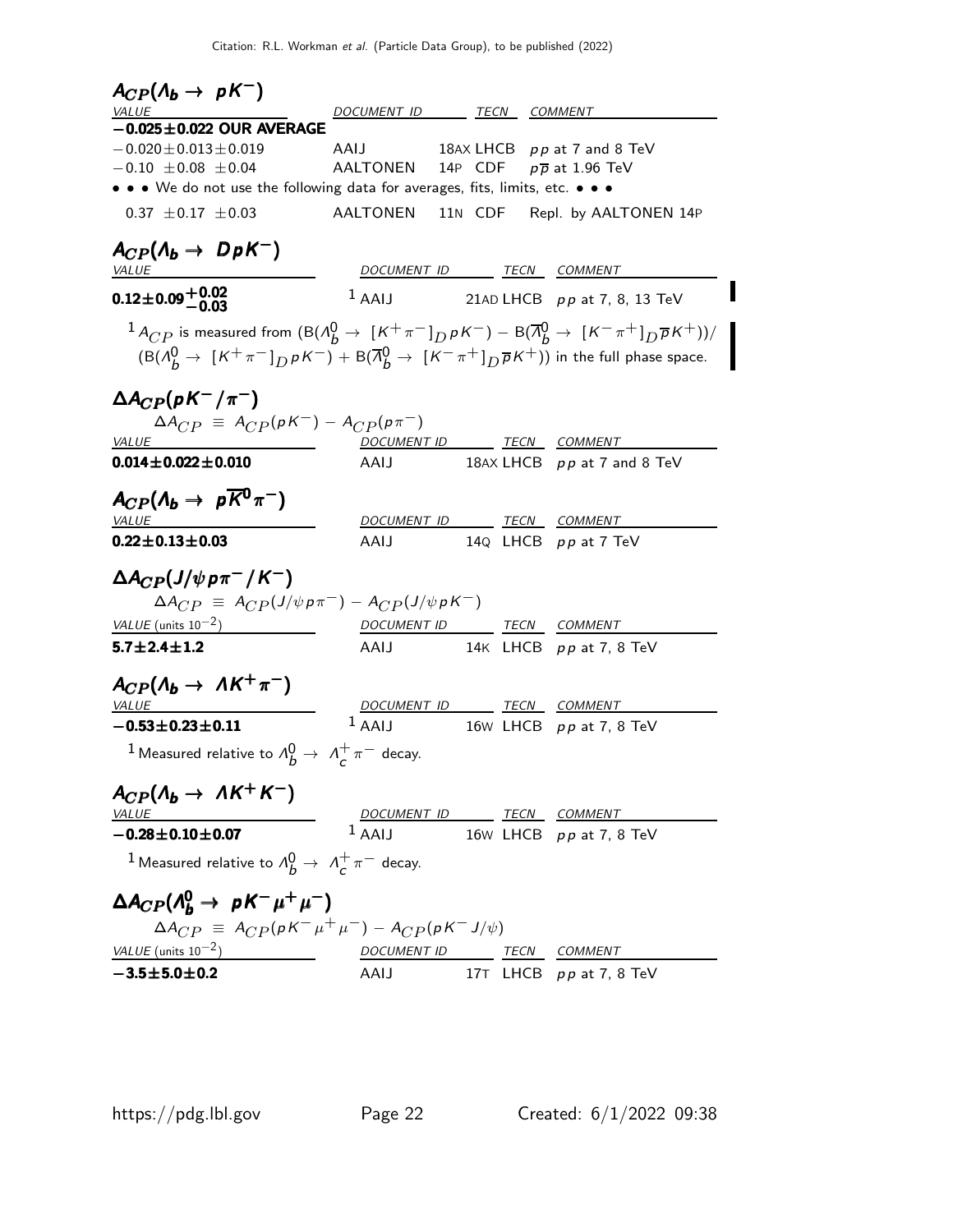| DOCUMENT ID TECN COMMENT<br><i>VALUE</i><br>$-0.025 \pm 0.022$ OUR AVERAGE<br>$-0.020 \pm 0.013 \pm 0.019$<br>AAIJ<br>18AX LHCB $pp$ at 7 and 8 TeV<br>AALTONEN 14P CDF $p\overline{p}$ at 1.96 TeV<br>$-0.10 \pm 0.08 \pm 0.04$<br>• • • We do not use the following data for averages, fits, limits, etc. • • •<br>$0.37 \pm 0.17 \pm 0.03$<br>AALTONEN 11N CDF Repl. by AALTONEN 14P<br>$A_{CP}(\Lambda_b \to DpK^{-})$<br>DOCUMENT ID TECN COMMENT<br><b>VALUE</b><br>$0.12\pm0.09\frac{+0.02}{-0.03}$<br>$1$ AAIJ<br>21AD LHCB $pp$ at 7, 8, 13 TeV<br>$^{-1}$ $A_{CP}$ is measured from $(\mathrm{B}(A_b^0 \rightarrow \ [K^+\pi^-]_D \rho K^-) - \mathrm{B}(\overline{A}_b^0 \rightarrow \ [K^-\pi^+]_D \overline{\rho} K^+))/\pi$<br>$(B(A_{h}^{0} \rightarrow [K^{+}\pi^{-}]_{D} \rho K^{-}) + B(\overline{A}_{h}^{0} \rightarrow [K^{-}\pi^{+}]_{D} \overline{\rho} K^{+}))$ in the full phase space.<br>$\Delta A_{CP}(pK^-/\pi^-)$<br>$\Delta A_{CP} \equiv A_{CP}(pK^{-}) - A_{CP}(p\pi^{-})$<br>DOCUMENT ID TECN COMMENT<br>VALUE<br>$0.014 \pm 0.022 \pm 0.010$<br>18AX LHCB pp at 7 and 8 TeV<br>AAIJ<br>$A_{CP}(\Lambda_b \to p\overline{K}^0\pi^{-})$<br>DOCUMENT ID TECN COMMENT<br><i>VALUE</i><br>14 $Q$ LHCB $pp$ at 7 TeV<br>$0.22 \pm 0.13 \pm 0.03$<br>AAIJ<br>$\Delta A_{CP}(J/\psi \rho \pi^{-}/K^{-})$<br>$\Delta A_{CP} \equiv A_{CP}(J/\psi p \pi^{-}) - A_{CP}(J/\psi p K^{-})$<br>VALUE (units $10^{-2}$ )<br>DOCUMENT ID TECN COMMENT<br>$5.7 \pm 2.4 \pm 1.2$<br>AAIJ 14K LHCB pp at 7, 8 TeV<br>$A_{CP}(\Lambda_b \to \Lambda K^+ \pi^-)$<br>DOCUMENT ID TECN COMMENT<br><b>VALUE</b><br>$1$ AAIJ<br>$-0.53 \pm 0.23 \pm 0.11$<br>16W LHCB $pp$ at 7, 8 TeV<br><sup>1</sup> Measured relative to $\Lambda_b^0 \rightarrow \Lambda_c^+ \pi^-$ decay.<br>$A_{CP}(\Lambda_b \rightarrow \Lambda K^+ K^-)$<br><i>VALUE</i><br>DOCUMENT ID TECN COMMENT<br>$1$ AAIJ 16w LHCB $pp$ at 7, 8 TeV<br>$-0.28 \pm 0.10 \pm 0.07$<br><sup>1</sup> Measured relative to $\Lambda_h^0 \rightarrow \Lambda_\mathcal{L}^+ \pi^-$ decay.<br>$\Delta A_{CP} (A_{h}^{0} \rightarrow pK^{-}\mu^{+}\mu^{-})$ | $A_{CP}(\Lambda_b \rightarrow pK^-)$ |  |  |
|----------------------------------------------------------------------------------------------------------------------------------------------------------------------------------------------------------------------------------------------------------------------------------------------------------------------------------------------------------------------------------------------------------------------------------------------------------------------------------------------------------------------------------------------------------------------------------------------------------------------------------------------------------------------------------------------------------------------------------------------------------------------------------------------------------------------------------------------------------------------------------------------------------------------------------------------------------------------------------------------------------------------------------------------------------------------------------------------------------------------------------------------------------------------------------------------------------------------------------------------------------------------------------------------------------------------------------------------------------------------------------------------------------------------------------------------------------------------------------------------------------------------------------------------------------------------------------------------------------------------------------------------------------------------------------------------------------------------------------------------------------------------------------------------------------------------------------------------------------------------------------------------------------------------------------------------------------------------------------------------------------------------------------------------------------------------------------------------------------------------------|--------------------------------------|--|--|
|                                                                                                                                                                                                                                                                                                                                                                                                                                                                                                                                                                                                                                                                                                                                                                                                                                                                                                                                                                                                                                                                                                                                                                                                                                                                                                                                                                                                                                                                                                                                                                                                                                                                                                                                                                                                                                                                                                                                                                                                                                                                                                                            |                                      |  |  |
|                                                                                                                                                                                                                                                                                                                                                                                                                                                                                                                                                                                                                                                                                                                                                                                                                                                                                                                                                                                                                                                                                                                                                                                                                                                                                                                                                                                                                                                                                                                                                                                                                                                                                                                                                                                                                                                                                                                                                                                                                                                                                                                            |                                      |  |  |
|                                                                                                                                                                                                                                                                                                                                                                                                                                                                                                                                                                                                                                                                                                                                                                                                                                                                                                                                                                                                                                                                                                                                                                                                                                                                                                                                                                                                                                                                                                                                                                                                                                                                                                                                                                                                                                                                                                                                                                                                                                                                                                                            |                                      |  |  |
|                                                                                                                                                                                                                                                                                                                                                                                                                                                                                                                                                                                                                                                                                                                                                                                                                                                                                                                                                                                                                                                                                                                                                                                                                                                                                                                                                                                                                                                                                                                                                                                                                                                                                                                                                                                                                                                                                                                                                                                                                                                                                                                            |                                      |  |  |
|                                                                                                                                                                                                                                                                                                                                                                                                                                                                                                                                                                                                                                                                                                                                                                                                                                                                                                                                                                                                                                                                                                                                                                                                                                                                                                                                                                                                                                                                                                                                                                                                                                                                                                                                                                                                                                                                                                                                                                                                                                                                                                                            |                                      |  |  |
|                                                                                                                                                                                                                                                                                                                                                                                                                                                                                                                                                                                                                                                                                                                                                                                                                                                                                                                                                                                                                                                                                                                                                                                                                                                                                                                                                                                                                                                                                                                                                                                                                                                                                                                                                                                                                                                                                                                                                                                                                                                                                                                            |                                      |  |  |
|                                                                                                                                                                                                                                                                                                                                                                                                                                                                                                                                                                                                                                                                                                                                                                                                                                                                                                                                                                                                                                                                                                                                                                                                                                                                                                                                                                                                                                                                                                                                                                                                                                                                                                                                                                                                                                                                                                                                                                                                                                                                                                                            |                                      |  |  |
|                                                                                                                                                                                                                                                                                                                                                                                                                                                                                                                                                                                                                                                                                                                                                                                                                                                                                                                                                                                                                                                                                                                                                                                                                                                                                                                                                                                                                                                                                                                                                                                                                                                                                                                                                                                                                                                                                                                                                                                                                                                                                                                            |                                      |  |  |
|                                                                                                                                                                                                                                                                                                                                                                                                                                                                                                                                                                                                                                                                                                                                                                                                                                                                                                                                                                                                                                                                                                                                                                                                                                                                                                                                                                                                                                                                                                                                                                                                                                                                                                                                                                                                                                                                                                                                                                                                                                                                                                                            |                                      |  |  |
|                                                                                                                                                                                                                                                                                                                                                                                                                                                                                                                                                                                                                                                                                                                                                                                                                                                                                                                                                                                                                                                                                                                                                                                                                                                                                                                                                                                                                                                                                                                                                                                                                                                                                                                                                                                                                                                                                                                                                                                                                                                                                                                            |                                      |  |  |
|                                                                                                                                                                                                                                                                                                                                                                                                                                                                                                                                                                                                                                                                                                                                                                                                                                                                                                                                                                                                                                                                                                                                                                                                                                                                                                                                                                                                                                                                                                                                                                                                                                                                                                                                                                                                                                                                                                                                                                                                                                                                                                                            |                                      |  |  |
|                                                                                                                                                                                                                                                                                                                                                                                                                                                                                                                                                                                                                                                                                                                                                                                                                                                                                                                                                                                                                                                                                                                                                                                                                                                                                                                                                                                                                                                                                                                                                                                                                                                                                                                                                                                                                                                                                                                                                                                                                                                                                                                            |                                      |  |  |
|                                                                                                                                                                                                                                                                                                                                                                                                                                                                                                                                                                                                                                                                                                                                                                                                                                                                                                                                                                                                                                                                                                                                                                                                                                                                                                                                                                                                                                                                                                                                                                                                                                                                                                                                                                                                                                                                                                                                                                                                                                                                                                                            |                                      |  |  |
|                                                                                                                                                                                                                                                                                                                                                                                                                                                                                                                                                                                                                                                                                                                                                                                                                                                                                                                                                                                                                                                                                                                                                                                                                                                                                                                                                                                                                                                                                                                                                                                                                                                                                                                                                                                                                                                                                                                                                                                                                                                                                                                            |                                      |  |  |
|                                                                                                                                                                                                                                                                                                                                                                                                                                                                                                                                                                                                                                                                                                                                                                                                                                                                                                                                                                                                                                                                                                                                                                                                                                                                                                                                                                                                                                                                                                                                                                                                                                                                                                                                                                                                                                                                                                                                                                                                                                                                                                                            |                                      |  |  |
|                                                                                                                                                                                                                                                                                                                                                                                                                                                                                                                                                                                                                                                                                                                                                                                                                                                                                                                                                                                                                                                                                                                                                                                                                                                                                                                                                                                                                                                                                                                                                                                                                                                                                                                                                                                                                                                                                                                                                                                                                                                                                                                            |                                      |  |  |
|                                                                                                                                                                                                                                                                                                                                                                                                                                                                                                                                                                                                                                                                                                                                                                                                                                                                                                                                                                                                                                                                                                                                                                                                                                                                                                                                                                                                                                                                                                                                                                                                                                                                                                                                                                                                                                                                                                                                                                                                                                                                                                                            |                                      |  |  |
|                                                                                                                                                                                                                                                                                                                                                                                                                                                                                                                                                                                                                                                                                                                                                                                                                                                                                                                                                                                                                                                                                                                                                                                                                                                                                                                                                                                                                                                                                                                                                                                                                                                                                                                                                                                                                                                                                                                                                                                                                                                                                                                            |                                      |  |  |
|                                                                                                                                                                                                                                                                                                                                                                                                                                                                                                                                                                                                                                                                                                                                                                                                                                                                                                                                                                                                                                                                                                                                                                                                                                                                                                                                                                                                                                                                                                                                                                                                                                                                                                                                                                                                                                                                                                                                                                                                                                                                                                                            |                                      |  |  |
|                                                                                                                                                                                                                                                                                                                                                                                                                                                                                                                                                                                                                                                                                                                                                                                                                                                                                                                                                                                                                                                                                                                                                                                                                                                                                                                                                                                                                                                                                                                                                                                                                                                                                                                                                                                                                                                                                                                                                                                                                                                                                                                            |                                      |  |  |
|                                                                                                                                                                                                                                                                                                                                                                                                                                                                                                                                                                                                                                                                                                                                                                                                                                                                                                                                                                                                                                                                                                                                                                                                                                                                                                                                                                                                                                                                                                                                                                                                                                                                                                                                                                                                                                                                                                                                                                                                                                                                                                                            |                                      |  |  |
|                                                                                                                                                                                                                                                                                                                                                                                                                                                                                                                                                                                                                                                                                                                                                                                                                                                                                                                                                                                                                                                                                                                                                                                                                                                                                                                                                                                                                                                                                                                                                                                                                                                                                                                                                                                                                                                                                                                                                                                                                                                                                                                            |                                      |  |  |
|                                                                                                                                                                                                                                                                                                                                                                                                                                                                                                                                                                                                                                                                                                                                                                                                                                                                                                                                                                                                                                                                                                                                                                                                                                                                                                                                                                                                                                                                                                                                                                                                                                                                                                                                                                                                                                                                                                                                                                                                                                                                                                                            |                                      |  |  |
|                                                                                                                                                                                                                                                                                                                                                                                                                                                                                                                                                                                                                                                                                                                                                                                                                                                                                                                                                                                                                                                                                                                                                                                                                                                                                                                                                                                                                                                                                                                                                                                                                                                                                                                                                                                                                                                                                                                                                                                                                                                                                                                            |                                      |  |  |
|                                                                                                                                                                                                                                                                                                                                                                                                                                                                                                                                                                                                                                                                                                                                                                                                                                                                                                                                                                                                                                                                                                                                                                                                                                                                                                                                                                                                                                                                                                                                                                                                                                                                                                                                                                                                                                                                                                                                                                                                                                                                                                                            |                                      |  |  |
|                                                                                                                                                                                                                                                                                                                                                                                                                                                                                                                                                                                                                                                                                                                                                                                                                                                                                                                                                                                                                                                                                                                                                                                                                                                                                                                                                                                                                                                                                                                                                                                                                                                                                                                                                                                                                                                                                                                                                                                                                                                                                                                            |                                      |  |  |
|                                                                                                                                                                                                                                                                                                                                                                                                                                                                                                                                                                                                                                                                                                                                                                                                                                                                                                                                                                                                                                                                                                                                                                                                                                                                                                                                                                                                                                                                                                                                                                                                                                                                                                                                                                                                                                                                                                                                                                                                                                                                                                                            |                                      |  |  |
|                                                                                                                                                                                                                                                                                                                                                                                                                                                                                                                                                                                                                                                                                                                                                                                                                                                                                                                                                                                                                                                                                                                                                                                                                                                                                                                                                                                                                                                                                                                                                                                                                                                                                                                                                                                                                                                                                                                                                                                                                                                                                                                            |                                      |  |  |
|                                                                                                                                                                                                                                                                                                                                                                                                                                                                                                                                                                                                                                                                                                                                                                                                                                                                                                                                                                                                                                                                                                                                                                                                                                                                                                                                                                                                                                                                                                                                                                                                                                                                                                                                                                                                                                                                                                                                                                                                                                                                                                                            |                                      |  |  |
|                                                                                                                                                                                                                                                                                                                                                                                                                                                                                                                                                                                                                                                                                                                                                                                                                                                                                                                                                                                                                                                                                                                                                                                                                                                                                                                                                                                                                                                                                                                                                                                                                                                                                                                                                                                                                                                                                                                                                                                                                                                                                                                            |                                      |  |  |
|                                                                                                                                                                                                                                                                                                                                                                                                                                                                                                                                                                                                                                                                                                                                                                                                                                                                                                                                                                                                                                                                                                                                                                                                                                                                                                                                                                                                                                                                                                                                                                                                                                                                                                                                                                                                                                                                                                                                                                                                                                                                                                                            |                                      |  |  |
|                                                                                                                                                                                                                                                                                                                                                                                                                                                                                                                                                                                                                                                                                                                                                                                                                                                                                                                                                                                                                                                                                                                                                                                                                                                                                                                                                                                                                                                                                                                                                                                                                                                                                                                                                                                                                                                                                                                                                                                                                                                                                                                            |                                      |  |  |
| $\Delta A_{CP} \equiv A_{CP}(\rho K^- \mu^+ \mu^-) - A_{CP}(\rho K^- J/\psi)$                                                                                                                                                                                                                                                                                                                                                                                                                                                                                                                                                                                                                                                                                                                                                                                                                                                                                                                                                                                                                                                                                                                                                                                                                                                                                                                                                                                                                                                                                                                                                                                                                                                                                                                                                                                                                                                                                                                                                                                                                                              |                                      |  |  |
| VALUE (units $10^{-2}$ )<br>DOCUMENT ID TECN COMMENT<br><u> 1999 - Johann Barnett, f</u>                                                                                                                                                                                                                                                                                                                                                                                                                                                                                                                                                                                                                                                                                                                                                                                                                                                                                                                                                                                                                                                                                                                                                                                                                                                                                                                                                                                                                                                                                                                                                                                                                                                                                                                                                                                                                                                                                                                                                                                                                                   |                                      |  |  |
| 17T LHCB $pp$ at 7, 8 TeV<br>$-3.5 \pm 5.0 \pm 0.2$<br>AAIJ                                                                                                                                                                                                                                                                                                                                                                                                                                                                                                                                                                                                                                                                                                                                                                                                                                                                                                                                                                                                                                                                                                                                                                                                                                                                                                                                                                                                                                                                                                                                                                                                                                                                                                                                                                                                                                                                                                                                                                                                                                                                |                                      |  |  |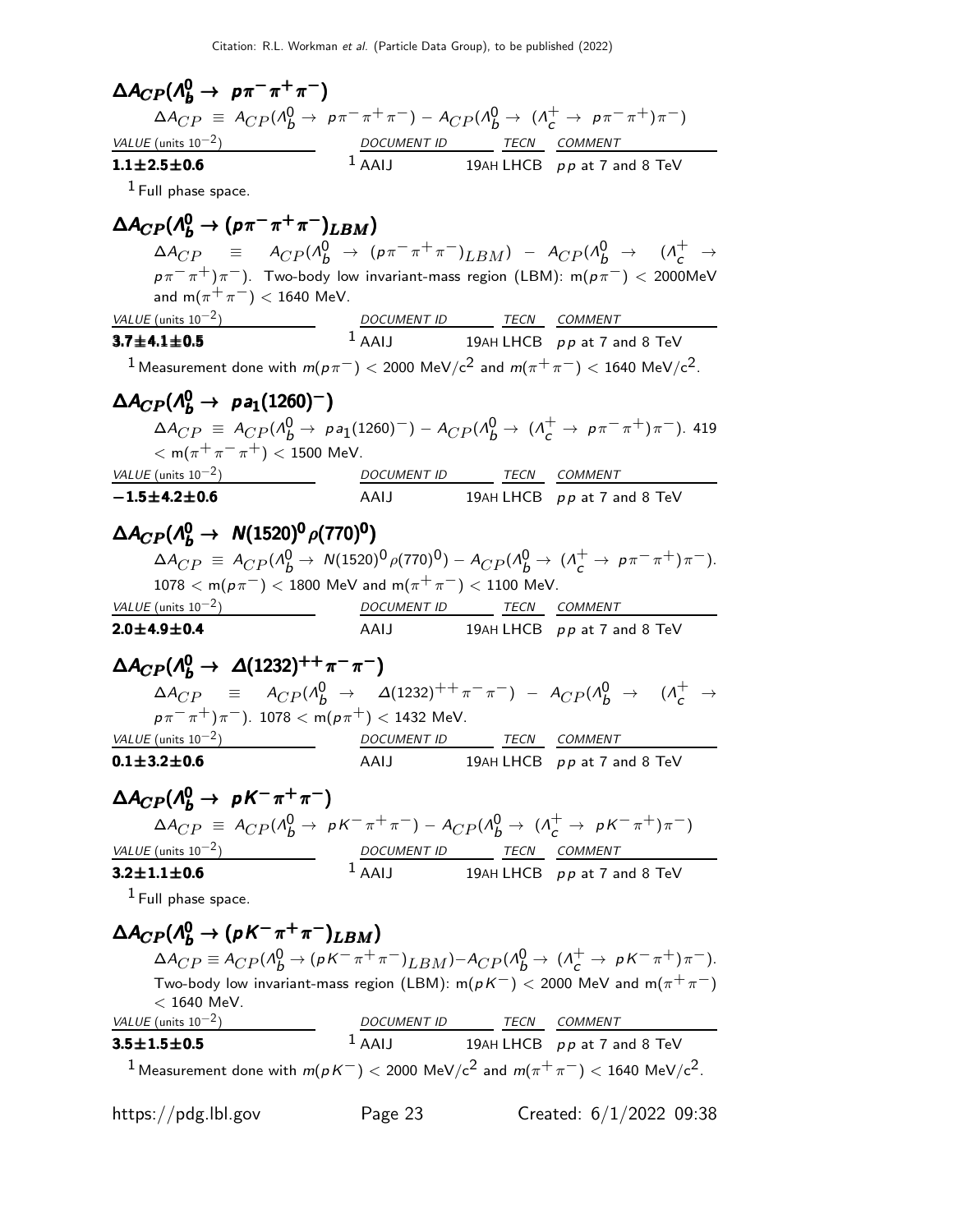$\Delta A_{CP} (\Lambda_b^0 \to p \pi^- \pi^+ \pi^-)$  $\Delta A_{CP} \equiv A_{CP} (A_B^0 \to p \pi^- \pi^+ \pi^-) - A_{CP} (A_B^0 \to (A_C^+ \to p \pi^- \pi^+) \pi^-)$ VALUE (units  $10^{-2}$ ) DOCUMENT ID TECN COMMENT  $\frac{VALUE \text{ (units 10}^{-2})}{1.1 \pm 2.5 \pm 0.6}$  $1$  AAIJ 19AH LHCB  $p p$  at 7 and 8 TeV  $<sup>1</sup>$  Full phase space.</sup>  $\Delta A_{CP} ( \Lambda_b^0 \to ( p \pi^- \pi^+ \pi^-)_{LBM} )$  $\Delta A_{CP}$  =  $A_{CP} (\Lambda_b^0 \rightarrow (p \pi^- \pi^+ \pi^-)_{LBM}) - A_{CP} (\Lambda_b^0 \rightarrow (\Lambda_c^+ \rightarrow$  $p\pi^{-}\pi^{+}$ ) $\pi^{-}$ ). Two-body low invariant-mass region (LBM): m $(p\pi^{-})$  < 2000MeV and  $m(\pi^+\pi^-)$  < 1640 MeV.  $VALUE$  (units 10<sup>-2</sup>) DOCUMENT ID TECN COMMENT  $3.7 + 4.1 + 0.5$  $1$  AAIJ 19AH LHCB pp at 7 and 8 TeV <sup>1</sup> Measurement done with  $m(p\pi^-)$  < 2000 MeV/c<sup>2</sup> and  $m(\pi^+\pi^-)$  < 1640 MeV/c<sup>2</sup>.  $\Delta A_{CP} (\Lambda_b^0 \rightarrow \text{pa}_1(1260)^-)$  $\mathbf{p}(\Lambda_b^0 \to \mathbf{p} \mathbf{a}_1(1260)^-)$ <br> $\Delta A_{CP} = A_{CP}(\Lambda_b^0 \to \rho \mathbf{a}_1(1260)^-) - A_{CP}(\Lambda_b^0 \to (\Lambda_c^+ \to \rho \pi^- \pi^+) \pi^-)$ . 419  $<$  m( $\pi^{+}\pi^{-}\pi^{+}$ )  $<$  1500 MeV.  $VALUE$  (units 10<sup>-2</sup>) DOCUMENT ID TECN COMMENT  $-1.5\pm4.2\pm0.6$  AAIJ 19AH LHCB pp at 7 and 8 TeV  $\Delta A_{CP} ( \Lambda_b^0 \rightarrow \ N(1520)^0 \, \rho(770)^0 )$  $\Delta A_{CP}^T \equiv A_{CP} (\Lambda_b^0 \to N(1520)^0 \rho(770)^0) - A_{CP} (\Lambda_b^0 \to (\Lambda_c^+ \to \rho \pi^- \pi^+) \pi^-).$  $1078 < m(p\pi^{-}) < 1800$  MeV and  $m(\pi^{+}\pi^{-}) < 1100$  MeV.  $VALU E$  (units 10<sup>-2</sup>) DOCUMENT ID TECN COMMENT  $2.0\pm4.9\pm0.4$  AAIJ 19AH LHCB pp at 7 and 8 TeV  $\Delta A_{CP} (A_b^0 \to \Delta (1232)^{++} \pi^- \pi^-)$  $\Delta A_{CP}$  =  $A_{CP} (\Lambda_b^0 \to \Delta (1232)^{++} \pi^- \pi^-) - A_{CP} (\Lambda_b^0 \to (\Lambda_c^+ \to$  $p\pi^{-}\pi^{+}\pi^{-}$ ). 1078 < m $(p\pi^{+})$  < 1432 MeV.  $VALU E$  (units 10<sup>-2</sup>) DOCUMENT ID TECN COMMENT  $0.1\pm3.2\pm0.6$  AAIJ 19AH LHCB pp at 7 and 8 TeV  $\Delta A_{CP} (\Lambda_b^0 \to pK^-\pi^+\pi^-)$  $\Delta A_{CP}$  =  $A_{CP} (\Lambda_b^0 \to pK^-\pi^+\pi^-) - A_{CP} (\Lambda_b^0 \to (\Lambda_c^+ \to pK^-\pi^+)\pi^-)$ VALUE (units  $10^{-2}$ ) DOCUMENT ID TECN COMMENT  $3.2 \pm 1.1 \pm 0.6$  $1$  AAIJ 19AH LHCB pp at 7 and 8 TeV  $<sup>1</sup>$  Full phase space.</sup>  $\Delta A_{CP} ( \Lambda_b^0 \to (pK^-\pi^+\pi^-)_{LBM})$  $\Delta A_{CP} \equiv A_{CP} (\Lambda_b^0 \to (\rho K^- \pi^+ \pi^-)_{LBM}) - A_{CP} (\Lambda_b^0 \to (\Lambda_c^+ \to \rho K^- \pi^+) \pi^-).$ Two-body low invariant-mass region (LBM):  $m(p K^{-}) < 2000$  MeV and  $m(\pi^{+} \pi^{-})$  $<$  1640 MeV. VALUE (units  $10^{-2}$ ) ) DOCUMENT ID TECN COMMENT  $3.5 \pm 1.5 \pm 0.5$  $1$  AAIJ 19AH LHCB pp at 7 and 8 TeV <sup>1</sup> Measurement done with  $m(p K^{-}) < 2000$  MeV/c<sup>2</sup> and  $m(\pi^{+}\pi^{-}) < 1640$  MeV/c<sup>2</sup>.

https://pdg.lbl.gov Page 23 Created: 6/1/2022 09:38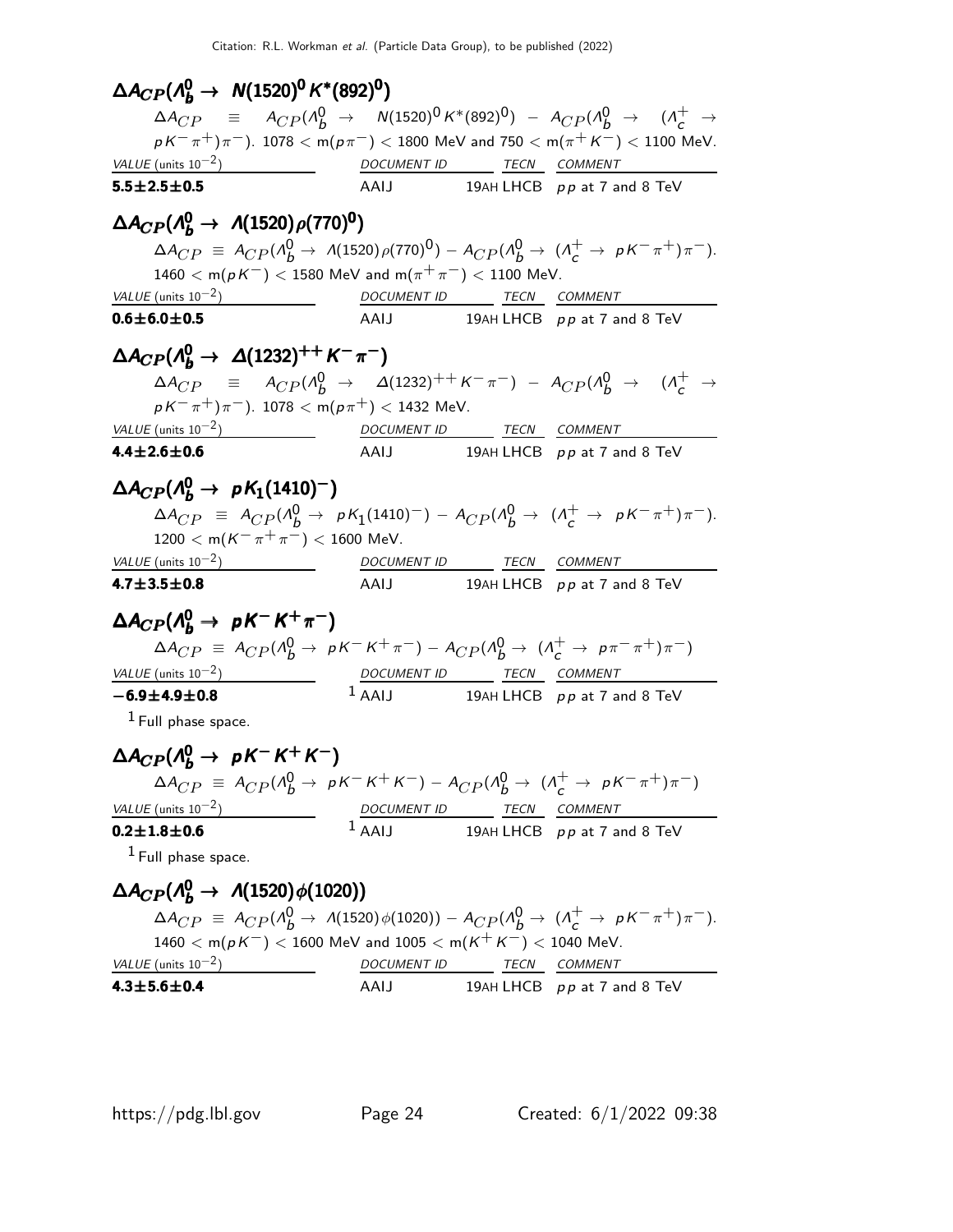$\Delta A_{CP} (A_b^0 \rightarrow N(1520)^0 K^*(892)^0)$  $\Delta A_{CP}$  =  $A_{CP} (A_b^0 \rightarrow N(1520)^0 K^*(892)^0) - A_{CP} (A_b^0 \rightarrow (A_c^+ \rightarrow$  $p K^-\pi^+) \pi^-$ ). 1078  $<$  m $(p\pi^-)$   $<$  1800 MeV and 750  $<$  m $(\pi^+ K^-)$   $<$  1100 MeV. VALUE (units  $10^{-2}$ )  $\qquad \qquad -$  DOCUMENT ID TECN COMMENT  $5.5\pm2.5\pm0.5$  AAIJ 19AH LHCB pp at 7 and 8 TeV  $\Delta A_{CP} (\Lambda_b^0 \to \Lambda (1520) \rho (770)^0)$  $\Delta A_{CP} \equiv A_{CP} (A_B^0 \to A(1520) \rho (770)^0) - A_{CP} (A_B^0 \to (A_C^+ \to pK^-\pi^+) \pi^-).$  $1460 < m(pK^{-}) < 1580$  MeV and  $m(\pi^{+}\pi^{-}) < 1100$  MeV.  $VALUE$  (units 10<sup>-2</sup>) DOCUMENT ID TECN COMMENT  $\overline{0.6\pm 6.0\pm 0.5}$   $\overline{A}$   $\overline{A}$  19AH LHCB pp at 7 and 8 TeV  $\Delta A_{CP} ( \Lambda_b^0 \to \Delta (1232)^{++} K^- \pi^- )$  $\Delta A_{CP}$  =  $A_{CP} (\Lambda_b^0 \to \Delta (1232)^{++} K^- \pi^-) - A_{CP} (\Lambda_b^0 \to (\Lambda_c^+ \to$  $p K^- \pi^+) \pi^-$ ). 1078 < m $(p \pi^+)$  < 1432 MeV. VALUE (units  $10^{-2}$ ) DOCUMENT ID TECN COMMENT  $4.4 \pm 2.6 \pm 0.6$  AAIJ 19AH LHCB pp at 7 and 8 TeV  $\Delta A_{CP} (\Lambda_b^0 \rightarrow \ pK_1(1410)^-)$  $\Delta A_{CP}$  =  $A_{CP} (\Lambda_b^0 \to pK_1(1410)^-) - A_{CP} (\Lambda_b^0 \to (\Lambda_c^+ \to pK^-\pi^+)\pi^-).$  $1200 < m(K^-\pi^+\pi^-) < 1600$  MeV. VALUE (units  $10^{-2}$ ) DOCUMENT ID TECN COMMENT  $4.7\pm3.5\pm0.8$  AAIJ 19AH LHCB pp at 7 and 8 TeV  $\Delta A_{CP} (\Lambda_b^0 \to pK^-K^+\pi^-)$  $\Delta A_{CP}$  =  $A_{CP} (\Lambda_b^0 \to pK^-K^+\pi^-) - A_{CP} (\Lambda_b^0 \to (\Lambda_c^+ \to p\pi^-\pi^+)\pi^-)$ VALUE (units  $10^{-2}$ ) DOCUMENT ID TECN COMMENT −6.9±4.9±0.8  $1$  AAIJ 19AH LHCB pp at 7 and 8 TeV  $<sup>1</sup>$  Full phase space.</sup>  $\Delta A_{CP} (\Lambda_b^0 \to pK^- K^+ K^-)$  $\Delta A_{CP}$  =  $A_{CP} (\Lambda_b^0 \to pK^-K^+K^-) - A_{CP} (\Lambda_b^0 \to (\Lambda_c^+ \to pK^- \pi^+) \pi^-)$ VALUE (units  $10^{-2}$ ) DOCUMENT ID TECN COMMENT  $0.2 \pm 1.8 \pm 0.6$  $1$  AAIJ 19AH LHCB pp at 7 and 8 TeV  $<sup>1</sup>$  Full phase space.</sup>  $\Delta A_{CP} ( \Lambda_b^0 \rightarrow \Lambda (1520) \phi (1020) )$  $\Delta A_{CP}^{\dagger} \equiv A_{CP} (A_B^0 \rightarrow A(1520) \phi(1020)) - A_{CP} (A_B^0 \rightarrow (A_C^+ \rightarrow pK^- \pi^+) \pi^-).$  $1460 < m(pK^{-}) < 1600$  MeV and  $1005 < m(K^{+}K^{-}) < 1040$  MeV.  $VALUE$  (units 10<sup>-2</sup>) DOCUMENT ID TECN COMMENT

 $4.3\pm5.6\pm0.4$  AAIJ 19AH LHCB pp at 7 and 8 TeV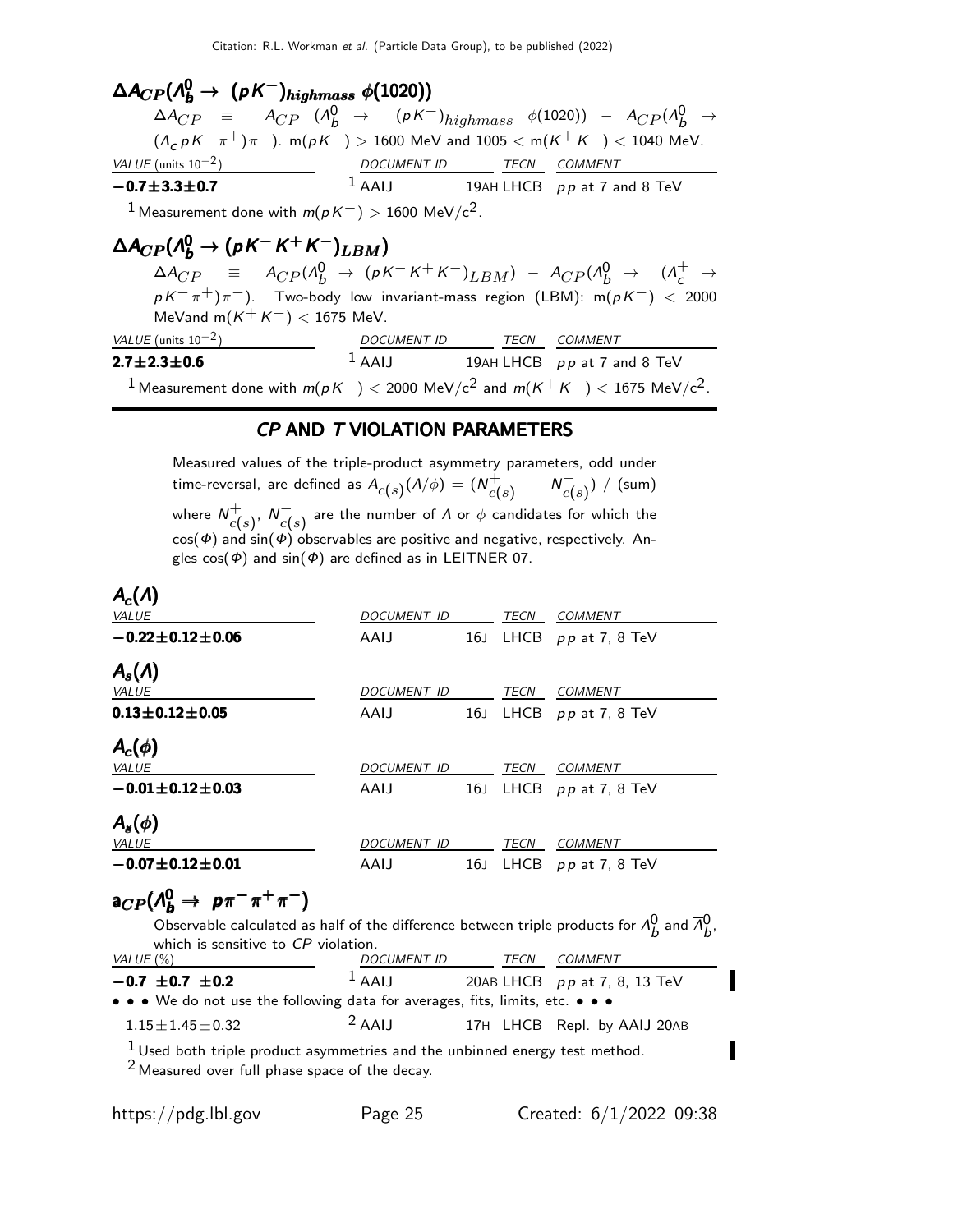$\Delta A_{CP} (A_{b}^{0} \rightarrow (pK^{-})_{highmass} \phi(1020))$  $\Delta A_{CP}$  =  $A_{CP}$  ( $\Lambda_b^0$  → ( $pK^-$ )<sub>highmass</sub>  $\phi$ (1020)) –  $A_{CP}$ ( $\Lambda_b^0$  →  $(\Lambda_c p K^- \pi^+) \pi^-$ ). m( $p K^-$ ) > 1600 MeV and 1005 < m( $K^+ K^-$ ) < 1040 MeV. VALUE (units  $10^{-2}$ ) ) DOCUMENT ID TECN COMMENT −0.7±3.3±0.7  $1$  AAIJ 19AH LHCB pp at 7 and 8 TeV <sup>1</sup> Measurement done with  $m(p K^-) > 1600 \text{ MeV}/c^2$ .  $\Delta A_{CP} (\Lambda_b^0 \to (pK^- K^+ K^-)_{LBM})$  $\Delta A_{CP}$  =  $A_{CP} (A_b^0 \rightarrow (pK^-K^+K^-)_{LBM}) - A_{CP} (A_b^0 \rightarrow (A_c^+ \rightarrow$  $p K^{-} \pi^{+}$ ) $\pi^{-}$ ). Two-body low invariant-mass region (LBM): m $(p K^{-})$  < 2000 MeVand m( $K^+ K^-$ ) < 1675 MeV.  $VALUE$  (units 10<sup>-2</sup>) DOCUMENT ID TECN COMMENT  $2.7 \pm 2.3 \pm 0.6$  $1$  AAIJ 19AH LHCB pp at 7 and 8 TeV

### <sup>1</sup> Measurement done with  $m(p K^-)$  < 2000 MeV/c<sup>2</sup> and  $m(K^+ K^-)$  < 1675 MeV/c<sup>2</sup>.

### CP AND T VIOLATION PARAMETERS

Measured values of the triple-product asymmetry parameters, odd under time-reversal, are defined as  $A_{\overline{C}(s)}(\Lambda/\phi)=(\overline{N}_{\overline{C}(s)}^+)$  $c(s) - N_C^{-1}$  $\stackrel{-}{c(s)})\,$   $/$  (sum) where  $N_{el}^+$  $c(s)$ <sup>,</sup>  $N_{c(s)}^ \stackrel{-}{c(s)}$  are the number of  $\varLambda$  or  $\phi$  candidates for which the  $cos(\Phi)$  and  $sin(\Phi)$  observables are positive and negative, respectively. Angles  $cos(\phi)$  and  $sin(\phi)$  are defined as in LEITNER 07.

### $\mathcal{A}_c(\varLambda)$

| <b>VALUE</b>              | <b>DOCUMENT ID</b> |                 | <b>TECN</b> | <b>COMMENT</b>        |
|---------------------------|--------------------|-----------------|-------------|-----------------------|
| $-0.22 \pm 0.12 \pm 0.06$ | AAIJ               | 16J             |             | LHCB $pp$ at 7, 8 TeV |
| $A_s(\Lambda)$            |                    |                 |             |                       |
| VALUE                     | <b>DOCUMENT ID</b> |                 | TECN        | COMMENT               |
| $0.13 \pm 0.12 \pm 0.05$  | AAIJ               | 16J             |             | LHCB $pp$ at 7, 8 TeV |
| $A_c(\phi)$               |                    |                 |             |                       |
| <b>VALUE</b>              | <b>DOCUMENT ID</b> |                 | TECN        | <b>COMMENT</b>        |
| $-0.01 \pm 0.12 \pm 0.03$ | AAIJ               | 16J             |             | LHCB $pp$ at 7, 8 TeV |
| $A_{s}(\phi)$             |                    |                 |             |                       |
| VALUE                     | <b>DOCUMENT ID</b> |                 | TECN        | <b>COMMENT</b>        |
| $-0.07 \pm 0.12 \pm 0.01$ | AAIJ               | 16 <sub>J</sub> | <b>LHCB</b> | $pp$ at 7, 8 TeV      |

# $a_{CP}(\Lambda_b^0 \rightarrow \rho \pi^- \pi^+ \pi^-)$

Observable calculated as half of the difference between triple products for  $\Lambda_b^0$  and  $\overline{\Lambda}_b^0$ , which is sensitive to CP violation.<br>VALUE (%) DOCUMENT ID TECN COMMENT −0.7 ±0.7 ±0.2  $1$  AAIJ 20AB LHCB pp at 7, 8, 13 TeV • • • We do not use the following data for averages, fits, limits, etc. • • •  $1.15 \pm 1.45 \pm 0.32$  2 AAIJ 17H LHCB Repl. by AAIJ 20AB  $1$  Used both triple product asymmetries and the unbinned energy test method.

2 Measured over full phase space of the decay.

I

П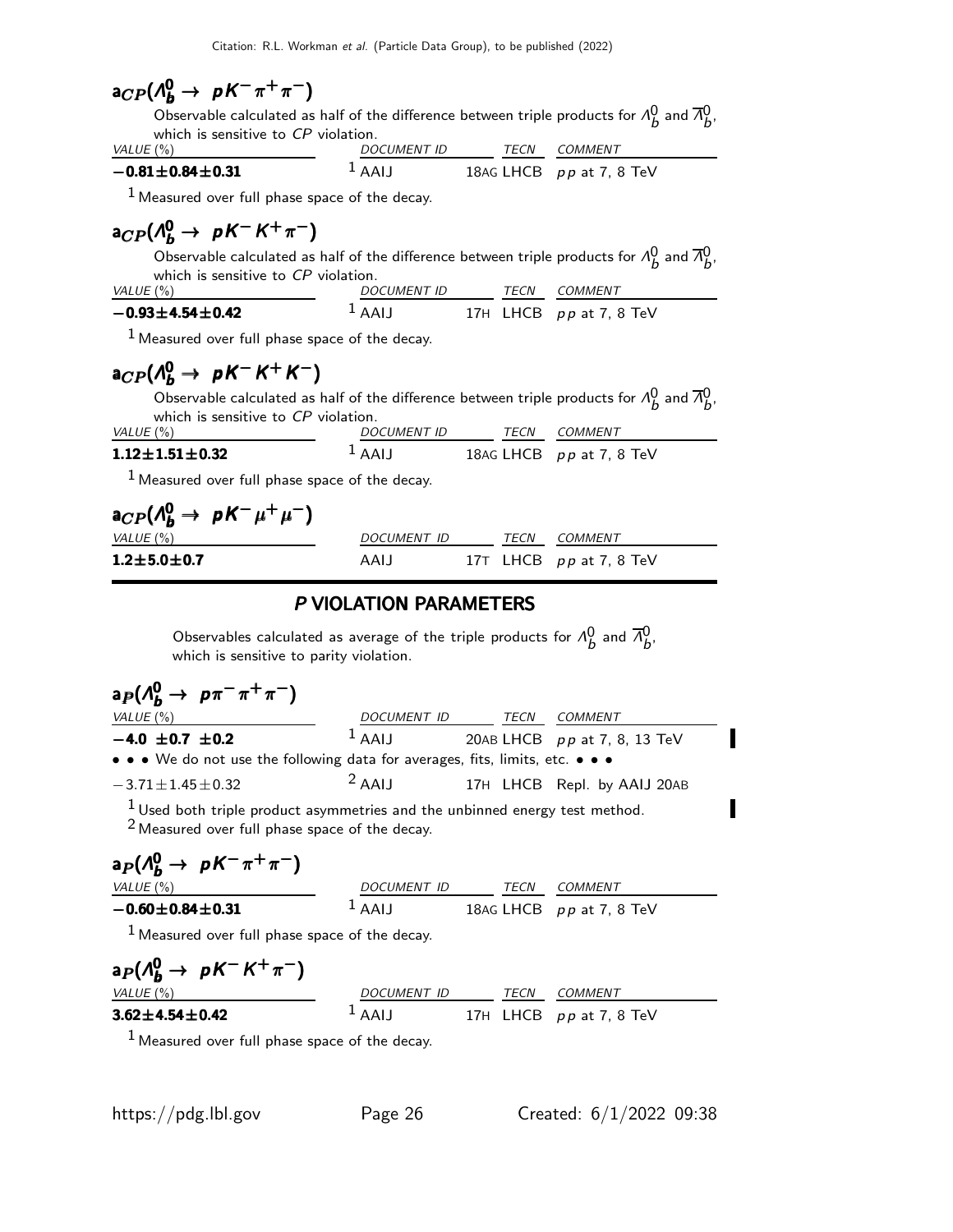# $a_{CP}(\Lambda_b^0 \rightarrow \, pK^-\pi^+\pi^-)$

Observable calculated as half of the difference between triple products for  $\Lambda_b^0$  and  $\overline{\Lambda}_b^0$ , which is sensitive to CP violation. VALUE  $(\%)$ 

$$
\frac{DOCUMENT ID}{1 A A IJ}
$$
 
$$
\frac{TECN}{1 B A C L H C B}
$$
 
$$
\frac{COMMENT}{P P A T, 8 TeV}
$$

 $<sup>1</sup>$  Measured over full phase space of the decay.</sup>

# $a_{CP}(\Lambda_b^0 \rightarrow \ \rho \, \mathcal{K}^- \, \mathcal{K}^+ \, \pi^-)$

 $-0.81 \pm 0.84 \pm 0.31$ 

Observable calculated as half of the difference between triple products for  $\Lambda_b^0$  and  $\overline{\Lambda}_b^0$ , which is sensitive to CP violation.

| VALUE (%)                 | DOCUMENT ID      | TFCN | COMMENT                   |
|---------------------------|------------------|------|---------------------------|
| $-0.93 \pm 4.54 \pm 0.42$ | LAA <sup>1</sup> |      | 17H LHCB $pp$ at 7, 8 TeV |

 $<sup>1</sup>$  Measured over full phase space of the decay.</sup>

# $a_{CP}(\Lambda_b^0 \rightarrow \ \rho \, \mathcal{K}^- \, \mathcal{K}^+ \, \mathcal{K}^-)$

Observable calculated as half of the difference between triple products for  $\Lambda_b^0$  and  $\overline{\Lambda}_b^0$ , which is sensitive to CP violation.

| VALUE (%)                | <i>DOCUMENT ID</i>  | TFCN | COMMENT                    |  |
|--------------------------|---------------------|------|----------------------------|--|
| $1.12 \pm 1.51 \pm 0.32$ | $\overline{A}$ AAIJ |      | 18AG LHCB $pp$ at 7, 8 TeV |  |

 $<sup>1</sup>$  Measured over full phase space of the decay.</sup>

| $a_{CP}(\Lambda_b^0 \rightarrow \, pK^-\mu^+\mu^-)$ |             |             |                           |
|-----------------------------------------------------|-------------|-------------|---------------------------|
| VALUE (%)                                           | DOCUMENT ID | <b>TFCN</b> | <i>COMMENT</i>            |
| $1.2\!\pm\!5.0\!\pm\!0.7$                           | AAIJ        |             | 17T LHCB $pp$ at 7, 8 TeV |

### P VIOLATION PARAMETERS

Observables calculated as average of the triple products for  $\Lambda_b^0$  and  $\overline{\Lambda}_b^0$ , which is sensitive to parity violation.

| $a_P(\Lambda_b^0 \to p\pi^-\pi^+\pi^-)$                                                                                           |                  |             |                              |
|-----------------------------------------------------------------------------------------------------------------------------------|------------------|-------------|------------------------------|
| VALUE $(\% )$                                                                                                                     | DOCUMENT ID TECN |             | <i>COMMENT</i>               |
| $-4.0 \pm 0.7 \pm 0.2$                                                                                                            | $1$ AAIJ         |             | 20AB LHCB pp at 7, 8, 13 TeV |
| $\bullet \bullet \bullet$ We do not use the following data for averages, fits, limits, etc. $\bullet \bullet \bullet$             |                  |             |                              |
| $-3.71 \pm 1.45 \pm 0.32$                                                                                                         | $2$ AAIJ         |             | 17H LHCB Repl. by AAIJ 20AB  |
| $1$ Used both triple product asymmetries and the unbinned energy test method.<br>$2$ Measured over full phase space of the decay. |                  |             |                              |
| $a_P(\Lambda_b^0 \rightarrow pK^-\pi^+\pi^-)$                                                                                     |                  |             |                              |
| VALUE $(\%)$                                                                                                                      | DOCUMENT ID TECN |             | COMMENT                      |
| $-0.60 \pm 0.84 \pm 0.31$                                                                                                         | $1$ AAIJ         |             | 18AG LHCB $pp$ at 7, 8 TeV   |
| $1$ Measured over full phase space of the decay.                                                                                  |                  |             |                              |
| $a_P(\Lambda_b^0 \rightarrow pK^-K^+\pi^-)$                                                                                       |                  |             |                              |
| VALUE $(\%)$                                                                                                                      | DOCUMENT ID      | <b>TECN</b> | COMMENT                      |
| $3.62 \pm 4.54 \pm 0.42$                                                                                                          | AAIJ             |             | 17H LHCB pp at 7, 8 TeV      |

 $<sup>1</sup>$  Measured over full phase space of the decay.</sup>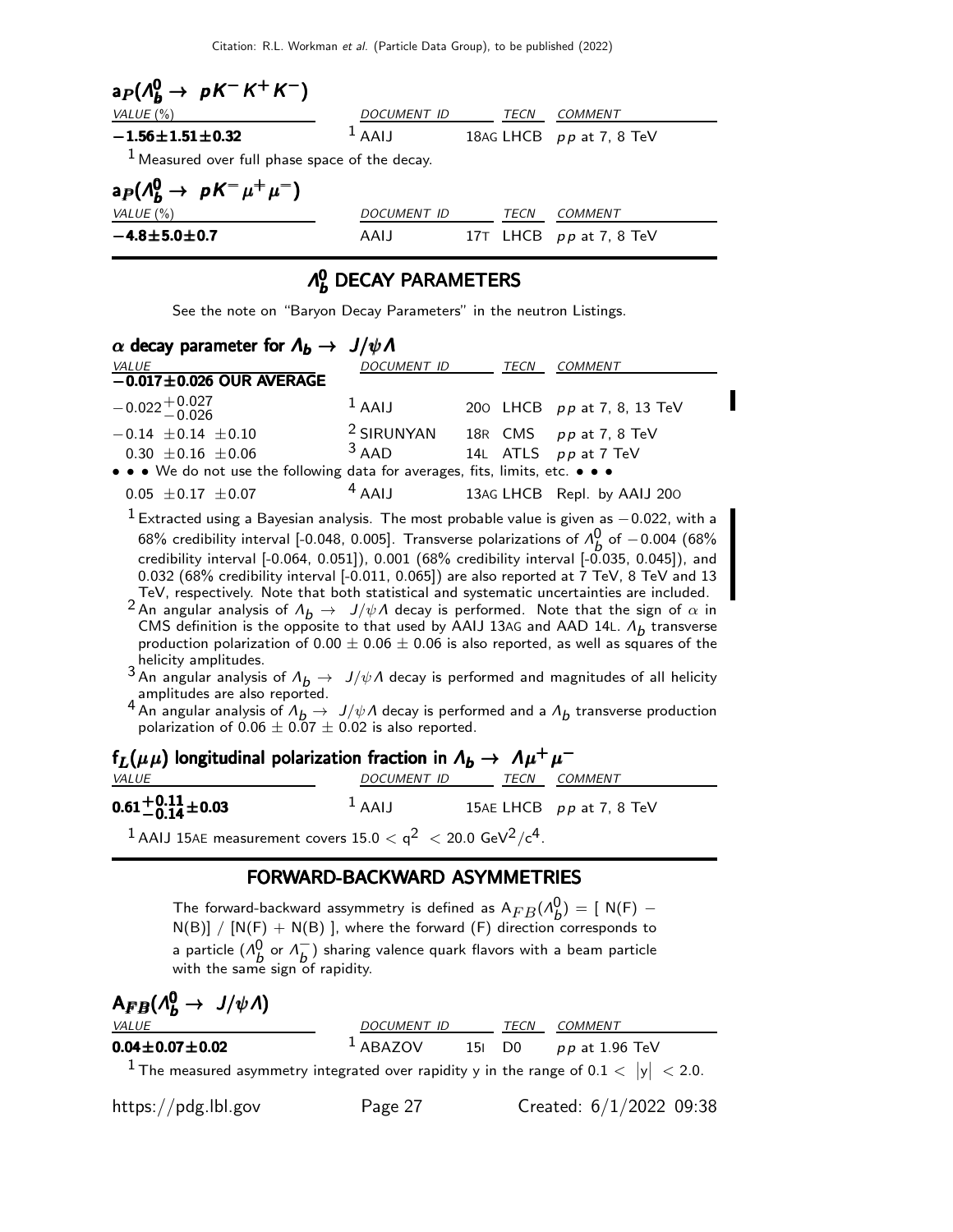Citation: R.L. Workman et al. (Particle Data Group), to be published (2022)

| $a_P(A_b^0 \rightarrow pK^-K^+K^-)$              |             |  |      |                           |  |  |
|--------------------------------------------------|-------------|--|------|---------------------------|--|--|
| VALUE $(\% )$                                    | DOCUMENT ID |  | TECN | COMMENT                   |  |  |
| $-1.56 \pm 1.51 \pm 0.32$                        | $1$ AAIJ    |  |      | 18AG LHCB pp at 7, 8 TeV  |  |  |
| $1$ Measured over full phase space of the decay. |             |  |      |                           |  |  |
| $a_P(\Lambda_b^0 \rightarrow pK^-\mu^+\mu^-)$    |             |  |      |                           |  |  |
| VALUE $(\% )$                                    | DOCUMENT ID |  | TECN | COMMENT                   |  |  |
| $-4.8 + 5.0 + 0.7$                               | AAIJ        |  |      | 17T LHCB $pp$ at 7, 8 TeV |  |  |

#### Λ 0  $\partial_b^0$  DECAY PARAMETERS

See the note on "Baryon Decay Parameters" in the neutron Listings.

| $\alpha$ decay parameter for $\Lambda_b \to J/\psi \Lambda$                   |                                       |      |                             |
|-------------------------------------------------------------------------------|---------------------------------------|------|-----------------------------|
| VALUE                                                                         | DOCUMENT ID                           | TECN | <b>COMMENT</b>              |
| $-0.017 \pm 0.026$ OUR AVERAGE                                                |                                       |      |                             |
| $-0.022 + 0.027$                                                              | $1$ AAIJ                              |      | 200 LHCB pp at 7, 8, 13 TeV |
| $-0.14 \pm 0.14 \pm 0.10$                                                     | $2$ SIRUNYAN 18R CMS $pp$ at 7, 8 TeV |      |                             |
| $0.30 \pm 0.16 \pm 0.06$                                                      | $3$ AAD                               |      | 14L ATLS pp at 7 TeV        |
| • • • We do not use the following data for averages, fits, limits, etc. • • • |                                       |      |                             |
| $0.05 \pm 0.17 \pm 0.07$                                                      | $4$ AAIJ                              |      | 13AG LHCB Repl. by AAIJ 200 |

 $1$  Extracted using a Bayesian analysis. The most probable value is given as  $-0.022$ , with a 68% credibility interval [-0.048, 0.005]. Transverse polarizations of  $\Lambda^0_\mathsf{A}$  $\stackrel{0}{b}$  of  $-0.004$  (68%) credibility interval [-0.064, 0.051]), 0.001 (68% credibility interval [-0.035, 0.045]), and 0.032 (68% credibility interval [-0.011, 0.065]) are also reported at 7 TeV, 8 TeV and 13 TeV, respectively. Note that both statistical and systematic uncertainties are included.

2 An angular analysis of  $\Lambda_b \to J/\psi \Lambda$  decay is performed. Note that the sign of  $\alpha$  in CMS definition is the opposite to that used by AAIJ 13AG and AAD 14L.  $\Lambda_b$  transverse production polarization of 0.00  $\pm$  0.06  $\pm$  0.06 is also reported, as well as squares of the helicity amplitudes.

 $3$  An angular analysis of  $\Lambda_b \to J/\psi \Lambda$  decay is performed and magnitudes of all helicity amplitudes are also reported.

4 An angular analysis of  $\Lambda_b \to J/\psi \Lambda$  decay is performed and a  $\Lambda_b$  transverse production polarization of  $0.06 \pm 0.07 \pm 0.02$  is also reported.

| $f_L(\mu\mu)$ longitudinal polarization fraction in $\Lambda_b \to \Lambda \mu^+ \mu^-$          |          |                          |                            |  |  |
|--------------------------------------------------------------------------------------------------|----------|--------------------------|----------------------------|--|--|
| <i>VALUE</i>                                                                                     |          | DOCUMENT ID TECN COMMENT |                            |  |  |
| $0.61^{+0.11}_{-0.14}$ ± 0.03                                                                    | $1$ AAIJ |                          | 15AE LHCB $pp$ at 7, 8 TeV |  |  |
| <sup>1</sup> AAIJ 15AE measurement covers $15.0 < q^2 < 20.0$ GeV <sup>2</sup> /c <sup>4</sup> . |          |                          |                            |  |  |

### FORWARD-BACKWARD ASYMMETRIES

The forward-backward assymmetry is defined as  $\mathsf{A}_{FB}(\Lambda^{\mathsf{O}}_b$  $\binom{0}{b}$  = [ N(F) –  $N(B)] / [N(F) + N(B)]$ , where the forward (F) direction corresponds to a particle  $(\Lambda_b^0 \text{ or } \Lambda_b^-)$  $\overline{b}$ ) sharing valence quark flavors with a beam particle with the same sign of rapidity.

 ${\sf A}_{FB}(\Lambda_b^0 \to \bar{J}/\psi \Lambda)$ 

| <i>VALUE</i>                                                                                       | DOCUMENT ID | TECN | COMMENT                 |
|----------------------------------------------------------------------------------------------------|-------------|------|-------------------------|
| $0.04\!\pm\!0.07\!\pm\!0.02$                                                                       | $1$ ABAZOV  |      | 15  D0 $pp$ at 1.96 TeV |
| <sup>1</sup> The measured asymmetry integrated over rapidity y in the range of $0.1 <  y  < 2.0$ . |             |      |                         |

https://pdg.lbl.gov Page 27 Created: 6/1/2022 09:38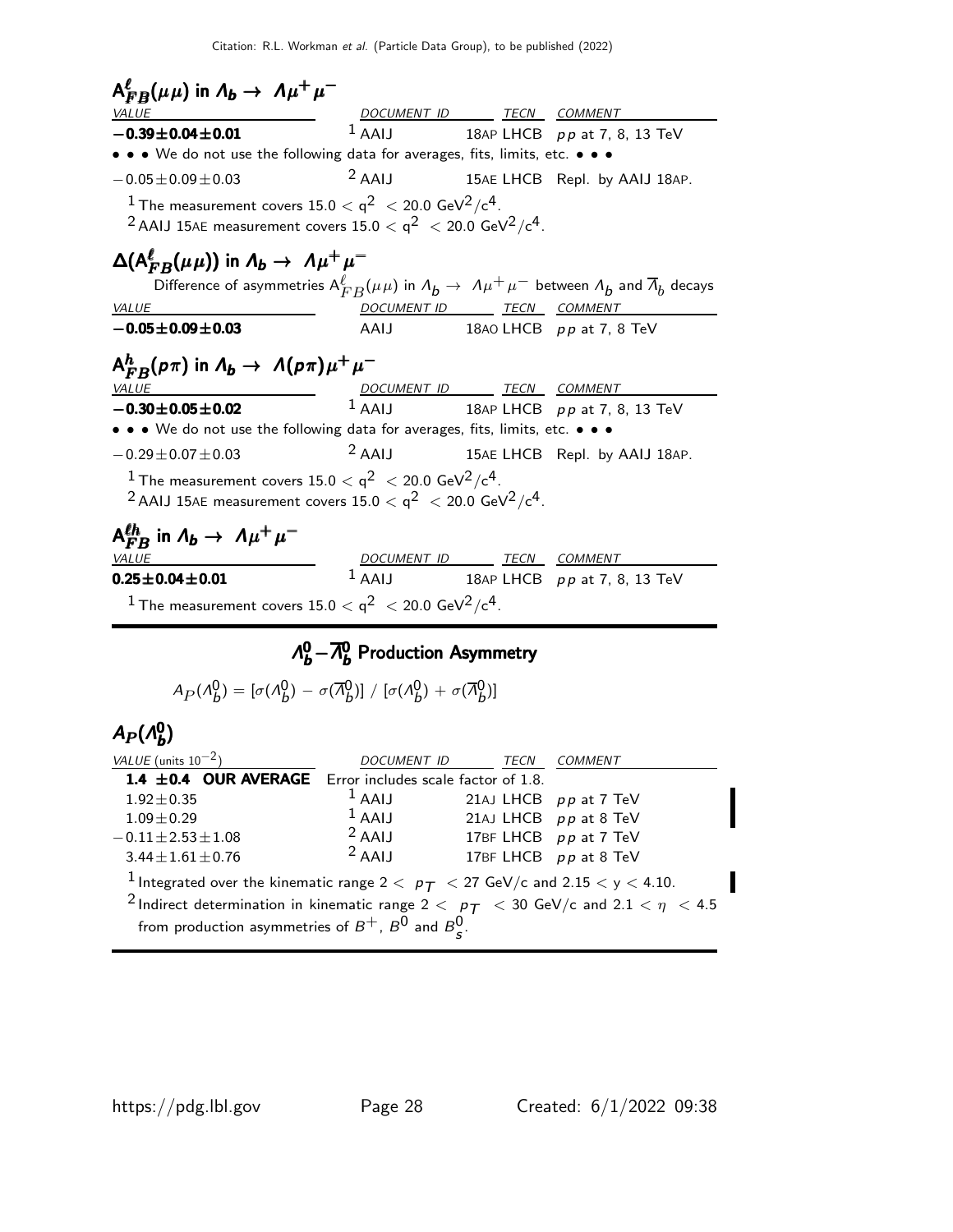| $A_{FB}^{\ell}(\mu\mu)$ in $A_b \rightarrow A\mu^+\mu^-$ |   |   |   |   |   |   |   |   |   |   |   |   |   |   |   |   |   |   |   |   |   |   |   |   |   |   |   |   |   |   |   |   |   |   |   |   |   |   |   |   |   |   |   |   |   |   |   |   |   |   |   |   |   |   |   |   |   |   |   |   |   |   |   |   |   |   |   |   |   |   |   |   |   |   |   |   |   |   |   |   |   |   |   |   |   |   |   |   |   |   |   |   |   |   |   |   |   |   |        |
|----------------------------------------------------------|---|---|---|---|---|---|---|---|---|---|---|---|---|---|---|---|---|---|---|---|---|---|---|---|---|---|---|---|---|---|---|---|---|---|---|---|---|---|---|---|---|---|---|---|---|---|---|---|---|---|---|---|---|---|---|---|---|---|---|---|---|---|---|---|---|---|---|---|---|---|---|---|---|---|---|---|---|---|---|---|---|---|---|---|---|---|---|---|---|---|---|---|---|---|---|---|---|---|--------|
| $\frac{VALUE}{AALUE}$                                    | 1 | 1 | 1 | 1 | 1 | 1 | 1 | 1 | 1 | 1 | 1 | 1 | 1 | 1 | 1 | 1 | 1 | 1 | 1 | 1 | 1 | 1 | 1 | 1 | 1 | 1 | 1 | 1 | 2 | 1 | 1 | 2 | 1 | 2 | 2 | 2 | 2 | 2 | 3 | 3 | 3 | 7 | 8 | 1 | 1 | 1 | 1 | 1 | 1 | 1 | 1 | 1 | 1 | 1 | 1 | 1 | 1 | 1 | 1 | 1 | 1 | 1 | 1 | 1 | 1 | 1 | 1 | 1 | 1 | 1 | 1 | 1 | 1 | 1 | 1 | 1 | 1 | 1 | 1 | 1 | 1 | 1 | 1 | 1 | 1 | 1 | 1 | 1 | 1 | 1 | 1 | 1 | 1 | 1 | 1 | 1 | 1 | 1 | 1 </th |

#### $\Lambda_b^0 - \overline{\Lambda}_b^0$  $\Lambda_b^0 - \overline{\Lambda}_b^0$  Production Asymmetry

$$
A_P(\Lambda_b^0) = [\sigma(\Lambda_b^0) - \sigma(\overline{\Lambda}_b^0)] / [\sigma(\Lambda_b^0) + \sigma(\overline{\Lambda}_b^0)]
$$

#### $A_P(\Lambda_b^0$  $A_P(\Lambda_b^0)$

| VALUE (units $10^{-2}$ )                                                                                                | <i>DOCUMENT ID</i> | TECN | <i>COMMENT</i>        |  |
|-------------------------------------------------------------------------------------------------------------------------|--------------------|------|-----------------------|--|
| 1.4 $\pm$ 0.4 OUR AVERAGE Error includes scale factor of 1.8.                                                           |                    |      |                       |  |
| $1.92 \pm 0.35$                                                                                                         | $1$ AAIJ           |      | 21AJ LHCB pp at 7 TeV |  |
| $1.09 \pm 0.29$                                                                                                         | $1$ AAIJ           |      | 21AJ LHCB pp at 8 TeV |  |
| $-0.11 \pm 2.53 \pm 1.08$                                                                                               | $2$ AAIJ           |      | 17BF LHCB pp at 7 TeV |  |
| $3.44 \pm 1.61 \pm 0.76$                                                                                                | $2$ AAIJ           |      | 17BF LHCB pp at 8 TeV |  |
| <sup>1</sup> Integrated over the kinematic range 2 $<$ $p_T$ $<$ 27 GeV/c and 2.15 $<$ y $<$ 4.10.                      |                    |      |                       |  |
| <sup>2</sup> Indirect determination in kinematic range 2 $\lt p_{\textit{T}}$ $\lt$ 30 GeV/c and 2.1 $\lt \eta \lt$ 4.5 |                    |      |                       |  |
| from production asymmetries of $B^+$ , $B^0$ and $B^0_s$ .                                                              |                    |      |                       |  |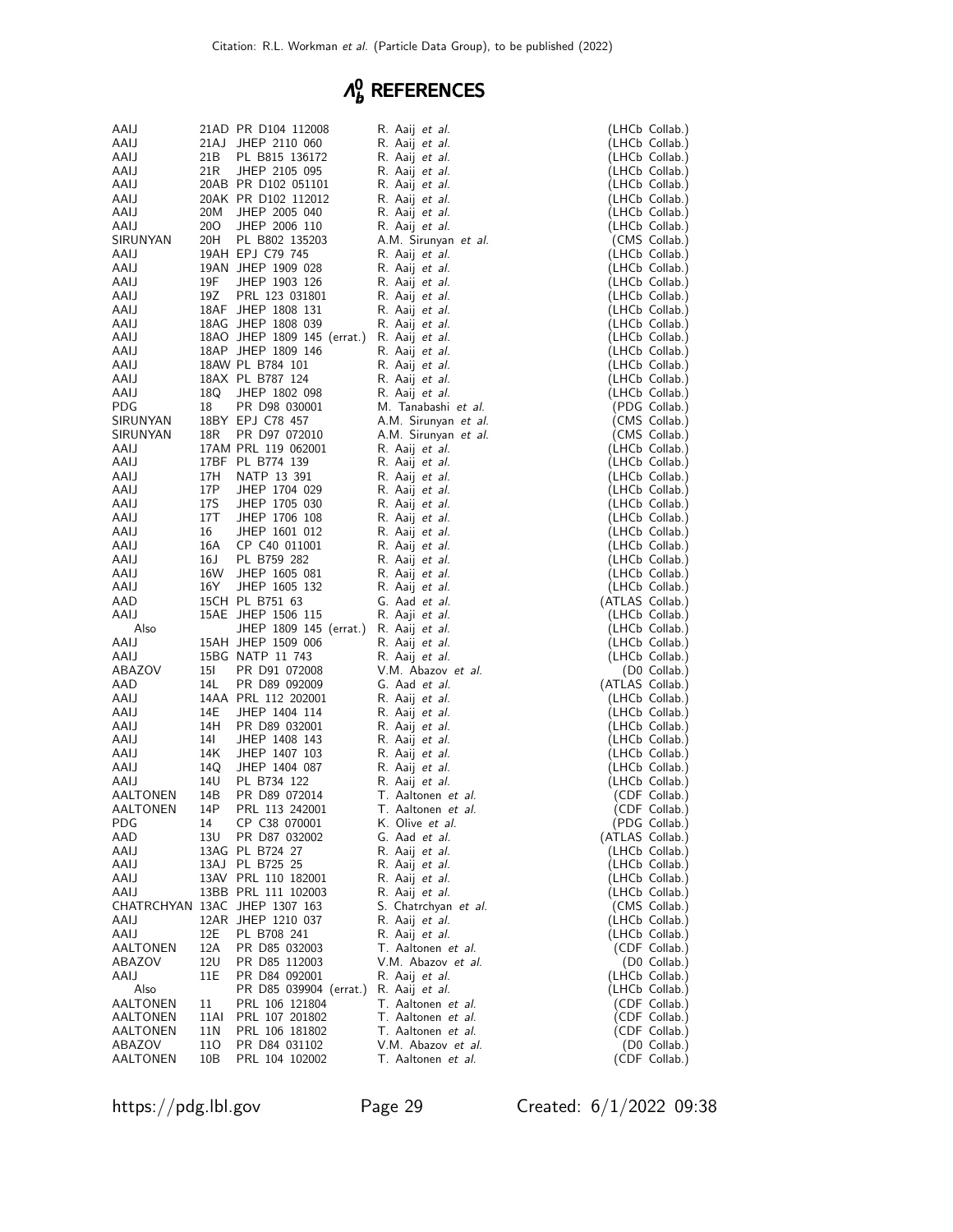#### Λ 0 g references

| AAIJ             |                 | 21AD PR D104 112008                        | R. Aaij <i>et al.</i>                          | (LHCb Collab.)                   |
|------------------|-----------------|--------------------------------------------|------------------------------------------------|----------------------------------|
| AAIJ             | 21AJ            | JHEP 2110 060                              | R. Aaij <i>et al.</i>                          | (LHCb Collab.)                   |
| AAIJ             | 21B             | PL B815 136172                             | R. Aaij et al.                                 | (LHCb Collab.)                   |
| AAIJ             | 21 <sub>R</sub> | JHEP 2105 095                              | R. Aaij et al.                                 | (LHCb Collab.)                   |
| AAIJ             |                 | 20AB PR D102 051101                        | R. Aaij <i>et al.</i>                          | (LHCb Collab.)                   |
| AAIJ             |                 | 20AK PR D102 112012                        | R. Aaij <i>et al.</i>                          | (LHCb Collab.)                   |
| AAIJ             | 20M             | JHEP 2005 040                              | R. Aaij <i>et al.</i>                          | (LHCb Collab.)                   |
| AAIJ             | 20O<br>20H      | JHEP 2006 110                              | R. Aaij et al.                                 | (LHCb Collab.)                   |
| SIRUNYAN<br>AAIJ |                 | PL B802 135203<br>19AH EPJ C79 745         | A.M. Sirunyan et al.<br>R. Aaij et al.         | (CMS Collab.)<br>(LHCb Collab.)  |
| AAIJ             |                 | 19AN JHEP 1909 028                         | R. Aaij et al.                                 | (LHCb Collab.)                   |
| AAIJ             | 19F             | JHEP 1903 126                              | R. Aaij et al.                                 | (LHCb Collab.)                   |
| AAIJ             | 19Z             | PRL 123 031801                             | R. Aaij et al.                                 | (LHCb Collab.)                   |
| AAIJ             |                 | 18AF JHEP 1808 131                         | R. Aaij et al.                                 | (LHCb Collab.)                   |
| AAIJ             |                 | 18AG JHEP 1808 039                         | R. Aaij et al.                                 | (LHCb Collab.)                   |
| AAIJ             |                 | 18AO JHEP 1809 145 (errat.) R. Aaij et al. |                                                | (LHCb Collab.)                   |
| AAIJ             |                 | 18AP JHEP 1809 146                         | R. Aaij et al.                                 | (LHCb Collab.)                   |
| AAIJ             |                 | 18AW PL B784 101                           | R. Aaij et al.                                 | (LHCb Collab.)                   |
| AAIJ             |                 | 18AX PL B787 124                           | R. Aaij et al.                                 | (LHCb Collab.)                   |
| AAIJ             | 18Q             | JHEP 1802 098                              | R. Aaij et al.                                 | (LHCb Collab.)                   |
| <b>PDG</b>       | 18              | PR D98 030001                              | M. Tanabashi <i>et al</i> .                    | (PDG Collab.)                    |
| SIRUNYAN         |                 | 18BY EPJ C78 457                           | A.M. Sirunyan et al.                           | (CMS Collab.)                    |
| SIRUNYAN         | 18R             | PR D97 072010                              | A.M. Sirunyan et al.                           | (CMS Collab.)                    |
| AAIJ             |                 | 17AM PRL 119 062001                        | R. Aaij <i>et al.</i>                          | (LHCb Collab.)                   |
| AAIJ             | 17H             | 17BF PL B774 139<br>NATP 13 391            | R. Aaij <i>et al.</i>                          | (LHCb Collab.)                   |
| AAIJ<br>AAIJ     | 17P             | JHEP 1704 029                              | R. Aaij <i>et al.</i><br>R. Aaij <i>et al.</i> | (LHCb Collab.)<br>(LHCb Collab.) |
| AAIJ             | 17S             | JHEP 1705 030                              | R. Aaij et al.                                 | (LHCb Collab.)                   |
| AAIJ             | 17T             | JHEP 1706 108                              | R. Aaij et al.                                 | (LHCb Collab.)                   |
| AAIJ             | 16              | JHEP 1601 012                              | R. Aaij et al.                                 | (LHCb Collab.)                   |
| AAIJ             | 16A             | CP C40 011001                              | R. Aaij <i>et al.</i>                          | (LHCb Collab.)                   |
| AAIJ             | 16J             | PL B759 282                                | R. Aaij et al.                                 | (LHCb Collab.)                   |
| AAIJ             | 16W             | JHEP 1605 081                              | R. Aaij et al.                                 | (LHCb Collab.)                   |
| AAIJ             | 16Y             | JHEP 1605 132                              | R. Aaij et al.                                 | (LHCb Collab.)                   |
| AAD              |                 | 15CH PL B751 63                            | G. Aad et al.                                  | (ATLAS Collab.)                  |
| AAIJ             |                 | 15AE JHEP 1506 115                         | R. Aaji et al.                                 | (LHCb Collab.)                   |
| Also             |                 | JHEP 1809 145 (errat.) R. Aaij et al.      |                                                | (LHCb Collab.)                   |
| AAIJ             |                 | 15AH JHEP 1509 006                         | R. Aaij et al.                                 | (LHCb Collab.)                   |
| AAIJ<br>ABAZOV   | 15I             | 15BG NATP 11 743<br>PR D91 072008          | R. Aaij <i>et al.</i><br>V.M. Abazov et al.    | (LHCb Collab.)                   |
| AAD              | 14L             | PR D89 092009                              | G. Aad et al.                                  | (D0 Collab.)<br>(ATLAS Collab.)  |
| AAIJ             |                 | 14AA PRL 112 202001                        | R. Aaij et al.                                 | (LHCb Collab.)                   |
| AAIJ             | 14E             | JHEP 1404 114                              | R. Aaij <i>et al.</i>                          | (LHCb Collab.)                   |
| AAIJ             | 14H             | PR D89 032001                              | R. Aaij <i>et al.</i>                          | (LHCb Collab.)                   |
| AAIJ             | 14I             | JHEP 1408 143                              | R. Aaij et al.                                 | (LHCb Collab.)                   |
| AAIJ             | 14K             | JHEP 1407 103                              | R. Aaij <i>et al.</i>                          | (LHCb Collab.)                   |
| AAIJ             | 14Q             | JHEP 1404 087                              | R. Aaij <i>et al.</i>                          | (LHCb Collab.)                   |
| AAIJ             | 14U             | PL B734 122                                | R. Aaij <i>et al.</i>                          | (LHCb Collab.)                   |
| AALTONEN         | 14B             | PR D89 072014                              | T. Aaltonen et al.                             | (CDF Collab.)                    |
| AALTONEN         | 14P             | PRL 113 242001                             | T. Aaltonen et al.                             | (CDF Collab.)                    |
| PDG              | 14              | CP C38 070001                              | K. Olive et al.                                | (PDG Collab.)                    |
| AAD              | 13U             | PR D87 032002                              | G. Aad et al.                                  | (ATLAS Collab.)                  |
| AAIJ<br>AAIJ     |                 | 13AG PL B724 27                            | R. Aaij et al.                                 | (LHCb Collab.)                   |
| AAIJ             |                 | 13AJ PL B725 25<br>13AV PRL 110 182001     | R. Aaij <i>et al.</i><br>R. Aaij et al.        | (LHCb Collab.)<br>(LHCb Collab.) |
| AAIJ             |                 | 13BB PRL 111 102003                        | R. Aaij <i>et al.</i>                          | (LHCb Collab.)                   |
|                  |                 | CHATRCHYAN 13AC JHEP 1307 163              | S. Chatrchyan et al.                           | (CMS Collab.)                    |
| AAIJ             |                 | 12AR JHEP 1210 037                         | R. Aaij <i>et al.</i>                          | (LHCb Collab.)                   |
| AAIJ             | 12E             | PL B708 241                                | R. Aaij <i>et al.</i>                          | (LHCb Collab.)                   |
| AALTONEN         | 12A             | PR D85 032003                              | T. Aaltonen et al.                             | (CDF Collab.)                    |
| ABAZOV           | 12U             | PR D85 112003                              | V.M. Abazov et al.                             | (D0 Collab.)                     |
| AAIJ             | 11E             | PR D84 092001                              | R. Aaij et al.                                 | (LHCb Collab.)                   |
| Also             |                 | PR D85 039904 (errat.)                     | R. Aaij et al.                                 | (LHCb Collab.)                   |
| AALTONEN         | 11              | PRL 106 121804                             | T. Aaltonen et al.                             | (CDF Collab.)                    |
| AALTONEN         | 11AI            | PRL 107 201802                             | T. Aaltonen et al.                             | (CDF Collab.)                    |
| AALTONEN         | 11 N            | PRL 106 181802                             | T. Aaltonen et al.                             | (CDF Collab.)                    |
| ABAZOV           | 110             | PR D84 031102                              | V.M. Abazov et al.                             | $(D0$ Collab.)                   |
| AALTONEN         | 10B             | PRL 104 102002                             | T. Aaltonen et al.                             | (CDF Collab.)                    |

https://pdg.lbl.gov Page 29 Created: 6/1/2022 09:38